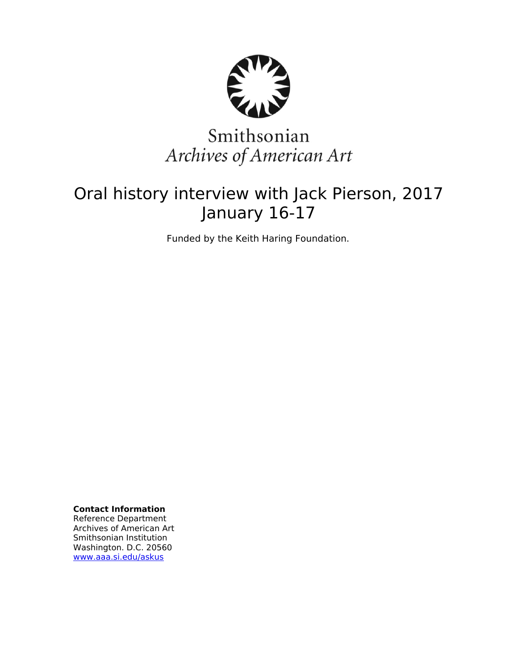

# Smithsonian Archives of American Art

## Oral history interview with Jack Pierson, 2017 January 16-17

Funded by the Keith Haring Foundation.

**Contact Information** Reference Department Archives of American Art Smithsonian Institution Washington. D.C. 20560 [www.aaa.si.edu/askus](http://www.aaa.si.edu/askus)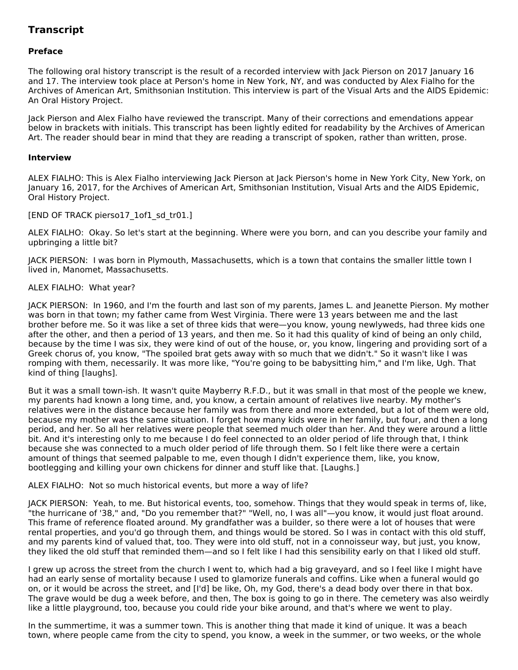## **Transcript**

## **Preface**

The following oral history transcript is the result of a recorded interview with Jack Pierson on 2017 January 16 and 17. The interview took place at Person's home in New York, NY, and was conducted by Alex Fialho for the Archives of American Art, Smithsonian Institution. This interview is part of the Visual Arts and the AIDS Epidemic: An Oral History Project.

Jack Pierson and Alex Fialho have reviewed the transcript. Many of their corrections and emendations appear below in brackets with initials. This transcript has been lightly edited for readability by the Archives of American Art. The reader should bear in mind that they are reading a transcript of spoken, rather than written, prose.

## **Interview**

ALEX FIALHO: This is Alex Fialho interviewing Jack Pierson at Jack Pierson's home in New York City, New York, on January 16, 2017, for the Archives of American Art, Smithsonian Institution, Visual Arts and the AIDS Epidemic, Oral History Project.

## [END OF TRACK pierso17\_1of1\_sd\_tr01.]

ALEX FIALHO: Okay. So let's start at the beginning. Where were you born, and can you describe your family and upbringing a little bit?

JACK PIERSON: I was born in Plymouth, Massachusetts, which is a town that contains the smaller little town I lived in, Manomet, Massachusetts.

## ALEX FIALHO: What year?

JACK PIERSON: In 1960, and I'm the fourth and last son of my parents, James L. and Jeanette Pierson. My mother was born in that town; my father came from West Virginia. There were 13 years between me and the last brother before me. So it was like a set of three kids that were—you know, young newlyweds, had three kids one after the other, and then a period of 13 years, and then me. So it had this quality of kind of being an only child, because by the time I was six, they were kind of out of the house, or, you know, lingering and providing sort of a Greek chorus of, you know, "The spoiled brat gets away with so much that we didn't." So it wasn't like I was romping with them, necessarily. It was more like, "You're going to be babysitting him," and I'm like, Ugh. That kind of thing [laughs].

But it was a small town-ish. It wasn't quite Mayberry R.F.D., but it was small in that most of the people we knew, my parents had known a long time, and, you know, a certain amount of relatives live nearby. My mother's relatives were in the distance because her family was from there and more extended, but a lot of them were old, because my mother was the same situation. I forget how many kids were in her family, but four, and then a long period, and her. So all her relatives were people that seemed much older than her. And they were around a little bit. And it's interesting only to me because I do feel connected to an older period of life through that, I think because she was connected to a much older period of life through them. So I felt like there were a certain amount of things that seemed palpable to me, even though I didn't experience them, like, you know, bootlegging and killing your own chickens for dinner and stuff like that. [Laughs.]

## ALEX FIALHO: Not so much historical events, but more a way of life?

JACK PIERSON: Yeah, to me. But historical events, too, somehow. Things that they would speak in terms of, like, "the hurricane of '38," and, "Do you remember that?" "Well, no, I was all"—you know, it would just float around. This frame of reference floated around. My grandfather was a builder, so there were a lot of houses that were rental properties, and you'd go through them, and things would be stored. So I was in contact with this old stuff, and my parents kind of valued that, too. They were into old stuff, not in a connoisseur way, but just, you know, they liked the old stuff that reminded them—and so I felt like I had this sensibility early on that I liked old stuff.

I grew up across the street from the church I went to, which had a big graveyard, and so I feel like I might have had an early sense of mortality because I used to glamorize funerals and coffins. Like when a funeral would go on, or it would be across the street, and [I'd] be like, Oh, my God, there's a dead body over there in that box. The grave would be dug a week before, and then, The box is going to go in there. The cemetery was also weirdly like a little playground, too, because you could ride your bike around, and that's where we went to play.

In the summertime, it was a summer town. This is another thing that made it kind of unique. It was a beach town, where people came from the city to spend, you know, a week in the summer, or two weeks, or the whole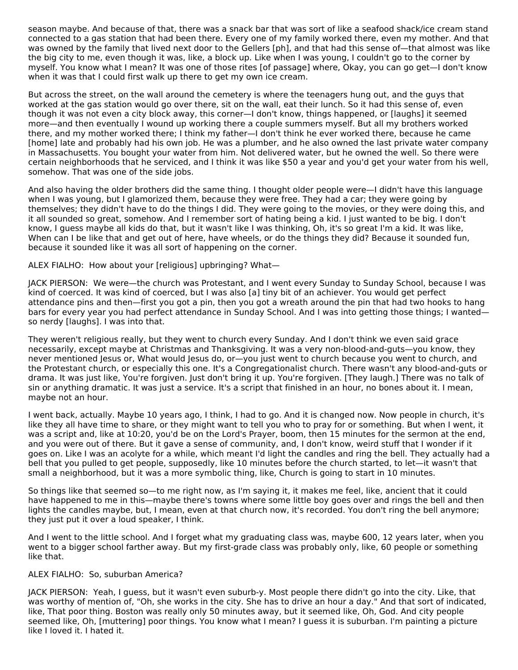season maybe. And because of that, there was a snack bar that was sort of like a seafood shack/ice cream stand connected to a gas station that had been there. Every one of my family worked there, even my mother. And that was owned by the family that lived next door to the Gellers [ph], and that had this sense of—that almost was like the big city to me, even though it was, like, a block up. Like when I was young, I couldn't go to the corner by myself. You know what I mean? It was one of those rites [of passage] where, Okay, you can go get—I don't know when it was that I could first walk up there to get my own ice cream.

But across the street, on the wall around the cemetery is where the teenagers hung out, and the guys that worked at the gas station would go over there, sit on the wall, eat their lunch. So it had this sense of, even though it was not even a city block away, this corner—I don't know, things happened, or [laughs] it seemed more—and then eventually I wound up working there a couple summers myself. But all my brothers worked there, and my mother worked there; I think my father—I don't think he ever worked there, because he came [home] late and probably had his own job. He was a plumber, and he also owned the last private water company in Massachusetts. You bought your water from him. Not delivered water, but he owned the well. So there were certain neighborhoods that he serviced, and I think it was like \$50 a year and you'd get your water from his well, somehow. That was one of the side jobs.

And also having the older brothers did the same thing. I thought older people were—I didn't have this language when I was young, but I glamorized them, because they were free. They had a car; they were going by themselves; they didn't have to do the things I did. They were going to the movies, or they were doing this, and it all sounded so great, somehow. And I remember sort of hating being a kid. I just wanted to be big. I don't know, I guess maybe all kids do that, but it wasn't like I was thinking, Oh, it's so great I'm a kid. It was like, When can I be like that and get out of here, have wheels, or do the things they did? Because it sounded fun, because it sounded like it was all sort of happening on the corner.

ALEX FIALHO: How about your [religious] upbringing? What—

JACK PIERSON: We were—the church was Protestant, and I went every Sunday to Sunday School, because I was kind of coerced. It was kind of coerced, but I was also [a] tiny bit of an achiever. You would get perfect attendance pins and then—first you got a pin, then you got a wreath around the pin that had two hooks to hang bars for every year you had perfect attendance in Sunday School. And I was into getting those things; I wanted so nerdy [laughs]. I was into that.

They weren't religious really, but they went to church every Sunday. And I don't think we even said grace necessarily, except maybe at Christmas and Thanksgiving. It was a very non-blood-and-guts—you know, they never mentioned Jesus or, What would Jesus do, or—you just went to church because you went to church, and the Protestant church, or especially this one. It's a Congregationalist church. There wasn't any blood-and-guts or drama. It was just like, You're forgiven. Just don't bring it up. You're forgiven. [They laugh.] There was no talk of sin or anything dramatic. It was just a service. It's a script that finished in an hour, no bones about it. I mean, maybe not an hour.

I went back, actually. Maybe 10 years ago, I think, I had to go. And it is changed now. Now people in church, it's like they all have time to share, or they might want to tell you who to pray for or something. But when I went, it was a script and, like at 10:20, you'd be on the Lord's Prayer, boom, then 15 minutes for the sermon at the end, and you were out of there. But it gave a sense of community, and, I don't know, weird stuff that I wonder if it goes on. Like I was an acolyte for a while, which meant I'd light the candles and ring the bell. They actually had a bell that you pulled to get people, supposedly, like 10 minutes before the church started, to let—it wasn't that small a neighborhood, but it was a more symbolic thing, like, Church is going to start in 10 minutes.

So things like that seemed so—to me right now, as I'm saying it, it makes me feel, like, ancient that it could have happened to me in this—maybe there's towns where some little boy goes over and rings the bell and then lights the candles maybe, but, I mean, even at that church now, it's recorded. You don't ring the bell anymore; they just put it over a loud speaker, I think.

And I went to the little school. And I forget what my graduating class was, maybe 600, 12 years later, when you went to a bigger school farther away. But my first-grade class was probably only, like, 60 people or something like that.

## ALEX FIALHO: So, suburban America?

JACK PIERSON: Yeah, I guess, but it wasn't even suburb-y. Most people there didn't go into the city. Like, that was worthy of mention of, "Oh, she works in the city. She has to drive an hour a day." And that sort of indicated, like, That poor thing. Boston was really only 50 minutes away, but it seemed like, Oh, God. And city people seemed like, Oh, [muttering] poor things. You know what I mean? I guess it is suburban. I'm painting a picture like I loved it. I hated it.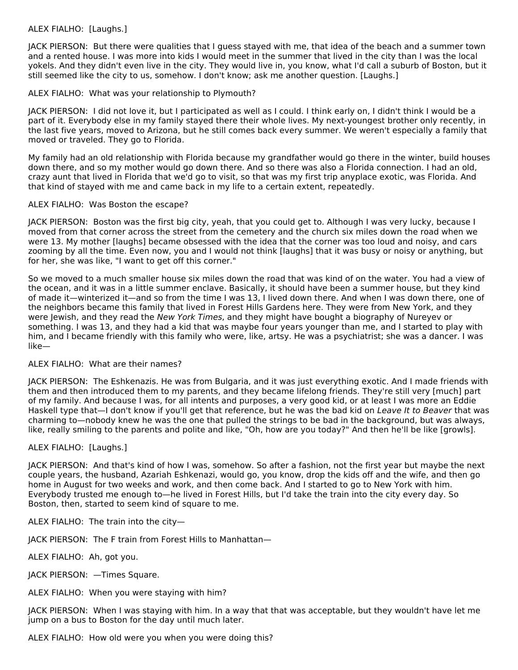## ALEX FIALHO: [Laughs.]

JACK PIERSON: But there were qualities that I guess stayed with me, that idea of the beach and a summer town and a rented house. I was more into kids I would meet in the summer that lived in the city than I was the local yokels. And they didn't even live in the city. They would live in, you know, what I'd call a suburb of Boston, but it still seemed like the city to us, somehow. I don't know; ask me another question. [Laughs.]

## ALEX FIALHO: What was your relationship to Plymouth?

JACK PIERSON: I did not love it, but I participated as well as I could. I think early on, I didn't think I would be a part of it. Everybody else in my family stayed there their whole lives. My next-youngest brother only recently, in the last five years, moved to Arizona, but he still comes back every summer. We weren't especially a family that moved or traveled. They go to Florida.

My family had an old relationship with Florida because my grandfather would go there in the winter, build houses down there, and so my mother would go down there. And so there was also a Florida connection. I had an old, crazy aunt that lived in Florida that we'd go to visit, so that was my first trip anyplace exotic, was Florida. And that kind of stayed with me and came back in my life to a certain extent, repeatedly.

## ALEX FIALHO: Was Boston the escape?

JACK PIERSON: Boston was the first big city, yeah, that you could get to. Although I was very lucky, because I moved from that corner across the street from the cemetery and the church six miles down the road when we were 13. My mother [laughs] became obsessed with the idea that the corner was too loud and noisy, and cars zooming by all the time. Even now, you and I would not think [laughs] that it was busy or noisy or anything, but for her, she was like, "I want to get off this corner."

So we moved to a much smaller house six miles down the road that was kind of on the water. You had a view of the ocean, and it was in a little summer enclave. Basically, it should have been a summer house, but they kind of made it—winterized it—and so from the time I was 13, I lived down there. And when I was down there, one of the neighbors became this family that lived in Forest Hills Gardens here. They were from New York, and they were Jewish, and they read the New York Times, and they might have bought a biography of Nureyev or something. I was 13, and they had a kid that was maybe four years younger than me, and I started to play with him, and I became friendly with this family who were, like, artsy. He was a psychiatrist; she was a dancer. I was like—

## ALEX FIALHO: What are their names?

JACK PIERSON: The Eshkenazis. He was from Bulgaria, and it was just everything exotic. And I made friends with them and then introduced them to my parents, and they became lifelong friends. They're still very [much] part of my family. And because I was, for all intents and purposes, a very good kid, or at least I was more an Eddie Haskell type that—I don't know if you'll get that reference, but he was the bad kid on Leave It to Beaver that was charming to—nobody knew he was the one that pulled the strings to be bad in the background, but was always, like, really smiling to the parents and polite and like, "Oh, how are you today?" And then he'll be like [growls].

## ALEX FIALHO: [Laughs.]

JACK PIERSON: And that's kind of how I was, somehow. So after a fashion, not the first year but maybe the next couple years, the husband, Azariah Eshkenazi, would go, you know, drop the kids off and the wife, and then go home in August for two weeks and work, and then come back. And I started to go to New York with him. Everybody trusted me enough to—he lived in Forest Hills, but I'd take the train into the city every day. So Boston, then, started to seem kind of square to me.

ALEX FIALHO: The train into the city—

JACK PIERSON: The F train from Forest Hills to Manhattan—

ALEX FIALHO: Ah, got you.

JACK PIERSON: —Times Square.

ALEX FIALHO: When you were staying with him?

JACK PIERSON: When I was staying with him. In a way that that was acceptable, but they wouldn't have let me jump on a bus to Boston for the day until much later.

ALEX FIALHO: How old were you when you were doing this?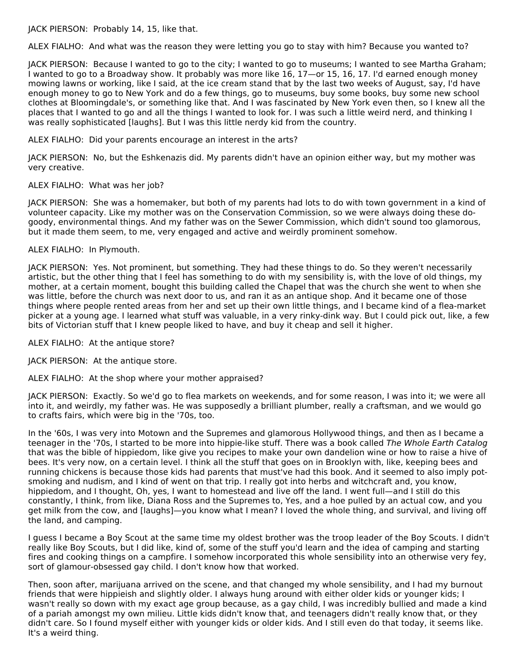JACK PIERSON: Probably 14, 15, like that.

ALEX FIALHO: And what was the reason they were letting you go to stay with him? Because you wanted to?

JACK PIERSON: Because I wanted to go to the city; I wanted to go to museums; I wanted to see Martha Graham; I wanted to go to a Broadway show. It probably was more like 16, 17—or 15, 16, 17. I'd earned enough money mowing lawns or working, like I said, at the ice cream stand that by the last two weeks of August, say, I'd have enough money to go to New York and do a few things, go to museums, buy some books, buy some new school clothes at Bloomingdale's, or something like that. And I was fascinated by New York even then, so I knew all the places that I wanted to go and all the things I wanted to look for. I was such a little weird nerd, and thinking I was really sophisticated [laughs]. But I was this little nerdy kid from the country.

ALEX FIALHO: Did your parents encourage an interest in the arts?

JACK PIERSON: No, but the Eshkenazis did. My parents didn't have an opinion either way, but my mother was very creative.

## ALEX FIALHO: What was her job?

JACK PIERSON: She was a homemaker, but both of my parents had lots to do with town government in a kind of volunteer capacity. Like my mother was on the Conservation Commission, so we were always doing these dogoody, environmental things. And my father was on the Sewer Commission, which didn't sound too glamorous, but it made them seem, to me, very engaged and active and weirdly prominent somehow.

## ALEX FIALHO: In Plymouth.

JACK PIERSON: Yes. Not prominent, but something. They had these things to do. So they weren't necessarily artistic, but the other thing that I feel has something to do with my sensibility is, with the love of old things, my mother, at a certain moment, bought this building called the Chapel that was the church she went to when she was little, before the church was next door to us, and ran it as an antique shop. And it became one of those things where people rented areas from her and set up their own little things, and I became kind of a flea-market picker at a young age. I learned what stuff was valuable, in a very rinky-dink way. But I could pick out, like, a few bits of Victorian stuff that I knew people liked to have, and buy it cheap and sell it higher.

ALEX FIALHO: At the antique store?

JACK PIERSON: At the antique store.

ALEX FIALHO: At the shop where your mother appraised?

JACK PIERSON: Exactly. So we'd go to flea markets on weekends, and for some reason, I was into it; we were all into it, and weirdly, my father was. He was supposedly a brilliant plumber, really a craftsman, and we would go to crafts fairs, which were big in the '70s, too.

In the '60s, I was very into Motown and the Supremes and glamorous Hollywood things, and then as I became a teenager in the '70s, I started to be more into hippie-like stuff. There was a book called The Whole Earth Catalog that was the bible of hippiedom, like give you recipes to make your own dandelion wine or how to raise a hive of bees. It's very now, on a certain level. I think all the stuff that goes on in Brooklyn with, like, keeping bees and running chickens is because those kids had parents that must've had this book. And it seemed to also imply potsmoking and nudism, and I kind of went on that trip. I really got into herbs and witchcraft and, you know, hippiedom, and I thought, Oh, yes, I want to homestead and live off the land. I went full—and I still do this constantly, I think, from like, Diana Ross and the Supremes to, Yes, and a hoe pulled by an actual cow, and you get milk from the cow, and [laughs]—you know what I mean? I loved the whole thing, and survival, and living off the land, and camping.

I guess I became a Boy Scout at the same time my oldest brother was the troop leader of the Boy Scouts. I didn't really like Boy Scouts, but I did like, kind of, some of the stuff you'd learn and the idea of camping and starting fires and cooking things on a campfire. I somehow incorporated this whole sensibility into an otherwise very fey, sort of glamour-obsessed gay child. I don't know how that worked.

Then, soon after, marijuana arrived on the scene, and that changed my whole sensibility, and I had my burnout friends that were hippieish and slightly older. I always hung around with either older kids or younger kids; I wasn't really so down with my exact age group because, as a gay child, I was incredibly bullied and made a kind of a pariah amongst my own milieu. Little kids didn't know that, and teenagers didn't really know that, or they didn't care. So I found myself either with younger kids or older kids. And I still even do that today, it seems like. It's a weird thing.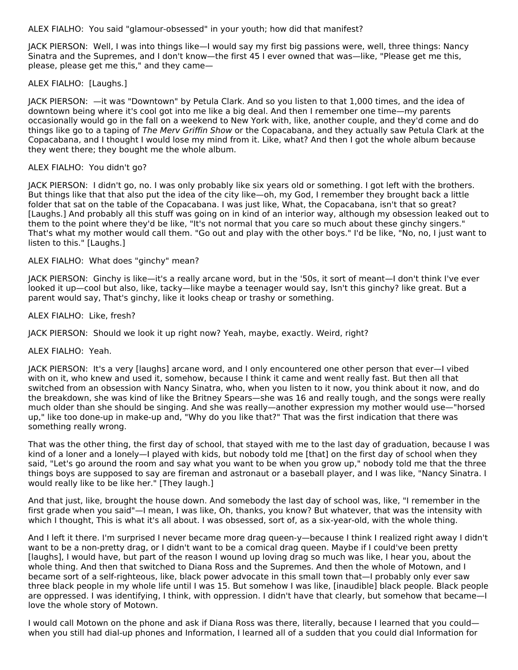ALEX FIALHO: You said "glamour-obsessed" in your youth; how did that manifest?

JACK PIERSON: Well, I was into things like—I would say my first big passions were, well, three things: Nancy Sinatra and the Supremes, and I don't know—the first 45 I ever owned that was—like, "Please get me this, please, please get me this," and they came—

## ALEX FIALHO: [Laughs.]

JACK PIERSON: —it was "Downtown" by Petula Clark. And so you listen to that 1,000 times, and the idea of downtown being where it's cool got into me like a big deal. And then I remember one time—my parents occasionally would go in the fall on a weekend to New York with, like, another couple, and they'd come and do things like go to a taping of The Merv Griffin Show or the Copacabana, and they actually saw Petula Clark at the Copacabana, and I thought I would lose my mind from it. Like, what? And then I got the whole album because they went there; they bought me the whole album.

#### ALEX FIALHO: You didn't go?

JACK PIERSON: I didn't go, no. I was only probably like six years old or something. I got left with the brothers. But things like that that also put the idea of the city like—oh, my God, I remember they brought back a little folder that sat on the table of the Copacabana. I was just like, What, the Copacabana, isn't that so great? [Laughs.] And probably all this stuff was going on in kind of an interior way, although my obsession leaked out to them to the point where they'd be like, "It's not normal that you care so much about these ginchy singers." That's what my mother would call them. "Go out and play with the other boys." I'd be like, "No, no, I just want to listen to this." [Laughs.]

#### ALEX FIALHO: What does "ginchy" mean?

JACK PIERSON: Ginchy is like—it's a really arcane word, but in the '50s, it sort of meant—I don't think I've ever looked it up—cool but also, like, tacky—like maybe a teenager would say, Isn't this ginchy? like great. But a parent would say, That's ginchy, like it looks cheap or trashy or something.

#### ALEX FIALHO: Like, fresh?

JACK PIERSON: Should we look it up right now? Yeah, maybe, exactly. Weird, right?

#### ALEX FIALHO: Yeah.

JACK PIERSON: It's a very [laughs] arcane word, and I only encountered one other person that ever—I vibed with on it, who knew and used it, somehow, because I think it came and went really fast. But then all that switched from an obsession with Nancy Sinatra, who, when you listen to it now, you think about it now, and do the breakdown, she was kind of like the Britney Spears—she was 16 and really tough, and the songs were really much older than she should be singing. And she was really—another expression my mother would use—"horsed up," like too done-up in make-up and, "Why do you like that?" That was the first indication that there was something really wrong.

That was the other thing, the first day of school, that stayed with me to the last day of graduation, because I was kind of a loner and a lonely—I played with kids, but nobody told me [that] on the first day of school when they said, "Let's go around the room and say what you want to be when you grow up," nobody told me that the three things boys are supposed to say are fireman and astronaut or a baseball player, and I was like, "Nancy Sinatra. I would really like to be like her." [They laugh.]

And that just, like, brought the house down. And somebody the last day of school was, like, "I remember in the first grade when you said"—I mean, I was like, Oh, thanks, you know? But whatever, that was the intensity with which I thought, This is what it's all about. I was obsessed, sort of, as a six-year-old, with the whole thing.

And I left it there. I'm surprised I never became more drag queen-y—because I think I realized right away I didn't want to be a non-pretty drag, or I didn't want to be a comical drag queen. Maybe if I could've been pretty [laughs], I would have, but part of the reason I wound up loving drag so much was like, I hear you, about the whole thing. And then that switched to Diana Ross and the Supremes. And then the whole of Motown, and I became sort of a self-righteous, like, black power advocate in this small town that—I probably only ever saw three black people in my whole life until I was 15. But somehow I was like, [inaudible] black people. Black people are oppressed. I was identifying, I think, with oppression. I didn't have that clearly, but somehow that became—I love the whole story of Motown.

I would call Motown on the phone and ask if Diana Ross was there, literally, because I learned that you could when you still had dial-up phones and Information, I learned all of a sudden that you could dial Information for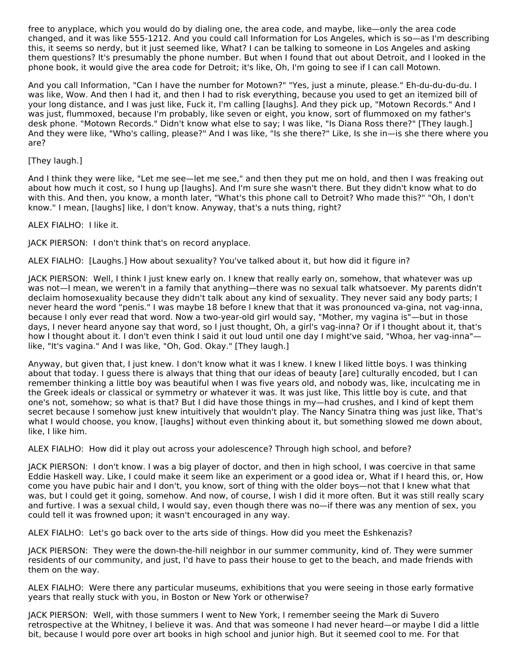free to anyplace, which you would do by dialing one, the area code, and maybe, like—only the area code changed, and it was like 555-1212. And you could call Information for Los Angeles, which is so—as I'm describing this, it seems so nerdy, but it just seemed like, What? I can be talking to someone in Los Angeles and asking them questions? It's presumably the phone number. But when I found that out about Detroit, and I looked in the phone book, it would give the area code for Detroit; it's like, Oh, I'm going to see if I can call Motown.

And you call Information, "Can I have the number for Motown?" "Yes, just a minute, please." Eh-du-du-du-du. I was like, Wow. And then I had it, and then I had to risk everything, because you used to get an itemized bill of your long distance, and I was just like, Fuck it, I'm calling [laughs]. And they pick up, "Motown Records." And I was just, flummoxed, because I'm probably, like seven or eight, you know, sort of flummoxed on my father's desk phone. "Motown Records." Didn't know what else to say; I was like, "Is Diana Ross there?" [They laugh.] And they were like, "Who's calling, please?" And I was like, "Is she there?" Like, Is she in—is she there where you are?

## [They laugh.]

And I think they were like, "Let me see—let me see," and then they put me on hold, and then I was freaking out about how much it cost, so I hung up [laughs]. And I'm sure she wasn't there. But they didn't know what to do with this. And then, you know, a month later, "What's this phone call to Detroit? Who made this?" "Oh, I don't know." I mean, [laughs] like, I don't know. Anyway, that's a nuts thing, right?

## ALEX FIALHO: I like it.

JACK PIERSON: I don't think that's on record anyplace.

ALEX FIALHO: [Laughs.] How about sexuality? You've talked about it, but how did it figure in?

JACK PIERSON: Well, I think I just knew early on. I knew that really early on, somehow, that whatever was up was not—I mean, we weren't in a family that anything—there was no sexual talk whatsoever. My parents didn't declaim homosexuality because they didn't talk about any kind of sexuality. They never said any body parts; I never heard the word "penis." I was maybe 18 before I knew that that it was pronounced va-gina, not vag-inna, because I only ever read that word. Now a two-year-old girl would say, "Mother, my vagina is"—but in those days, I never heard anyone say that word, so I just thought, Oh, a girl's vag-inna? Or if I thought about it, that's how I thought about it. I don't even think I said it out loud until one day I might've said, "Whoa, her vag-inna" like, "It's vagina." And I was like, "Oh, God. Okay." [They laugh.]

Anyway, but given that, I just knew. I don't know what it was I knew. I knew I liked little boys. I was thinking about that today. I guess there is always that thing that our ideas of beauty [are] culturally encoded, but I can remember thinking a little boy was beautiful when I was five years old, and nobody was, like, inculcating me in the Greek ideals or classical or symmetry or whatever it was. It was just like, This little boy is cute, and that one's not, somehow; so what is that? But I did have those things in my—had crushes, and I kind of kept them secret because I somehow just knew intuitively that wouldn't play. The Nancy Sinatra thing was just like, That's what I would choose, you know, [laughs] without even thinking about it, but something slowed me down about, like, I like him.

ALEX FIALHO: How did it play out across your adolescence? Through high school, and before?

JACK PIERSON: I don't know. I was a big player of doctor, and then in high school, I was coercive in that same Eddie Haskell way. Like, I could make it seem like an experiment or a good idea or, What if I heard this, or, How come you have pubic hair and I don't, you know, sort of thing with the older boys—not that I knew what that was, but I could get it going, somehow. And now, of course, I wish I did it more often. But it was still really scary and furtive. I was a sexual child, I would say, even though there was no—if there was any mention of sex, you could tell it was frowned upon; it wasn't encouraged in any way.

ALEX FIALHO: Let's go back over to the arts side of things. How did you meet the Eshkenazis?

JACK PIERSON: They were the down-the-hill neighbor in our summer community, kind of. They were summer residents of our community, and just, I'd have to pass their house to get to the beach, and made friends with them on the way.

ALEX FIALHO: Were there any particular museums, exhibitions that you were seeing in those early formative years that really stuck with you, in Boston or New York or otherwise?

JACK PIERSON: Well, with those summers I went to New York, I remember seeing the Mark di Suvero retrospective at the Whitney, I believe it was. And that was someone I had never heard—or maybe I did a little bit, because I would pore over art books in high school and junior high. But it seemed cool to me. For that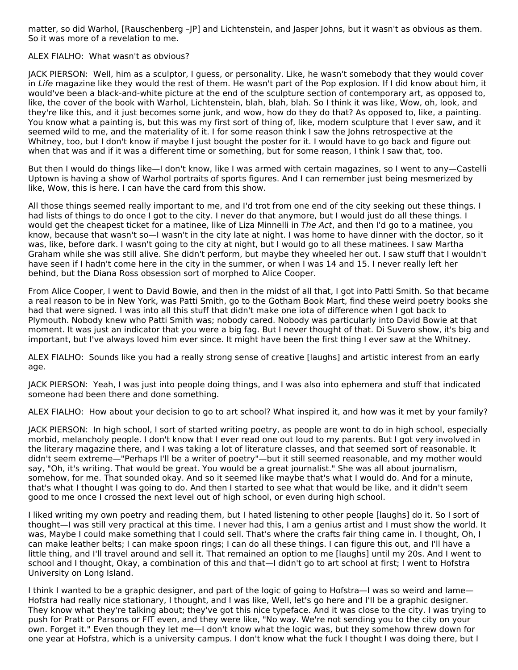matter, so did Warhol, [Rauschenberg -JP] and Lichtenstein, and Jasper Johns, but it wasn't as obvious as them. So it was more of a revelation to me.

## ALEX FIALHO: What wasn't as obvious?

JACK PIERSON: Well, him as a sculptor, I guess, or personality. Like, he wasn't somebody that they would cover in Life magazine like they would the rest of them. He wasn't part of the Pop explosion. If I did know about him, it would've been a black-and-white picture at the end of the sculpture section of contemporary art, as opposed to, like, the cover of the book with Warhol, Lichtenstein, blah, blah, blah. So I think it was like, Wow, oh, look, and they're like this, and it just becomes some junk, and wow, how do they do that? As opposed to, like, a painting. You know what a painting is, but this was my first sort of thing of, like, modern sculpture that I ever saw, and it seemed wild to me, and the materiality of it. I for some reason think I saw the Johns retrospective at the Whitney, too, but I don't know if maybe I just bought the poster for it. I would have to go back and figure out when that was and if it was a different time or something, but for some reason, I think I saw that, too.

But then I would do things like—I don't know, like I was armed with certain magazines, so I went to any—Castelli Uptown is having a show of Warhol portraits of sports figures. And I can remember just being mesmerized by like, Wow, this is here. I can have the card from this show.

All those things seemed really important to me, and I'd trot from one end of the city seeking out these things. I had lists of things to do once I got to the city. I never do that anymore, but I would just do all these things. I would get the cheapest ticket for a matinee, like of Liza Minnelli in The Act, and then I'd go to a matinee, you know, because that wasn't so—I wasn't in the city late at night. I was home to have dinner with the doctor, so it was, like, before dark. I wasn't going to the city at night, but I would go to all these matinees. I saw Martha Graham while she was still alive. She didn't perform, but maybe they wheeled her out. I saw stuff that I wouldn't have seen if I hadn't come here in the city in the summer, or when I was 14 and 15. I never really left her behind, but the Diana Ross obsession sort of morphed to Alice Cooper.

From Alice Cooper, I went to David Bowie, and then in the midst of all that, I got into Patti Smith. So that became a real reason to be in New York, was Patti Smith, go to the Gotham Book Mart, find these weird poetry books she had that were signed. I was into all this stuff that didn't make one iota of difference when I got back to Plymouth. Nobody knew who Patti Smith was; nobody cared. Nobody was particularly into David Bowie at that moment. It was just an indicator that you were a big fag. But I never thought of that. Di Suvero show, it's big and important, but I've always loved him ever since. It might have been the first thing I ever saw at the Whitney.

ALEX FIALHO: Sounds like you had a really strong sense of creative [laughs] and artistic interest from an early age.

JACK PIERSON: Yeah, I was just into people doing things, and I was also into ephemera and stuff that indicated someone had been there and done something.

ALEX FIALHO: How about your decision to go to art school? What inspired it, and how was it met by your family?

JACK PIERSON: In high school, I sort of started writing poetry, as people are wont to do in high school, especially morbid, melancholy people. I don't know that I ever read one out loud to my parents. But I got very involved in the literary magazine there, and I was taking a lot of literature classes, and that seemed sort of reasonable. It didn't seem extreme—"Perhaps I'll be a writer of poetry"—but it still seemed reasonable, and my mother would say, "Oh, it's writing. That would be great. You would be a great journalist." She was all about journalism, somehow, for me. That sounded okay. And so it seemed like maybe that's what I would do. And for a minute, that's what I thought I was going to do. And then I started to see what that would be like, and it didn't seem good to me once I crossed the next level out of high school, or even during high school.

I liked writing my own poetry and reading them, but I hated listening to other people [laughs] do it. So I sort of thought—I was still very practical at this time. I never had this, I am a genius artist and I must show the world. It was, Maybe I could make something that I could sell. That's where the crafts fair thing came in. I thought, Oh, I can make leather belts; I can make spoon rings; I can do all these things. I can figure this out, and I'll have a little thing, and I'll travel around and sell it. That remained an option to me [laughs] until my 20s. And I went to school and I thought, Okay, a combination of this and that—I didn't go to art school at first; I went to Hofstra University on Long Island.

I think I wanted to be a graphic designer, and part of the logic of going to Hofstra—I was so weird and lame— Hofstra had really nice stationary, I thought, and I was like, Well, let's go here and I'll be a graphic designer. They know what they're talking about; they've got this nice typeface. And it was close to the city. I was trying to push for Pratt or Parsons or FIT even, and they were like, "No way. We're not sending you to the city on your own. Forget it." Even though they let me—I don't know what the logic was, but they somehow threw down for one year at Hofstra, which is a university campus. I don't know what the fuck I thought I was doing there, but I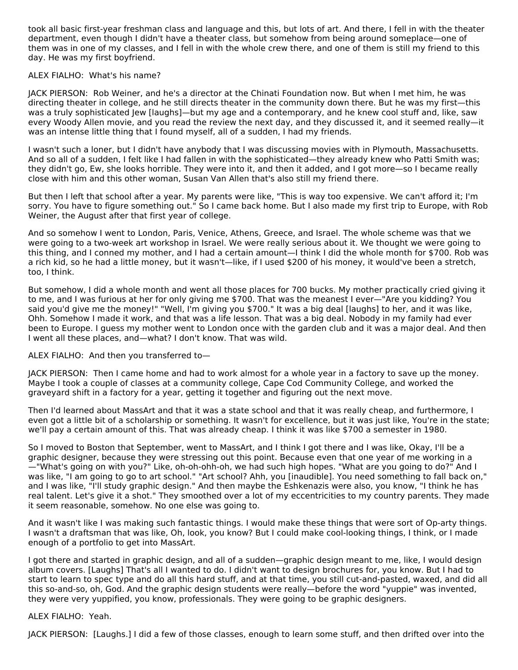took all basic first-year freshman class and language and this, but lots of art. And there, I fell in with the theater department, even though I didn't have a theater class, but somehow from being around someplace—one of them was in one of my classes, and I fell in with the whole crew there, and one of them is still my friend to this day. He was my first boyfriend.

## ALEX FIALHO: What's his name?

JACK PIERSON: Rob Weiner, and he's a director at the Chinati Foundation now. But when I met him, he was directing theater in college, and he still directs theater in the community down there. But he was my first—this was a truly sophisticated Jew [laughs]—but my age and a contemporary, and he knew cool stuff and, like, saw every Woody Allen movie, and you read the review the next day, and they discussed it, and it seemed really—it was an intense little thing that I found myself, all of a sudden, I had my friends.

I wasn't such a loner, but I didn't have anybody that I was discussing movies with in Plymouth, Massachusetts. And so all of a sudden, I felt like I had fallen in with the sophisticated—they already knew who Patti Smith was; they didn't go, Ew, she looks horrible. They were into it, and then it added, and I got more—so I became really close with him and this other woman, Susan Van Allen that's also still my friend there.

But then I left that school after a year. My parents were like, "This is way too expensive. We can't afford it; I'm sorry. You have to figure something out." So I came back home. But I also made my first trip to Europe, with Rob Weiner, the August after that first year of college.

And so somehow I went to London, Paris, Venice, Athens, Greece, and Israel. The whole scheme was that we were going to a two-week art workshop in Israel. We were really serious about it. We thought we were going to this thing, and I conned my mother, and I had a certain amount—I think I did the whole month for \$700. Rob was a rich kid, so he had a little money, but it wasn't—like, if I used \$200 of his money, it would've been a stretch, too, I think.

But somehow, I did a whole month and went all those places for 700 bucks. My mother practically cried giving it to me, and I was furious at her for only giving me \$700. That was the meanest I ever—"Are you kidding? You said you'd give me the money!" "Well, I'm giving you \$700." It was a big deal [laughs] to her, and it was like, Ohh. Somehow I made it work, and that was a life lesson. That was a big deal. Nobody in my family had ever been to Europe. I guess my mother went to London once with the garden club and it was a major deal. And then I went all these places, and—what? I don't know. That was wild.

## ALEX FIALHO: And then you transferred to—

JACK PIERSON: Then I came home and had to work almost for a whole year in a factory to save up the money. Maybe I took a couple of classes at a community college, Cape Cod Community College, and worked the graveyard shift in a factory for a year, getting it together and figuring out the next move.

Then I'd learned about MassArt and that it was a state school and that it was really cheap, and furthermore, I even got a little bit of a scholarship or something. It wasn't for excellence, but it was just like, You're in the state; we'll pay a certain amount of this. That was already cheap. I think it was like \$700 a semester in 1980.

So I moved to Boston that September, went to MassArt, and I think I got there and I was like, Okay, I'll be a graphic designer, because they were stressing out this point. Because even that one year of me working in a —"What's going on with you?" Like, oh-oh-ohh-oh, we had such high hopes. "What are you going to do?" And I was like, "I am going to go to art school." "Art school? Ahh, you [inaudible]. You need something to fall back on," and I was like, "I'll study graphic design." And then maybe the Eshkenazis were also, you know, "I think he has real talent. Let's give it a shot." They smoothed over a lot of my eccentricities to my country parents. They made it seem reasonable, somehow. No one else was going to.

And it wasn't like I was making such fantastic things. I would make these things that were sort of Op-arty things. I wasn't a draftsman that was like, Oh, look, you know? But I could make cool-looking things, I think, or I made enough of a portfolio to get into MassArt.

I got there and started in graphic design, and all of a sudden—graphic design meant to me, like, I would design album covers. [Laughs] That's all I wanted to do. I didn't want to design brochures for, you know. But I had to start to learn to spec type and do all this hard stuff, and at that time, you still cut-and-pasted, waxed, and did all this so-and-so, oh, God. And the graphic design students were really—before the word "yuppie" was invented, they were very yuppified, you know, professionals. They were going to be graphic designers.

## ALEX FIALHO: Yeah.

JACK PIERSON: [Laughs.] I did a few of those classes, enough to learn some stuff, and then drifted over into the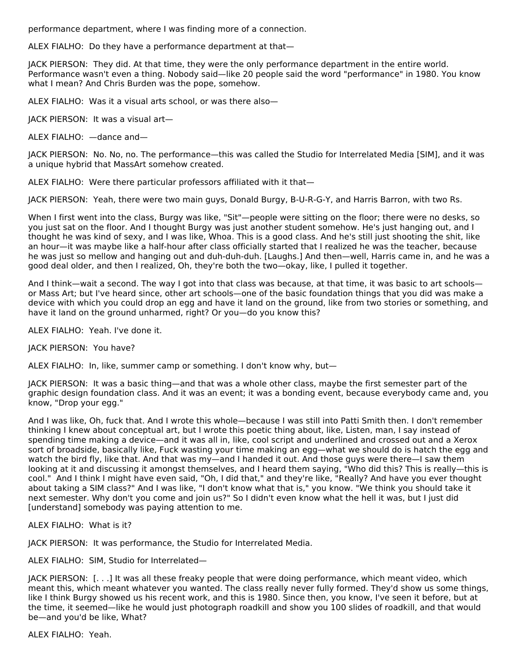performance department, where I was finding more of a connection.

ALEX FIALHO: Do they have a performance department at that—

JACK PIERSON: They did. At that time, they were the only performance department in the entire world. Performance wasn't even a thing. Nobody said—like 20 people said the word "performance" in 1980. You know what I mean? And Chris Burden was the pope, somehow.

ALEX FIALHO: Was it a visual arts school, or was there also—

JACK PIERSON: It was a visual art—

ALEX FIALHO: —dance and—

JACK PIERSON: No. No, no. The performance—this was called the Studio for Interrelated Media [SIM], and it was a unique hybrid that MassArt somehow created.

ALEX FIALHO: Were there particular professors affiliated with it that—

JACK PIERSON: Yeah, there were two main guys, Donald Burgy, B-U-R-G-Y, and Harris Barron, with two Rs.

When I first went into the class, Burgy was like, "Sit"—people were sitting on the floor; there were no desks, so you just sat on the floor. And I thought Burgy was just another student somehow. He's just hanging out, and I thought he was kind of sexy, and I was like, Whoa. This is a good class. And he's still just shooting the shit, like an hour—it was maybe like a half-hour after class officially started that I realized he was the teacher, because he was just so mellow and hanging out and duh-duh-duh. [Laughs.] And then—well, Harris came in, and he was a good deal older, and then I realized, Oh, they're both the two—okay, like, I pulled it together.

And I think—wait a second. The way I got into that class was because, at that time, it was basic to art schools or Mass Art; but I've heard since, other art schools—one of the basic foundation things that you did was make a device with which you could drop an egg and have it land on the ground, like from two stories or something, and have it land on the ground unharmed, right? Or you—do you know this?

ALEX FIALHO: Yeah. I've done it.

JACK PIERSON: You have?

ALEX FIALHO: In, like, summer camp or something. I don't know why, but—

JACK PIERSON: It was a basic thing—and that was a whole other class, maybe the first semester part of the graphic design foundation class. And it was an event; it was a bonding event, because everybody came and, you know, "Drop your egg."

And I was like, Oh, fuck that. And I wrote this whole—because I was still into Patti Smith then. I don't remember thinking I knew about conceptual art, but I wrote this poetic thing about, like, Listen, man, I say instead of spending time making a device—and it was all in, like, cool script and underlined and crossed out and a Xerox sort of broadside, basically like, Fuck wasting your time making an egg—what we should do is hatch the egg and watch the bird fly, like that. And that was my—and I handed it out. And those guys were there—I saw them looking at it and discussing it amongst themselves, and I heard them saying, "Who did this? This is really—this is cool." And I think I might have even said, "Oh, I did that," and they're like, "Really? And have you ever thought about taking a SIM class?" And I was like, "I don't know what that is," you know. "We think you should take it next semester. Why don't you come and join us?" So I didn't even know what the hell it was, but I just did [understand] somebody was paying attention to me.

ALEX FIALHO: What is it?

JACK PIERSON: It was performance, the Studio for Interrelated Media.

ALEX FIALHO: SIM, Studio for Interrelated—

JACK PIERSON: [. . .] It was all these freaky people that were doing performance, which meant video, which meant this, which meant whatever you wanted. The class really never fully formed. They'd show us some things, like I think Burgy showed us his recent work, and this is 1980. Since then, you know, I've seen it before, but at the time, it seemed—like he would just photograph roadkill and show you 100 slides of roadkill, and that would be—and you'd be like, What?

ALEX FIALHO: Yeah.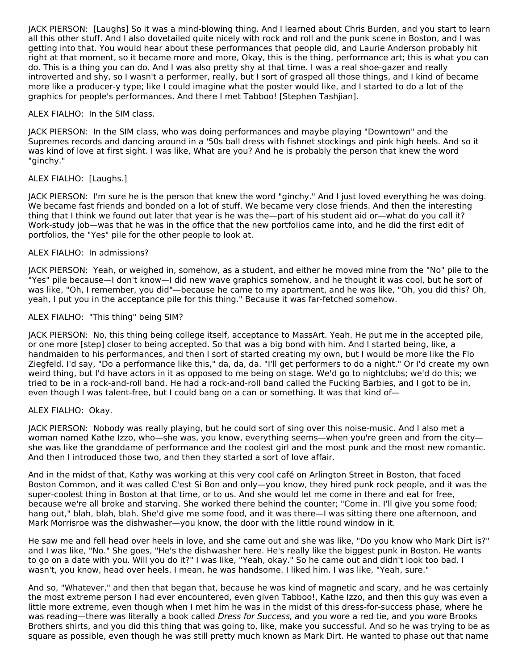JACK PIERSON: [Laughs] So it was a mind-blowing thing. And I learned about Chris Burden, and you start to learn all this other stuff. And I also dovetailed quite nicely with rock and roll and the punk scene in Boston, and I was getting into that. You would hear about these performances that people did, and Laurie Anderson probably hit right at that moment, so it became more and more, Okay, this is the thing, performance art; this is what you can do. This is a thing you can do. And I was also pretty shy at that time. I was a real shoe-gazer and really introverted and shy, so I wasn't a performer, really, but I sort of grasped all those things, and I kind of became more like a producer-y type; like I could imagine what the poster would like, and I started to do a lot of the graphics for people's performances. And there I met Tabboo! [Stephen Tashjian].

## ALEX FIALHO: In the SIM class.

JACK PIERSON: In the SIM class, who was doing performances and maybe playing "Downtown" and the Supremes records and dancing around in a '50s ball dress with fishnet stockings and pink high heels. And so it was kind of love at first sight. I was like, What are you? And he is probably the person that knew the word "ginchy."

## ALEX FIALHO: [Laughs.]

JACK PIERSON: I'm sure he is the person that knew the word "ginchy." And I just loved everything he was doing. We became fast friends and bonded on a lot of stuff. We became very close friends. And then the interesting thing that I think we found out later that year is he was the—part of his student aid or—what do you call it? Work-study job—was that he was in the office that the new portfolios came into, and he did the first edit of portfolios, the "Yes" pile for the other people to look at.

## ALEX FIALHO: In admissions?

JACK PIERSON: Yeah, or weighed in, somehow, as a student, and either he moved mine from the "No" pile to the "Yes" pile because—I don't know—I did new wave graphics somehow, and he thought it was cool, but he sort of was like, "Oh, I remember, you did"—because he came to my apartment, and he was like, "Oh, you did this? Oh, yeah, I put you in the acceptance pile for this thing." Because it was far-fetched somehow.

## ALEX FIALHO: "This thing" being SIM?

JACK PIERSON: No, this thing being college itself, acceptance to MassArt. Yeah. He put me in the accepted pile, or one more [step] closer to being accepted. So that was a big bond with him. And I started being, like, a handmaiden to his performances, and then I sort of started creating my own, but I would be more like the Flo Ziegfeld. I'd say, "Do a performance like this," da, da, da. "I'll get performers to do a night." Or I'd create my own weird thing, but I'd have actors in it as opposed to me being on stage. We'd go to nightclubs; we'd do this; we tried to be in a rock-and-roll band. He had a rock-and-roll band called the Fucking Barbies, and I got to be in, even though I was talent-free, but I could bang on a can or something. It was that kind of—

## ALEX FIALHO: Okay.

JACK PIERSON: Nobody was really playing, but he could sort of sing over this noise-music. And I also met a woman named Kathe Izzo, who—she was, you know, everything seems—when you're green and from the city she was like the granddame of performance and the coolest girl and the most punk and the most new romantic. And then I introduced those two, and then they started a sort of love affair.

And in the midst of that, Kathy was working at this very cool café on Arlington Street in Boston, that faced Boston Common, and it was called C'est Si Bon and only—you know, they hired punk rock people, and it was the super-coolest thing in Boston at that time, or to us. And she would let me come in there and eat for free, because we're all broke and starving. She worked there behind the counter; "Come in. I'll give you some food; hang out," blah, blah, blah. She'd give me some food, and it was there—I was sitting there one afternoon, and Mark Morrisroe was the dishwasher—you know, the door with the little round window in it.

He saw me and fell head over heels in love, and she came out and she was like, "Do you know who Mark Dirt is?" and I was like, "No." She goes, "He's the dishwasher here. He's really like the biggest punk in Boston. He wants to go on a date with you. Will you do it?" I was like, "Yeah, okay." So he came out and didn't look too bad. I wasn't, you know, head over heels. I mean, he was handsome. I liked him. I was like, "Yeah, sure."

And so, "Whatever," and then that began that, because he was kind of magnetic and scary, and he was certainly the most extreme person I had ever encountered, even given Tabboo!, Kathe Izzo, and then this guy was even a little more extreme, even though when I met him he was in the midst of this dress-for-success phase, where he was reading—there was literally a book called Dress for Success, and you wore a red tie, and you wore Brooks Brothers shirts, and you did this thing that was going to, like, make you successful. And so he was trying to be as square as possible, even though he was still pretty much known as Mark Dirt. He wanted to phase out that name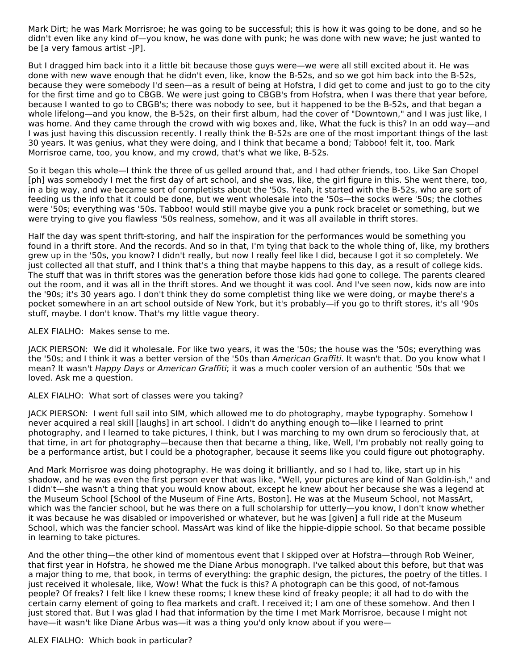Mark Dirt; he was Mark Morrisroe; he was going to be successful; this is how it was going to be done, and so he didn't even like any kind of—you know, he was done with punk; he was done with new wave; he just wanted to be [a very famous artist -JP].

But I dragged him back into it a little bit because those guys were—we were all still excited about it. He was done with new wave enough that he didn't even, like, know the B-52s, and so we got him back into the B-52s, because they were somebody I'd seen—as a result of being at Hofstra, I did get to come and just to go to the city for the first time and go to CBGB. We were just going to CBGB's from Hofstra, when I was there that year before, because I wanted to go to CBGB's; there was nobody to see, but it happened to be the B-52s, and that began a whole lifelong—and you know, the B-52s, on their first album, had the cover of "Downtown," and I was just like, I was home. And they came through the crowd with wig boxes and, like, What the fuck is this? In an odd way—and I was just having this discussion recently. I really think the B-52s are one of the most important things of the last 30 years. It was genius, what they were doing, and I think that became a bond; Tabboo! felt it, too. Mark Morrisroe came, too, you know, and my crowd, that's what we like, B-52s.

So it began this whole—I think the three of us gelled around that, and I had other friends, too. Like San Chopel [ph] was somebody I met the first day of art school, and she was, like, the girl figure in this. She went there, too, in a big way, and we became sort of completists about the '50s. Yeah, it started with the B-52s, who are sort of feeding us the info that it could be done, but we went wholesale into the '50s—the socks were '50s; the clothes were '50s; everything was '50s. Tabboo! would still maybe give you a punk rock bracelet or something, but we were trying to give you flawless '50s realness, somehow, and it was all available in thrift stores.

Half the day was spent thrift-storing, and half the inspiration for the performances would be something you found in a thrift store. And the records. And so in that, I'm tying that back to the whole thing of, like, my brothers grew up in the '50s, you know? I didn't really, but now I really feel like I did, because I got it so completely. We just collected all that stuff, and I think that's a thing that maybe happens to this day, as a result of college kids. The stuff that was in thrift stores was the generation before those kids had gone to college. The parents cleared out the room, and it was all in the thrift stores. And we thought it was cool. And I've seen now, kids now are into the '90s; it's 30 years ago. I don't think they do some completist thing like we were doing, or maybe there's a pocket somewhere in an art school outside of New York, but it's probably—if you go to thrift stores, it's all '90s stuff, maybe. I don't know. That's my little vague theory.

ALEX FIALHO: Makes sense to me.

JACK PIERSON: We did it wholesale. For like two years, it was the '50s; the house was the '50s; everything was the '50s; and I think it was a better version of the '50s than American Graffiti. It wasn't that. Do you know what I mean? It wasn't Happy Days or American Graffiti; it was a much cooler version of an authentic '50s that we loved. Ask me a question.

## ALEX FIALHO: What sort of classes were you taking?

JACK PIERSON: I went full sail into SIM, which allowed me to do photography, maybe typography. Somehow I never acquired a real skill [laughs] in art school. I didn't do anything enough to—like I learned to print photography, and I learned to take pictures, I think, but I was marching to my own drum so ferociously that, at that time, in art for photography—because then that became a thing, like, Well, I'm probably not really going to be a performance artist, but I could be a photographer, because it seems like you could figure out photography.

And Mark Morrisroe was doing photography. He was doing it brilliantly, and so I had to, like, start up in his shadow, and he was even the first person ever that was like, "Well, your pictures are kind of Nan Goldin-ish," and I didn't—she wasn't a thing that you would know about, except he knew about her because she was a legend at the Museum School [School of the Museum of Fine Arts, Boston]. He was at the Museum School, not MassArt, which was the fancier school, but he was there on a full scholarship for utterly—you know, I don't know whether it was because he was disabled or impoverished or whatever, but he was [given] a full ride at the Museum School, which was the fancier school. MassArt was kind of like the hippie-dippie school. So that became possible in learning to take pictures.

And the other thing—the other kind of momentous event that I skipped over at Hofstra—through Rob Weiner, that first year in Hofstra, he showed me the Diane Arbus monograph. I've talked about this before, but that was a major thing to me, that book, in terms of everything: the graphic design, the pictures, the poetry of the titles. I just received it wholesale, like, Wow! What the fuck is this? A photograph can be this good, of not-famous people? Of freaks? I felt like I knew these rooms; I knew these kind of freaky people; it all had to do with the certain carny element of going to flea markets and craft. I received it; I am one of these somehow. And then I just stored that. But I was glad I had that information by the time I met Mark Morrisroe, because I might not have—it wasn't like Diane Arbus was—it was a thing you'd only know about if you were—

ALEX FIALHO: Which book in particular?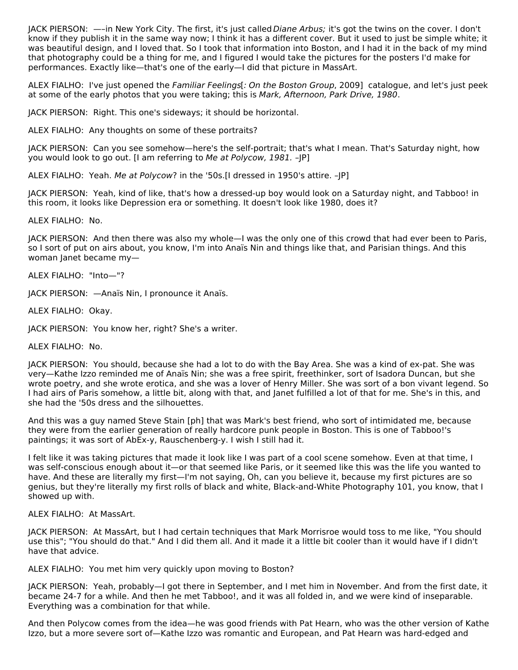JACK PIERSON: —–in New York City. The first, it's just called Diane Arbus; it's got the twins on the cover. I don't know if they publish it in the same way now; I think it has a different cover. But it used to just be simple white; it was beautiful design, and I loved that. So I took that information into Boston, and I had it in the back of my mind that photography could be a thing for me, and I figured I would take the pictures for the posters I'd make for performances. Exactly like—that's one of the early—I did that picture in MassArt.

ALEX FIALHO: I've just opened the Familiar Feelings [: On the Boston Group, 2009] catalogue, and let's just peek at some of the early photos that you were taking; this is Mark, Afternoon, Park Drive, 1980.

JACK PIERSON: Right. This one's sideways; it should be horizontal.

ALEX FIALHO: Any thoughts on some of these portraits?

JACK PIERSON: Can you see somehow—here's the self-portrait; that's what I mean. That's Saturday night, how you would look to go out. [I am referring to Me at Polycow, 1981. –JP]

ALEX FIALHO: Yeah. Me at Polycow? in the '50s.[I dressed in 1950's attire. - |P]

JACK PIERSON: Yeah, kind of like, that's how a dressed-up boy would look on a Saturday night, and Tabboo! in this room, it looks like Depression era or something. It doesn't look like 1980, does it?

ALEX FIALHO: No.

JACK PIERSON: And then there was also my whole—I was the only one of this crowd that had ever been to Paris, so I sort of put on airs about, you know, I'm into Anaïs Nin and things like that, and Parisian things. And this woman Janet became my—

ALEX FIALHO: "Into—"?

JACK PIERSON: —Anaïs Nin, I pronounce it Anaïs.

ALEX FIALHO: Okay.

JACK PIERSON: You know her, right? She's a writer.

ALEX FIALHO: No.

JACK PIERSON: You should, because she had a lot to do with the Bay Area. She was a kind of ex-pat. She was very—Kathe Izzo reminded me of Anaïs Nin; she was a free spirit, freethinker, sort of Isadora Duncan, but she wrote poetry, and she wrote erotica, and she was a lover of Henry Miller. She was sort of a bon vivant legend. So I had airs of Paris somehow, a little bit, along with that, and Janet fulfilled a lot of that for me. She's in this, and she had the '50s dress and the silhouettes.

And this was a guy named Steve Stain [ph] that was Mark's best friend, who sort of intimidated me, because they were from the earlier generation of really hardcore punk people in Boston. This is one of Tabboo!'s paintings; it was sort of AbEx-y, Rauschenberg-y. I wish I still had it.

I felt like it was taking pictures that made it look like I was part of a cool scene somehow. Even at that time, I was self-conscious enough about it—or that seemed like Paris, or it seemed like this was the life you wanted to have. And these are literally my first—I'm not saying, Oh, can you believe it, because my first pictures are so genius, but they're literally my first rolls of black and white, Black-and-White Photography 101, you know, that I showed up with.

ALEX FIALHO: At MassArt.

JACK PIERSON: At MassArt, but I had certain techniques that Mark Morrisroe would toss to me like, "You should use this"; "You should do that." And I did them all. And it made it a little bit cooler than it would have if I didn't have that advice.

ALEX FIALHO: You met him very quickly upon moving to Boston?

JACK PIERSON: Yeah, probably—I got there in September, and I met him in November. And from the first date, it became 24-7 for a while. And then he met Tabboo!, and it was all folded in, and we were kind of inseparable. Everything was a combination for that while.

And then Polycow comes from the idea—he was good friends with Pat Hearn, who was the other version of Kathe Izzo, but a more severe sort of—Kathe Izzo was romantic and European, and Pat Hearn was hard-edged and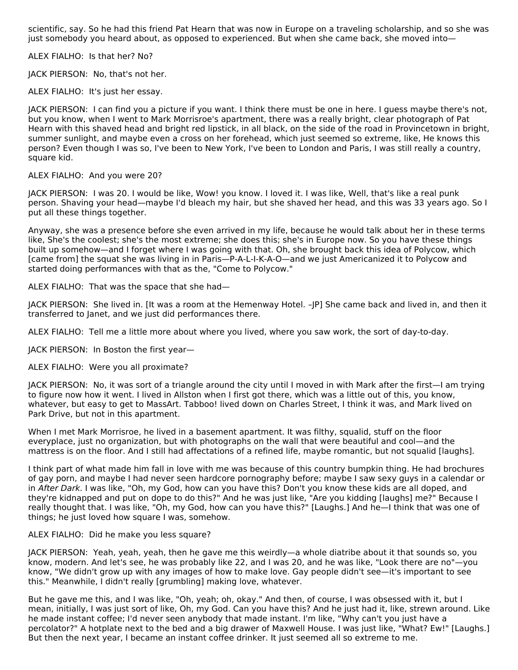scientific, say. So he had this friend Pat Hearn that was now in Europe on a traveling scholarship, and so she was just somebody you heard about, as opposed to experienced. But when she came back, she moved into—

ALEX FIALHO: Is that her? No?

JACK PIERSON: No, that's not her.

ALEX FIALHO: It's just her essay.

JACK PIERSON: I can find you a picture if you want. I think there must be one in here. I guess maybe there's not, but you know, when I went to Mark Morrisroe's apartment, there was a really bright, clear photograph of Pat Hearn with this shaved head and bright red lipstick, in all black, on the side of the road in Provincetown in bright, summer sunlight, and maybe even a cross on her forehead, which just seemed so extreme, like, He knows this person? Even though I was so, I've been to New York, I've been to London and Paris, I was still really a country, square kid.

#### ALEX FIALHO: And you were 20?

JACK PIERSON: I was 20. I would be like, Wow! you know. I loved it. I was like, Well, that's like a real punk person. Shaving your head—maybe I'd bleach my hair, but she shaved her head, and this was 33 years ago. So I put all these things together.

Anyway, she was a presence before she even arrived in my life, because he would talk about her in these terms like, She's the coolest; she's the most extreme; she does this; she's in Europe now. So you have these things built up somehow—and I forget where I was going with that. Oh, she brought back this idea of Polycow, which [came from] the squat she was living in in Paris—P-A-L-I-K-A-O—and we just Americanized it to Polycow and started doing performances with that as the, "Come to Polycow."

ALEX FIALHO: That was the space that she had—

JACK PIERSON: She lived in. [It was a room at the Hemenway Hotel. –JP] She came back and lived in, and then it transferred to Janet, and we just did performances there.

ALEX FIALHO: Tell me a little more about where you lived, where you saw work, the sort of day-to-day.

JACK PIERSON: In Boston the first year—

## ALEX FIALHO: Were you all proximate?

JACK PIERSON: No, it was sort of a triangle around the city until I moved in with Mark after the first—I am trying to figure now how it went. I lived in Allston when I first got there, which was a little out of this, you know, whatever, but easy to get to MassArt. Tabboo! lived down on Charles Street, I think it was, and Mark lived on Park Drive, but not in this apartment.

When I met Mark Morrisroe, he lived in a basement apartment. It was filthy, squalid, stuff on the floor everyplace, just no organization, but with photographs on the wall that were beautiful and cool—and the mattress is on the floor. And I still had affectations of a refined life, maybe romantic, but not squalid [laughs].

I think part of what made him fall in love with me was because of this country bumpkin thing. He had brochures of gay porn, and maybe I had never seen hardcore pornography before; maybe I saw sexy guys in a calendar or in After Dark. I was like, "Oh, my God, how can you have this? Don't you know these kids are all doped, and they're kidnapped and put on dope to do this?" And he was just like, "Are you kidding [laughs] me?" Because I really thought that. I was like, "Oh, my God, how can you have this?" [Laughs.] And he—I think that was one of things; he just loved how square I was, somehow.

#### ALEX FIALHO: Did he make you less square?

JACK PIERSON: Yeah, yeah, yeah, then he gave me this weirdly—a whole diatribe about it that sounds so, you know, modern. And let's see, he was probably like 22, and I was 20, and he was like, "Look there are no"—you know, "We didn't grow up with any images of how to make love. Gay people didn't see—it's important to see this." Meanwhile, I didn't really [grumbling] making love, whatever.

But he gave me this, and I was like, "Oh, yeah; oh, okay." And then, of course, I was obsessed with it, but I mean, initially, I was just sort of like, Oh, my God. Can you have this? And he just had it, like, strewn around. Like he made instant coffee; I'd never seen anybody that made instant. I'm like, "Why can't you just have a percolator?" A hotplate next to the bed and a big drawer of Maxwell House. I was just like, "What? Ew!" [Laughs.] But then the next year, I became an instant coffee drinker. It just seemed all so extreme to me.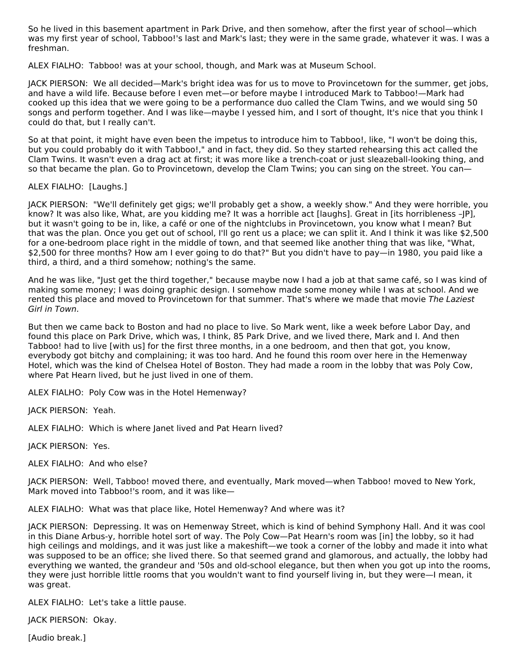So he lived in this basement apartment in Park Drive, and then somehow, after the first year of school—which was my first year of school, Tabboo!'s last and Mark's last; they were in the same grade, whatever it was. I was a freshman.

ALEX FIALHO: Tabboo! was at your school, though, and Mark was at Museum School.

JACK PIERSON: We all decided—Mark's bright idea was for us to move to Provincetown for the summer, get jobs, and have a wild life. Because before I even met—or before maybe I introduced Mark to Tabboo!—Mark had cooked up this idea that we were going to be a performance duo called the Clam Twins, and we would sing 50 songs and perform together. And I was like—maybe I yessed him, and I sort of thought, It's nice that you think I could do that, but I really can't.

So at that point, it might have even been the impetus to introduce him to Tabboo!, like, "I won't be doing this, but you could probably do it with Tabboo!," and in fact, they did. So they started rehearsing this act called the Clam Twins. It wasn't even a drag act at first; it was more like a trench-coat or just sleazeball-looking thing, and so that became the plan. Go to Provincetown, develop the Clam Twins; you can sing on the street. You can—

## ALEX FIALHO: [Laughs.]

JACK PIERSON: "We'll definitely get gigs; we'll probably get a show, a weekly show." And they were horrible, you know? It was also like, What, are you kidding me? It was a horrible act [laughs]. Great in [its horribleness –JP], but it wasn't going to be in, like, a café or one of the nightclubs in Provincetown, you know what I mean? But that was the plan. Once you get out of school, I'll go rent us a place; we can split it. And I think it was like \$2,500 for a one-bedroom place right in the middle of town, and that seemed like another thing that was like, "What, \$2,500 for three months? How am I ever going to do that?" But you didn't have to pay—in 1980, you paid like a third, a third, and a third somehow; nothing's the same.

And he was like, "Just get the third together," because maybe now I had a job at that same café, so I was kind of making some money; I was doing graphic design. I somehow made some money while I was at school. And we rented this place and moved to Provincetown for that summer. That's where we made that movie The Laziest Girl in Town.

But then we came back to Boston and had no place to live. So Mark went, like a week before Labor Day, and found this place on Park Drive, which was, I think, 85 Park Drive, and we lived there, Mark and I. And then Tabboo! had to live [with us] for the first three months, in a one bedroom, and then that got, you know, everybody got bitchy and complaining; it was too hard. And he found this room over here in the Hemenway Hotel, which was the kind of Chelsea Hotel of Boston. They had made a room in the lobby that was Poly Cow, where Pat Hearn lived, but he just lived in one of them.

ALEX FIALHO: Poly Cow was in the Hotel Hemenway?

JACK PIERSON: Yeah.

ALEX FIALHO: Which is where Janet lived and Pat Hearn lived?

JACK PIERSON: Yes.

ALEX FIALHO: And who else?

JACK PIERSON: Well, Tabboo! moved there, and eventually, Mark moved—when Tabboo! moved to New York, Mark moved into Tabboo!'s room, and it was like—

ALEX FIALHO: What was that place like, Hotel Hemenway? And where was it?

JACK PIERSON: Depressing. It was on Hemenway Street, which is kind of behind Symphony Hall. And it was cool in this Diane Arbus-y, horrible hotel sort of way. The Poly Cow—Pat Hearn's room was [in] the lobby, so it had high ceilings and moldings, and it was just like a makeshift—we took a corner of the lobby and made it into what was supposed to be an office; she lived there. So that seemed grand and glamorous, and actually, the lobby had everything we wanted, the grandeur and '50s and old-school elegance, but then when you got up into the rooms, they were just horrible little rooms that you wouldn't want to find yourself living in, but they were—I mean, it was great.

ALEX FIALHO: Let's take a little pause.

JACK PIERSON: Okay.

[Audio break.]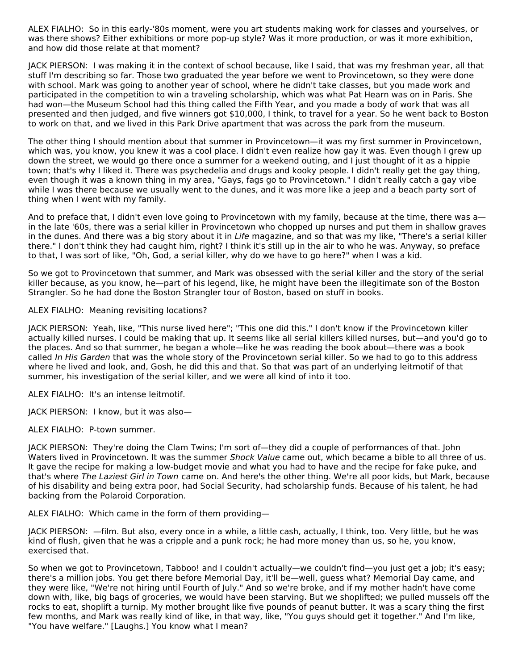ALEX FIALHO: So in this early-'80s moment, were you art students making work for classes and yourselves, or was there shows? Either exhibitions or more pop-up style? Was it more production, or was it more exhibition, and how did those relate at that moment?

JACK PIERSON: I was making it in the context of school because, like I said, that was my freshman year, all that stuff I'm describing so far. Those two graduated the year before we went to Provincetown, so they were done with school. Mark was going to another year of school, where he didn't take classes, but you made work and participated in the competition to win a traveling scholarship, which was what Pat Hearn was on in Paris. She had won—the Museum School had this thing called the Fifth Year, and you made a body of work that was all presented and then judged, and five winners got \$10,000, I think, to travel for a year. So he went back to Boston to work on that, and we lived in this Park Drive apartment that was across the park from the museum.

The other thing I should mention about that summer in Provincetown—it was my first summer in Provincetown, which was, you know, you knew it was a cool place. I didn't even realize how gay it was. Even though I grew up down the street, we would go there once a summer for a weekend outing, and I just thought of it as a hippie town; that's why I liked it. There was psychedelia and drugs and kooky people. I didn't really get the gay thing, even though it was a known thing in my area, "Gays, fags go to Provincetown." I didn't really catch a gay vibe while I was there because we usually went to the dunes, and it was more like a jeep and a beach party sort of thing when I went with my family.

And to preface that, I didn't even love going to Provincetown with my family, because at the time, there was ain the late '60s, there was a serial killer in Provincetown who chopped up nurses and put them in shallow graves in the dunes. And there was a big story about it in Life magazine, and so that was my like, "There's a serial killer there." I don't think they had caught him, right? I think it's still up in the air to who he was. Anyway, so preface to that, I was sort of like, "Oh, God, a serial killer, why do we have to go here?" when I was a kid.

So we got to Provincetown that summer, and Mark was obsessed with the serial killer and the story of the serial killer because, as you know, he—part of his legend, like, he might have been the illegitimate son of the Boston Strangler. So he had done the Boston Strangler tour of Boston, based on stuff in books.

ALEX FIALHO: Meaning revisiting locations?

JACK PIERSON: Yeah, like, "This nurse lived here"; "This one did this." I don't know if the Provincetown killer actually killed nurses. I could be making that up. It seems like all serial killers killed nurses, but—and you'd go to the places. And so that summer, he began a whole—like he was reading the book about—there was a book called In His Garden that was the whole story of the Provincetown serial killer. So we had to go to this address where he lived and look, and, Gosh, he did this and that. So that was part of an underlying leitmotif of that summer, his investigation of the serial killer, and we were all kind of into it too.

ALEX FIALHO: It's an intense leitmotif.

JACK PIERSON: I know, but it was also—

ALEX FIALHO: P-town summer.

JACK PIERSON: They're doing the Clam Twins; I'm sort of—they did a couple of performances of that. John Waters lived in Provincetown. It was the summer Shock Value came out, which became a bible to all three of us. It gave the recipe for making a low-budget movie and what you had to have and the recipe for fake puke, and that's where The Laziest Girl in Town came on. And here's the other thing. We're all poor kids, but Mark, because of his disability and being extra poor, had Social Security, had scholarship funds. Because of his talent, he had backing from the Polaroid Corporation.

ALEX FIALHO: Which came in the form of them providing—

JACK PIERSON: —film. But also, every once in a while, a little cash, actually, I think, too. Very little, but he was kind of flush, given that he was a cripple and a punk rock; he had more money than us, so he, you know, exercised that.

So when we got to Provincetown, Tabboo! and I couldn't actually—we couldn't find—you just get a job; it's easy; there's a million jobs. You get there before Memorial Day, it'll be—well, guess what? Memorial Day came, and they were like, "We're not hiring until Fourth of July." And so we're broke, and if my mother hadn't have come down with, like, big bags of groceries, we would have been starving. But we shoplifted; we pulled mussels off the rocks to eat, shoplift a turnip. My mother brought like five pounds of peanut butter. It was a scary thing the first few months, and Mark was really kind of like, in that way, like, "You guys should get it together." And I'm like, "You have welfare." [Laughs.] You know what I mean?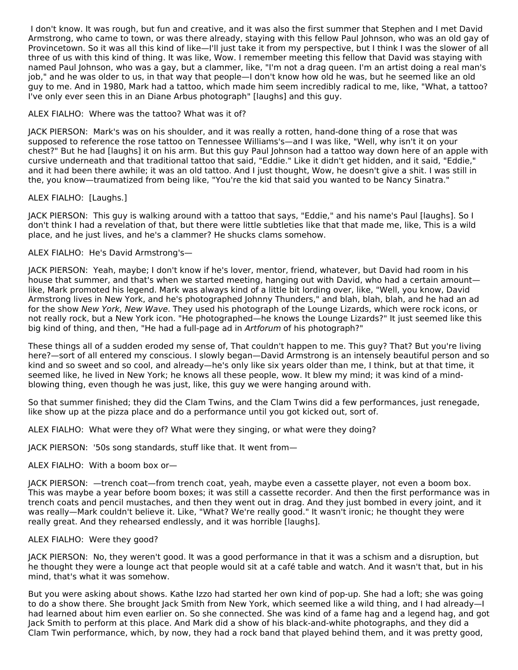I don't know. It was rough, but fun and creative, and it was also the first summer that Stephen and I met David Armstrong, who came to town, or was there already, staying with this fellow Paul Johnson, who was an old gay of Provincetown. So it was all this kind of like—I'll just take it from my perspective, but I think I was the slower of all three of us with this kind of thing. It was like, Wow. I remember meeting this fellow that David was staying with named Paul Johnson, who was a gay, but a clammer, like, "I'm not a drag queen. I'm an artist doing a real man's job," and he was older to us, in that way that people—I don't know how old he was, but he seemed like an old guy to me. And in 1980, Mark had a tattoo, which made him seem incredibly radical to me, like, "What, a tattoo? I've only ever seen this in an Diane Arbus photograph" [laughs] and this guy.

## ALEX FIALHO: Where was the tattoo? What was it of?

JACK PIERSON: Mark's was on his shoulder, and it was really a rotten, hand-done thing of a rose that was supposed to reference the rose tattoo on Tennessee Williams's—and I was like, "Well, why isn't it on your chest?" But he had [laughs] it on his arm. But this guy Paul Johnson had a tattoo way down here of an apple with cursive underneath and that traditional tattoo that said, "Eddie." Like it didn't get hidden, and it said, "Eddie," and it had been there awhile; it was an old tattoo. And I just thought, Wow, he doesn't give a shit. I was still in the, you know—traumatized from being like, "You're the kid that said you wanted to be Nancy Sinatra."

## ALEX FIALHO: [Laughs.]

JACK PIERSON: This guy is walking around with a tattoo that says, "Eddie," and his name's Paul [laughs]. So I don't think I had a revelation of that, but there were little subtleties like that that made me, like, This is a wild place, and he just lives, and he's a clammer? He shucks clams somehow.

## ALEX FIALHO: He's David Armstrong's—

JACK PIERSON: Yeah, maybe; I don't know if he's lover, mentor, friend, whatever, but David had room in his house that summer, and that's when we started meeting, hanging out with David, who had a certain amount like, Mark promoted his legend. Mark was always kind of a little bit lording over, like, "Well, you know, David Armstrong lives in New York, and he's photographed Johnny Thunders," and blah, blah, blah, and he had an ad for the show New York, New Wave. They used his photograph of the Lounge Lizards, which were rock icons, or not really rock, but a New York icon. "He photographed—he knows the Lounge Lizards?" It just seemed like this big kind of thing, and then, "He had a full-page ad in Artforum of his photograph?"

These things all of a sudden eroded my sense of, That couldn't happen to me. This guy? That? But you're living here?—sort of all entered my conscious. I slowly began—David Armstrong is an intensely beautiful person and so kind and so sweet and so cool, and already—he's only like six years older than me, I think, but at that time, it seemed like, he lived in New York; he knows all these people, wow. It blew my mind; it was kind of a mindblowing thing, even though he was just, like, this guy we were hanging around with.

So that summer finished; they did the Clam Twins, and the Clam Twins did a few performances, just renegade, like show up at the pizza place and do a performance until you got kicked out, sort of.

ALEX FIALHO: What were they of? What were they singing, or what were they doing?

JACK PIERSON: '50s song standards, stuff like that. It went from—

## ALEX FIALHO: With a boom box or—

JACK PIERSON: —trench coat—from trench coat, yeah, maybe even a cassette player, not even a boom box. This was maybe a year before boom boxes; it was still a cassette recorder. And then the first performance was in trench coats and pencil mustaches, and then they went out in drag. And they just bombed in every joint, and it was really—Mark couldn't believe it. Like, "What? We're really good." It wasn't ironic; he thought they were really great. And they rehearsed endlessly, and it was horrible [laughs].

## ALEX FIALHO: Were they good?

JACK PIERSON: No, they weren't good. It was a good performance in that it was a schism and a disruption, but he thought they were a lounge act that people would sit at a café table and watch. And it wasn't that, but in his mind, that's what it was somehow.

But you were asking about shows. Kathe Izzo had started her own kind of pop-up. She had a loft; she was going to do a show there. She brought Jack Smith from New York, which seemed like a wild thing, and I had already—I had learned about him even earlier on. So she connected. She was kind of a fame hag and a legend hag, and got Jack Smith to perform at this place. And Mark did a show of his black-and-white photographs, and they did a Clam Twin performance, which, by now, they had a rock band that played behind them, and it was pretty good,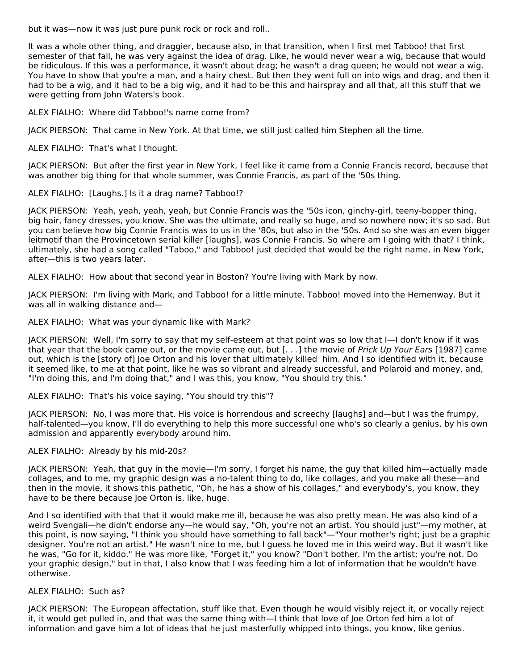but it was—now it was just pure punk rock or rock and roll..

It was a whole other thing, and draggier, because also, in that transition, when I first met Tabboo! that first semester of that fall, he was very against the idea of drag. Like, he would never wear a wig, because that would be ridiculous. If this was a performance, it wasn't about drag; he wasn't a drag queen; he would not wear a wig. You have to show that you're a man, and a hairy chest. But then they went full on into wigs and drag, and then it had to be a wig, and it had to be a big wig, and it had to be this and hairspray and all that, all this stuff that we were getting from John Waters's book.

ALEX FIALHO: Where did Tabboo!'s name come from?

JACK PIERSON: That came in New York. At that time, we still just called him Stephen all the time.

ALEX FIALHO: That's what I thought.

JACK PIERSON: But after the first year in New York, I feel like it came from a Connie Francis record, because that was another big thing for that whole summer, was Connie Francis, as part of the '50s thing.

ALEX FIALHO: [Laughs.] Is it a drag name? Tabboo!?

JACK PIERSON: Yeah, yeah, yeah, yeah, but Connie Francis was the '50s icon, ginchy-girl, teeny-bopper thing, big hair, fancy dresses, you know. She was the ultimate, and really so huge, and so nowhere now; it's so sad. But you can believe how big Connie Francis was to us in the '80s, but also in the '50s. And so she was an even bigger leitmotif than the Provincetown serial killer [laughs], was Connie Francis. So where am I going with that? I think, ultimately, she had a song called "Taboo," and Tabboo! just decided that would be the right name, in New York, after—this is two years later.

ALEX FIALHO: How about that second year in Boston? You're living with Mark by now.

JACK PIERSON: I'm living with Mark, and Tabboo! for a little minute. Tabboo! moved into the Hemenway. But it was all in walking distance and—

ALEX FIALHO: What was your dynamic like with Mark?

JACK PIERSON: Well, I'm sorry to say that my self-esteem at that point was so low that I—I don't know if it was that year that the book came out, or the movie came out, but [...] the movie of Prick Up Your Ears [1987] came out, which is the [story of] Joe Orton and his lover that ultimately killed him. And I so identified with it, because it seemed like, to me at that point, like he was so vibrant and already successful, and Polaroid and money, and, "I'm doing this, and I'm doing that," and I was this, you know, "You should try this."

## ALEX FIALHO: That's his voice saying, "You should try this"?

JACK PIERSON: No, I was more that. His voice is horrendous and screechy [laughs] and—but I was the frumpy, half-talented—you know, I'll do everything to help this more successful one who's so clearly a genius, by his own admission and apparently everybody around him.

## ALEX FIALHO: Already by his mid-20s?

JACK PIERSON: Yeah, that guy in the movie—I'm sorry, I forget his name, the guy that killed him—actually made collages, and to me, my graphic design was a no-talent thing to do, like collages, and you make all these—and then in the movie, it shows this pathetic, "Oh, he has a show of his collages," and everybody's, you know, they have to be there because Joe Orton is, like, huge.

And I so identified with that that it would make me ill, because he was also pretty mean. He was also kind of a weird Svengali—he didn't endorse any—he would say, "Oh, you're not an artist. You should just"—my mother, at this point, is now saying, "I think you should have something to fall back"—"Your mother's right; just be a graphic designer. You're not an artist." He wasn't nice to me, but I guess he loved me in this weird way. But it wasn't like he was, "Go for it, kiddo." He was more like, "Forget it," you know? "Don't bother. I'm the artist; you're not. Do your graphic design," but in that, I also know that I was feeding him a lot of information that he wouldn't have otherwise.

## ALEX FIALHO: Such as?

JACK PIERSON: The European affectation, stuff like that. Even though he would visibly reject it, or vocally reject it, it would get pulled in, and that was the same thing with—I think that love of Joe Orton fed him a lot of information and gave him a lot of ideas that he just masterfully whipped into things, you know, like genius.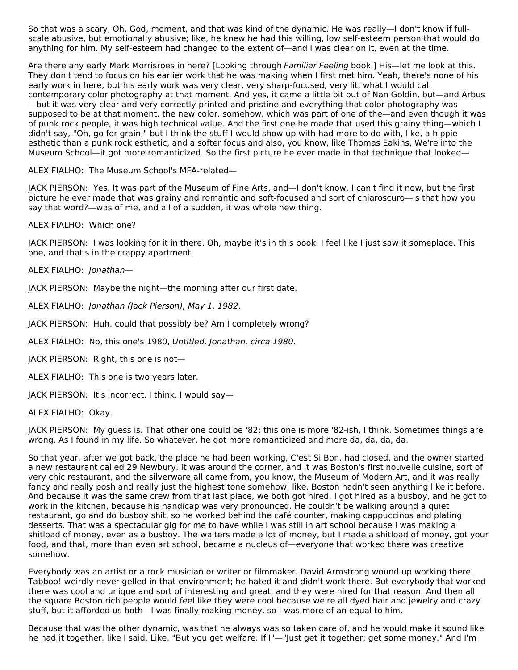So that was a scary, Oh, God, moment, and that was kind of the dynamic. He was really—I don't know if fullscale abusive, but emotionally abusive; like, he knew he had this willing, low self-esteem person that would do anything for him. My self-esteem had changed to the extent of—and I was clear on it, even at the time.

Are there any early Mark Morrisroes in here? [Looking through Familiar Feeling book.] His—let me look at this. They don't tend to focus on his earlier work that he was making when I first met him. Yeah, there's none of his early work in here, but his early work was very clear, very sharp-focused, very lit, what I would call contemporary color photography at that moment. And yes, it came a little bit out of Nan Goldin, but—and Arbus —but it was very clear and very correctly printed and pristine and everything that color photography was supposed to be at that moment, the new color, somehow, which was part of one of the—and even though it was of punk rock people, it was high technical value. And the first one he made that used this grainy thing—which I didn't say, "Oh, go for grain," but I think the stuff I would show up with had more to do with, like, a hippie esthetic than a punk rock esthetic, and a softer focus and also, you know, like Thomas Eakins, We're into the Museum School—it got more romanticized. So the first picture he ever made in that technique that looked—

ALEX FIALHO: The Museum School's MFA-related—

JACK PIERSON: Yes. It was part of the Museum of Fine Arts, and—I don't know. I can't find it now, but the first picture he ever made that was grainy and romantic and soft-focused and sort of chiaroscuro—is that how you say that word?—was of me, and all of a sudden, it was whole new thing.

ALEX FIALHO: Which one?

JACK PIERSON: I was looking for it in there. Oh, maybe it's in this book. I feel like I just saw it someplace. This one, and that's in the crappy apartment.

ALEX FIALHO: Jonathan—

JACK PIERSON: Maybe the night—the morning after our first date.

ALEX FIALHO: Jonathan (Jack Pierson), May 1, 1982.

JACK PIERSON: Huh, could that possibly be? Am I completely wrong?

ALEX FIALHO: No, this one's 1980, Untitled, Jonathan, circa 1980.

JACK PIERSON: Right, this one is not—

ALEX FIALHO: This one is two years later.

JACK PIERSON: It's incorrect, I think. I would say—

ALEX FIALHO: Okay.

JACK PIERSON: My guess is. That other one could be '82; this one is more '82-ish, I think. Sometimes things are wrong. As I found in my life. So whatever, he got more romanticized and more da, da, da, da.

So that year, after we got back, the place he had been working, C'est Si Bon, had closed, and the owner started a new restaurant called 29 Newbury. It was around the corner, and it was Boston's first nouvelle cuisine, sort of very chic restaurant, and the silverware all came from, you know, the Museum of Modern Art, and it was really fancy and really posh and really just the highest tone somehow; like, Boston hadn't seen anything like it before. And because it was the same crew from that last place, we both got hired. I got hired as a busboy, and he got to work in the kitchen, because his handicap was very pronounced. He couldn't be walking around a quiet restaurant, go and do busboy shit, so he worked behind the café counter, making cappuccinos and plating desserts. That was a spectacular gig for me to have while I was still in art school because I was making a shitload of money, even as a busboy. The waiters made a lot of money, but I made a shitload of money, got your food, and that, more than even art school, became a nucleus of—everyone that worked there was creative somehow.

Everybody was an artist or a rock musician or writer or filmmaker. David Armstrong wound up working there. Tabboo! weirdly never gelled in that environment; he hated it and didn't work there. But everybody that worked there was cool and unique and sort of interesting and great, and they were hired for that reason. And then all the square Boston rich people would feel like they were cool because we're all dyed hair and jewelry and crazy stuff, but it afforded us both—I was finally making money, so I was more of an equal to him.

Because that was the other dynamic, was that he always was so taken care of, and he would make it sound like he had it together, like I said. Like, "But you get welfare. If I"—"Just get it together; get some money." And I'm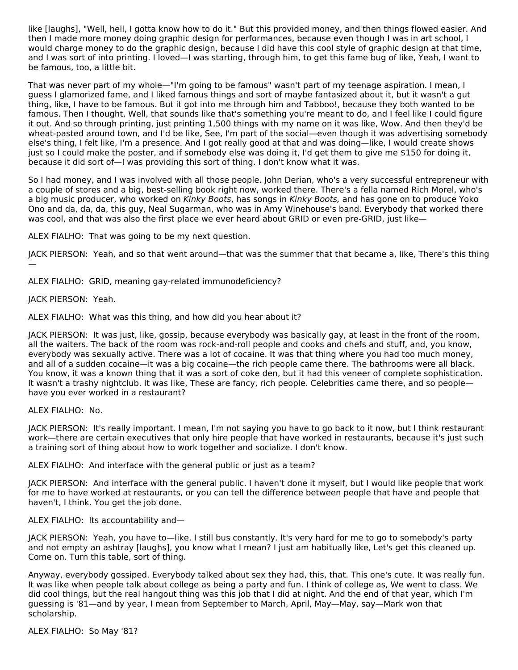like [laughs], "Well, hell, I gotta know how to do it." But this provided money, and then things flowed easier. And then I made more money doing graphic design for performances, because even though I was in art school, I would charge money to do the graphic design, because I did have this cool style of graphic design at that time, and I was sort of into printing. I loved—I was starting, through him, to get this fame bug of like, Yeah, I want to be famous, too, a little bit.

That was never part of my whole—"I'm going to be famous" wasn't part of my teenage aspiration. I mean, I guess I glamorized fame, and I liked famous things and sort of maybe fantasized about it, but it wasn't a gut thing, like, I have to be famous. But it got into me through him and Tabboo!, because they both wanted to be famous. Then I thought, Well, that sounds like that's something you're meant to do, and I feel like I could figure it out. And so through printing, just printing 1,500 things with my name on it was like, Wow. And then they'd be wheat-pasted around town, and I'd be like, See, I'm part of the social—even though it was advertising somebody else's thing, I felt like, I'm a presence. And I got really good at that and was doing—like, I would create shows just so I could make the poster, and if somebody else was doing it, I'd get them to give me \$150 for doing it, because it did sort of—I was providing this sort of thing. I don't know what it was.

So I had money, and I was involved with all those people. John Derian, who's a very successful entrepreneur with a couple of stores and a big, best-selling book right now, worked there. There's a fella named Rich Morel, who's a big music producer, who worked on Kinky Boots, has songs in Kinky Boots, and has gone on to produce Yoko Ono and da, da, da, this guy, Neal Sugarman, who was in Amy Winehouse's band. Everybody that worked there was cool, and that was also the first place we ever heard about GRID or even pre-GRID, just like-

ALEX FIALHO: That was going to be my next question.

JACK PIERSON: Yeah, and so that went around—that was the summer that that became a, like, There's this thing

ALEX FIALHO: GRID, meaning gay-related immunodeficiency?

JACK PIERSON: Yeah.

—

ALEX FIALHO: What was this thing, and how did you hear about it?

JACK PIERSON: It was just, like, gossip, because everybody was basically gay, at least in the front of the room, all the waiters. The back of the room was rock-and-roll people and cooks and chefs and stuff, and, you know, everybody was sexually active. There was a lot of cocaine. It was that thing where you had too much money, and all of a sudden cocaine—it was a big cocaine—the rich people came there. The bathrooms were all black. You know, it was a known thing that it was a sort of coke den, but it had this veneer of complete sophistication. It wasn't a trashy nightclub. It was like, These are fancy, rich people. Celebrities came there, and so people have you ever worked in a restaurant?

ALEX FIALHO: No.

JACK PIERSON: It's really important. I mean, I'm not saying you have to go back to it now, but I think restaurant work—there are certain executives that only hire people that have worked in restaurants, because it's just such a training sort of thing about how to work together and socialize. I don't know.

ALEX FIALHO: And interface with the general public or just as a team?

JACK PIERSON: And interface with the general public. I haven't done it myself, but I would like people that work for me to have worked at restaurants, or you can tell the difference between people that have and people that haven't, I think. You get the job done.

ALEX FIALHO: Its accountability and—

JACK PIERSON: Yeah, you have to—like, I still bus constantly. It's very hard for me to go to somebody's party and not empty an ashtray [laughs], you know what I mean? I just am habitually like, Let's get this cleaned up. Come on. Turn this table, sort of thing.

Anyway, everybody gossiped. Everybody talked about sex they had, this, that. This one's cute. It was really fun. It was like when people talk about college as being a party and fun. I think of college as, We went to class. We did cool things, but the real hangout thing was this job that I did at night. And the end of that year, which I'm guessing is '81—and by year, I mean from September to March, April, May—May, say—Mark won that scholarship.

ALEX FIALHO: So May '81?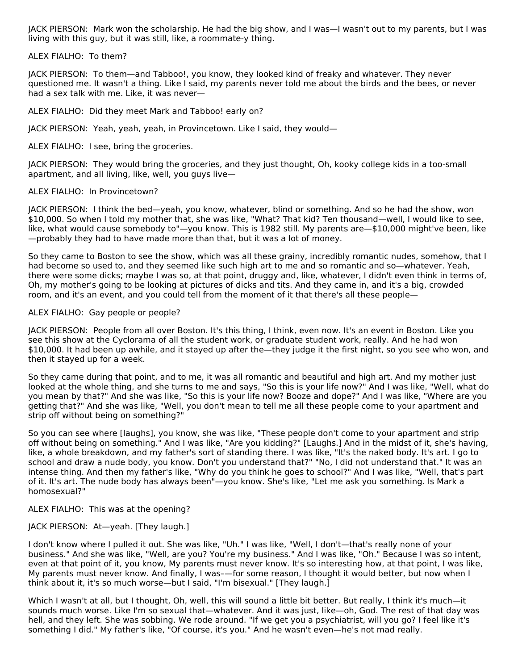JACK PIERSON: Mark won the scholarship. He had the big show, and I was—I wasn't out to my parents, but I was living with this guy, but it was still, like, a roommate-y thing.

#### ALEX FIALHO: To them?

JACK PIERSON: To them—and Tabboo!, you know, they looked kind of freaky and whatever. They never questioned me. It wasn't a thing. Like I said, my parents never told me about the birds and the bees, or never had a sex talk with me. Like, it was never—

ALEX FIALHO: Did they meet Mark and Tabboo! early on?

JACK PIERSON: Yeah, yeah, yeah, in Provincetown. Like I said, they would—

ALEX FIALHO: I see, bring the groceries.

JACK PIERSON: They would bring the groceries, and they just thought, Oh, kooky college kids in a too-small apartment, and all living, like, well, you guys live—

#### ALEX FIALHO: In Provincetown?

JACK PIERSON: I think the bed—yeah, you know, whatever, blind or something. And so he had the show, won \$10,000. So when I told my mother that, she was like, "What? That kid? Ten thousand—well, I would like to see, like, what would cause somebody to"—you know. This is 1982 still. My parents are—\$10,000 might've been, like —probably they had to have made more than that, but it was a lot of money.

So they came to Boston to see the show, which was all these grainy, incredibly romantic nudes, somehow, that I had become so used to, and they seemed like such high art to me and so romantic and so—whatever. Yeah, there were some dicks; maybe I was so, at that point, druggy and, like, whatever, I didn't even think in terms of, Oh, my mother's going to be looking at pictures of dicks and tits. And they came in, and it's a big, crowded room, and it's an event, and you could tell from the moment of it that there's all these people—

#### ALEX FIALHO: Gay people or people?

JACK PIERSON: People from all over Boston. It's this thing, I think, even now. It's an event in Boston. Like you see this show at the Cyclorama of all the student work, or graduate student work, really. And he had won \$10,000. It had been up awhile, and it stayed up after the—they judge it the first night, so you see who won, and then it stayed up for a week.

So they came during that point, and to me, it was all romantic and beautiful and high art. And my mother just looked at the whole thing, and she turns to me and says, "So this is your life now?" And I was like, "Well, what do you mean by that?" And she was like, "So this is your life now? Booze and dope?" And I was like, "Where are you getting that?" And she was like, "Well, you don't mean to tell me all these people come to your apartment and strip off without being on something?"

So you can see where [laughs], you know, she was like, "These people don't come to your apartment and strip off without being on something." And I was like, "Are you kidding?" [Laughs.] And in the midst of it, she's having, like, a whole breakdown, and my father's sort of standing there. I was like, "It's the naked body. It's art. I go to school and draw a nude body, you know. Don't you understand that?" "No, I did not understand that." It was an intense thing. And then my father's like, "Why do you think he goes to school?" And I was like, "Well, that's part of it. It's art. The nude body has always been"—you know. She's like, "Let me ask you something. Is Mark a homosexual?"

## ALEX FIALHO: This was at the opening?

## JACK PIERSON: At—yeah. [They laugh.]

I don't know where I pulled it out. She was like, "Uh." I was like, "Well, I don't—that's really none of your business." And she was like, "Well, are you? You're my business." And I was like, "Oh." Because I was so intent, even at that point of it, you know, My parents must never know. It's so interesting how, at that point, I was like, My parents must never know. And finally, I was–—for some reason, I thought it would better, but now when I think about it, it's so much worse—but I said, "I'm bisexual." [They laugh.]

Which I wasn't at all, but I thought, Oh, well, this will sound a little bit better. But really, I think it's much—it sounds much worse. Like I'm so sexual that—whatever. And it was just, like—oh, God. The rest of that day was hell, and they left. She was sobbing. We rode around. "If we get you a psychiatrist, will you go? I feel like it's something I did." My father's like, "Of course, it's you." And he wasn't even—he's not mad really.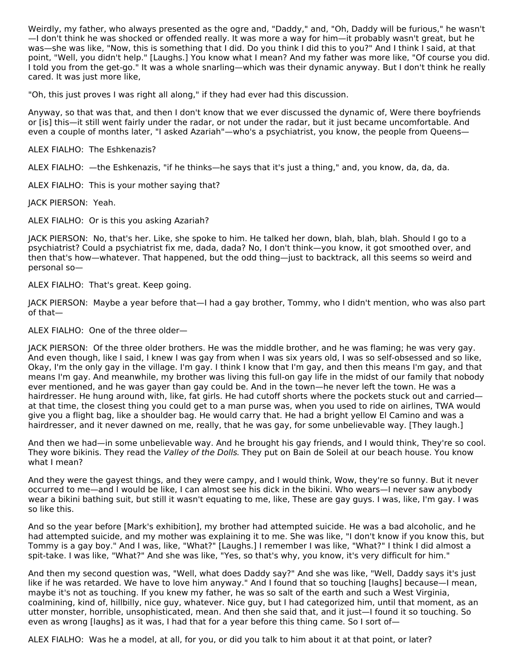Weirdly, my father, who always presented as the ogre and, "Daddy," and, "Oh, Daddy will be furious," he wasn't —I don't think he was shocked or offended really. It was more a way for him—it probably wasn't great, but he was—she was like, "Now, this is something that I did. Do you think I did this to you?" And I think I said, at that point, "Well, you didn't help." [Laughs.] You know what I mean? And my father was more like, "Of course you did. I told you from the get-go." It was a whole snarling—which was their dynamic anyway. But I don't think he really cared. It was just more like,

"Oh, this just proves I was right all along," if they had ever had this discussion.

Anyway, so that was that, and then I don't know that we ever discussed the dynamic of, Were there boyfriends or [is] this—it still went fairly under the radar, or not under the radar, but it just became uncomfortable. And even a couple of months later, "I asked Azariah"—who's a psychiatrist, you know, the people from Queens—

ALEX FIALHO: The Eshkenazis?

ALEX FIALHO: —the Eshkenazis, "if he thinks—he says that it's just a thing," and, you know, da, da, da.

ALEX FIALHO: This is your mother saying that?

JACK PIERSON: Yeah.

ALEX FIALHO: Or is this you asking Azariah?

JACK PIERSON: No, that's her. Like, she spoke to him. He talked her down, blah, blah, blah. Should I go to a psychiatrist? Could a psychiatrist fix me, dada, dada? No, I don't think—you know, it got smoothed over, and then that's how—whatever. That happened, but the odd thing—just to backtrack, all this seems so weird and personal so—

ALEX FIALHO: That's great. Keep going.

JACK PIERSON: Maybe a year before that—I had a gay brother, Tommy, who I didn't mention, who was also part of that—

ALEX FIALHO: One of the three older—

JACK PIERSON: Of the three older brothers. He was the middle brother, and he was flaming; he was very gay. And even though, like I said, I knew I was gay from when I was six years old, I was so self-obsessed and so like, Okay, I'm the only gay in the village. I'm gay. I think I know that I'm gay, and then this means I'm gay, and that means I'm gay. And meanwhile, my brother was living this full-on gay life in the midst of our family that nobody ever mentioned, and he was gayer than gay could be. And in the town—he never left the town. He was a hairdresser. He hung around with, like, fat girls. He had cutoff shorts where the pockets stuck out and carried at that time, the closest thing you could get to a man purse was, when you used to ride on airlines, TWA would give you a flight bag, like a shoulder bag. He would carry that. He had a bright yellow El Camino and was a hairdresser, and it never dawned on me, really, that he was gay, for some unbelievable way. [They laugh.]

And then we had—in some unbelievable way. And he brought his gay friends, and I would think, They're so cool. They wore bikinis. They read the Valley of the Dolls. They put on Bain de Soleil at our beach house. You know what I mean?

And they were the gayest things, and they were campy, and I would think, Wow, they're so funny. But it never occurred to me—and I would be like, I can almost see his dick in the bikini. Who wears—I never saw anybody wear a bikini bathing suit, but still it wasn't equating to me, like, These are gay guys. I was, like, I'm gay. I was so like this.

And so the year before [Mark's exhibition], my brother had attempted suicide. He was a bad alcoholic, and he had attempted suicide, and my mother was explaining it to me. She was like, "I don't know if you know this, but Tommy is a gay boy." And I was, like, "What?" [Laughs.] I remember I was like, "What?" I think I did almost a spit-take. I was like, "What?" And she was like, "Yes, so that's why, you know, it's very difficult for him."

And then my second question was, "Well, what does Daddy say?" And she was like, "Well, Daddy says it's just like if he was retarded. We have to love him anyway." And I found that so touching [laughs] because—I mean, maybe it's not as touching. If you knew my father, he was so salt of the earth and such a West Virginia, coalmining, kind of, hillbilly, nice guy, whatever. Nice guy, but I had categorized him, until that moment, as an utter monster, horrible, unsophisticated, mean. And then she said that, and it just—I found it so touching. So even as wrong [laughs] as it was, I had that for a year before this thing came. So I sort of-

ALEX FIALHO: Was he a model, at all, for you, or did you talk to him about it at that point, or later?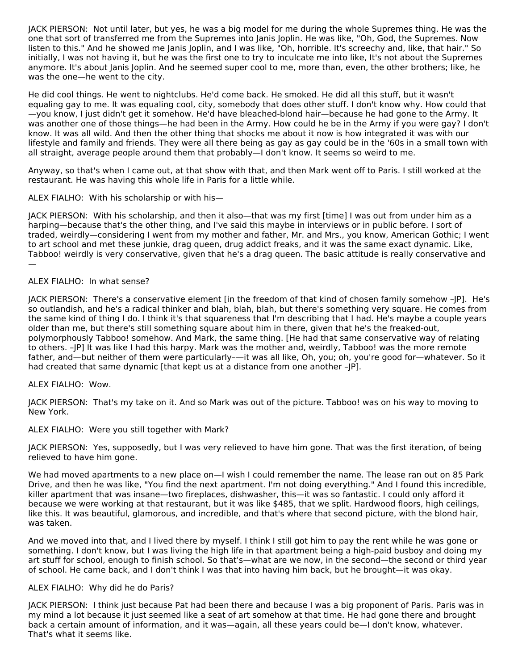JACK PIERSON: Not until later, but yes, he was a big model for me during the whole Supremes thing. He was the one that sort of transferred me from the Supremes into Janis Joplin. He was like, "Oh, God, the Supremes. Now listen to this." And he showed me Janis Joplin, and I was like, "Oh, horrible. It's screechy and, like, that hair." So initially, I was not having it, but he was the first one to try to inculcate me into like, It's not about the Supremes anymore. It's about Janis Joplin. And he seemed super cool to me, more than, even, the other brothers; like, he was the one—he went to the city.

He did cool things. He went to nightclubs. He'd come back. He smoked. He did all this stuff, but it wasn't equaling gay to me. It was equaling cool, city, somebody that does other stuff. I don't know why. How could that —you know, I just didn't get it somehow. He'd have bleached-blond hair—because he had gone to the Army. It was another one of those things—he had been in the Army. How could he be in the Army if you were gay? I don't know. It was all wild. And then the other thing that shocks me about it now is how integrated it was with our lifestyle and family and friends. They were all there being as gay as gay could be in the '60s in a small town with all straight, average people around them that probably—I don't know. It seems so weird to me.

Anyway, so that's when I came out, at that show with that, and then Mark went off to Paris. I still worked at the restaurant. He was having this whole life in Paris for a little while.

## ALEX FIALHO: With his scholarship or with his—

JACK PIERSON: With his scholarship, and then it also—that was my first [time] I was out from under him as a harping—because that's the other thing, and I've said this maybe in interviews or in public before. I sort of traded, weirdly—considering I went from my mother and father, Mr. and Mrs., you know, American Gothic; I went to art school and met these junkie, drag queen, drug addict freaks, and it was the same exact dynamic. Like, Tabboo! weirdly is very conservative, given that he's a drag queen. The basic attitude is really conservative and —

## ALEX FIALHO: In what sense?

JACK PIERSON: There's a conservative element [in the freedom of that kind of chosen family somehow –JP]. He's so outlandish, and he's a radical thinker and blah, blah, blah, but there's something very square. He comes from the same kind of thing I do. I think it's that squareness that I'm describing that I had. He's maybe a couple years older than me, but there's still something square about him in there, given that he's the freaked-out, polymorphously Tabboo! somehow. And Mark, the same thing. [He had that same conservative way of relating to others. –JP] It was like I had this harpy. Mark was the mother and, weirdly, Tabboo! was the more remote father, and—but neither of them were particularly-—it was all like, Oh, you; oh, you're good for—whatever. So it had created that same dynamic [that kept us at a distance from one another –JP].

## ALEX FIALHO: Wow.

JACK PIERSON: That's my take on it. And so Mark was out of the picture. Tabboo! was on his way to moving to New York.

## ALEX FIALHO: Were you still together with Mark?

JACK PIERSON: Yes, supposedly, but I was very relieved to have him gone. That was the first iteration, of being relieved to have him gone.

We had moved apartments to a new place on-I wish I could remember the name. The lease ran out on 85 Park Drive, and then he was like, "You find the next apartment. I'm not doing everything." And I found this incredible, killer apartment that was insane—two fireplaces, dishwasher, this—it was so fantastic. I could only afford it because we were working at that restaurant, but it was like \$485, that we split. Hardwood floors, high ceilings, like this. It was beautiful, glamorous, and incredible, and that's where that second picture, with the blond hair, was taken.

And we moved into that, and I lived there by myself. I think I still got him to pay the rent while he was gone or something. I don't know, but I was living the high life in that apartment being a high-paid busboy and doing my art stuff for school, enough to finish school. So that's—what are we now, in the second—the second or third year of school. He came back, and I don't think I was that into having him back, but he brought—it was okay.

## ALEX FIALHO: Why did he do Paris?

JACK PIERSON: I think just because Pat had been there and because I was a big proponent of Paris. Paris was in my mind a lot because it just seemed like a seat of art somehow at that time. He had gone there and brought back a certain amount of information, and it was—again, all these years could be—I don't know, whatever. That's what it seems like.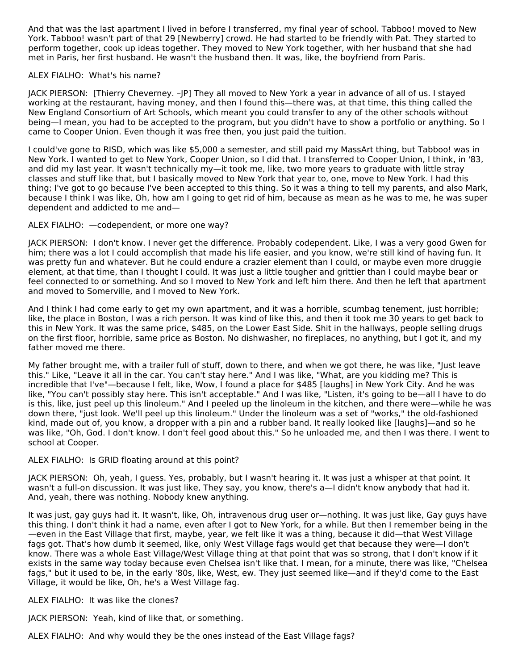And that was the last apartment I lived in before I transferred, my final year of school. Tabboo! moved to New York. Tabboo! wasn't part of that 29 [Newberry] crowd. He had started to be friendly with Pat. They started to perform together, cook up ideas together. They moved to New York together, with her husband that she had met in Paris, her first husband. He wasn't the husband then. It was, like, the boyfriend from Paris.

## ALEX FIALHO: What's his name?

JACK PIERSON: [Thierry Cheverney. –JP] They all moved to New York a year in advance of all of us. I stayed working at the restaurant, having money, and then I found this—there was, at that time, this thing called the New England Consortium of Art Schools, which meant you could transfer to any of the other schools without being—I mean, you had to be accepted to the program, but you didn't have to show a portfolio or anything. So I came to Cooper Union. Even though it was free then, you just paid the tuition.

I could've gone to RISD, which was like \$5,000 a semester, and still paid my MassArt thing, but Tabboo! was in New York. I wanted to get to New York, Cooper Union, so I did that. I transferred to Cooper Union, I think, in '83, and did my last year. It wasn't technically my—it took me, like, two more years to graduate with little stray classes and stuff like that, but I basically moved to New York that year to, one, move to New York. I had this thing; I've got to go because I've been accepted to this thing. So it was a thing to tell my parents, and also Mark, because I think I was like, Oh, how am I going to get rid of him, because as mean as he was to me, he was super dependent and addicted to me and—

## ALEX FIALHO: —codependent, or more one way?

JACK PIERSON: I don't know. I never get the difference. Probably codependent. Like, I was a very good Gwen for him; there was a lot I could accomplish that made his life easier, and you know, we're still kind of having fun. It was pretty fun and whatever. But he could endure a crazier element than I could, or maybe even more druggie element, at that time, than I thought I could. It was just a little tougher and grittier than I could maybe bear or feel connected to or something. And so I moved to New York and left him there. And then he left that apartment and moved to Somerville, and I moved to New York.

And I think I had come early to get my own apartment, and it was a horrible, scumbag tenement, just horrible; like, the place in Boston, I was a rich person. It was kind of like this, and then it took me 30 years to get back to this in New York. It was the same price, \$485, on the Lower East Side. Shit in the hallways, people selling drugs on the first floor, horrible, same price as Boston. No dishwasher, no fireplaces, no anything, but I got it, and my father moved me there.

My father brought me, with a trailer full of stuff, down to there, and when we got there, he was like, "Just leave this." Like, "Leave it all in the car. You can't stay here." And I was like, "What, are you kidding me? This is incredible that I've"—because I felt, like, Wow, I found a place for \$485 [laughs] in New York City. And he was like, "You can't possibly stay here. This isn't acceptable." And I was like, "Listen, it's going to be—all I have to do is this, like, just peel up this linoleum." And I peeled up the linoleum in the kitchen, and there were—while he was down there, "just look. We'll peel up this linoleum." Under the linoleum was a set of "works," the old-fashioned kind, made out of, you know, a dropper with a pin and a rubber band. It really looked like [laughs]—and so he was like, "Oh, God. I don't know. I don't feel good about this." So he unloaded me, and then I was there. I went to school at Cooper.

## ALEX FIALHO: Is GRID floating around at this point?

JACK PIERSON: Oh, yeah, I guess. Yes, probably, but I wasn't hearing it. It was just a whisper at that point. It wasn't a full-on discussion. It was just like, They say, you know, there's a—I didn't know anybody that had it. And, yeah, there was nothing. Nobody knew anything.

It was just, gay guys had it. It wasn't, like, Oh, intravenous drug user or—nothing. It was just like, Gay guys have this thing. I don't think it had a name, even after I got to New York, for a while. But then I remember being in the —even in the East Village that first, maybe, year, we felt like it was a thing, because it did—that West Village fags got. That's how dumb it seemed, like, only West Village fags would get that because they were—I don't know. There was a whole East Village/West Village thing at that point that was so strong, that I don't know if it exists in the same way today because even Chelsea isn't like that. I mean, for a minute, there was like, "Chelsea fags," but it used to be, in the early '80s, like, West, ew. They just seemed like—and if they'd come to the East Village, it would be like, Oh, he's a West Village fag.

## ALEX FIALHO: It was like the clones?

JACK PIERSON: Yeah, kind of like that, or something.

ALEX FIALHO: And why would they be the ones instead of the East Village fags?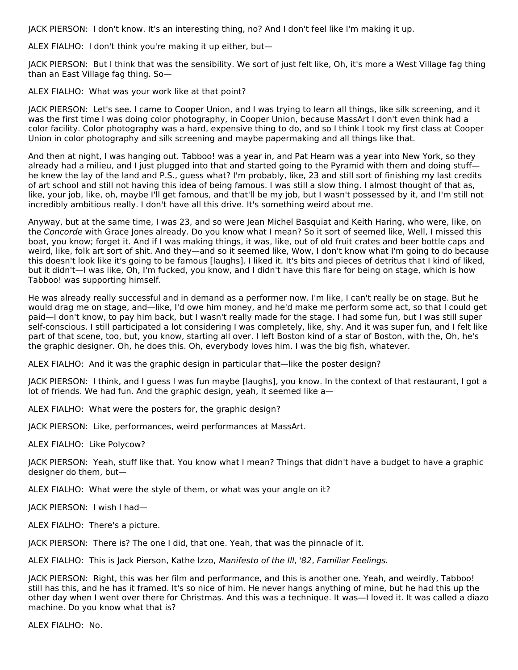JACK PIERSON: I don't know. It's an interesting thing, no? And I don't feel like I'm making it up.

ALEX FIALHO: I don't think you're making it up either, but—

JACK PIERSON: But I think that was the sensibility. We sort of just felt like, Oh, it's more a West Village fag thing than an East Village fag thing. So—

ALEX FIALHO: What was your work like at that point?

JACK PIERSON: Let's see. I came to Cooper Union, and I was trying to learn all things, like silk screening, and it was the first time I was doing color photography, in Cooper Union, because MassArt I don't even think had a color facility. Color photography was a hard, expensive thing to do, and so I think I took my first class at Cooper Union in color photography and silk screening and maybe papermaking and all things like that.

And then at night, I was hanging out. Tabboo! was a year in, and Pat Hearn was a year into New York, so they already had a milieu, and I just plugged into that and started going to the Pyramid with them and doing stuff he knew the lay of the land and P.S., guess what? I'm probably, like, 23 and still sort of finishing my last credits of art school and still not having this idea of being famous. I was still a slow thing. I almost thought of that as, like, your job, like, oh, maybe I'll get famous, and that'll be my job, but I wasn't possessed by it, and I'm still not incredibly ambitious really. I don't have all this drive. It's something weird about me.

Anyway, but at the same time, I was 23, and so were Jean Michel Basquiat and Keith Haring, who were, like, on the Concorde with Grace Jones already. Do you know what I mean? So it sort of seemed like, Well, I missed this boat, you know; forget it. And if I was making things, it was, like, out of old fruit crates and beer bottle caps and weird, like, folk art sort of shit. And they—and so it seemed like, Wow, I don't know what I'm going to do because this doesn't look like it's going to be famous [laughs]. I liked it. It's bits and pieces of detritus that I kind of liked, but it didn't—I was like, Oh, I'm fucked, you know, and I didn't have this flare for being on stage, which is how Tabboo! was supporting himself.

He was already really successful and in demand as a performer now. I'm like, I can't really be on stage. But he would drag me on stage, and—like, I'd owe him money, and he'd make me perform some act, so that I could get paid—I don't know, to pay him back, but I wasn't really made for the stage. I had some fun, but I was still super self-conscious. I still participated a lot considering I was completely, like, shy. And it was super fun, and I felt like part of that scene, too, but, you know, starting all over. I left Boston kind of a star of Boston, with the, Oh, he's the graphic designer. Oh, he does this. Oh, everybody loves him. I was the big fish, whatever.

ALEX FIALHO: And it was the graphic design in particular that—like the poster design?

JACK PIERSON: I think, and I guess I was fun maybe [laughs], you know. In the context of that restaurant, I got a lot of friends. We had fun. And the graphic design, yeah, it seemed like a—

ALEX FIALHO: What were the posters for, the graphic design?

JACK PIERSON: Like, performances, weird performances at MassArt.

ALEX FIALHO: Like Polycow?

JACK PIERSON: Yeah, stuff like that. You know what I mean? Things that didn't have a budget to have a graphic designer do them, but—

ALEX FIALHO: What were the style of them, or what was your angle on it?

JACK PIERSON: I wish I had—

ALEX FIALHO: There's a picture.

JACK PIERSON: There is? The one I did, that one. Yeah, that was the pinnacle of it.

ALEX FIALHO: This is Jack Pierson, Kathe Izzo, Manifesto of the Ill, '82, Familiar Feelings.

JACK PIERSON: Right, this was her film and performance, and this is another one. Yeah, and weirdly, Tabboo! still has this, and he has it framed. It's so nice of him. He never hangs anything of mine, but he had this up the other day when I went over there for Christmas. And this was a technique. It was—I loved it. It was called a diazo machine. Do you know what that is?

ALEX FIALHO: No.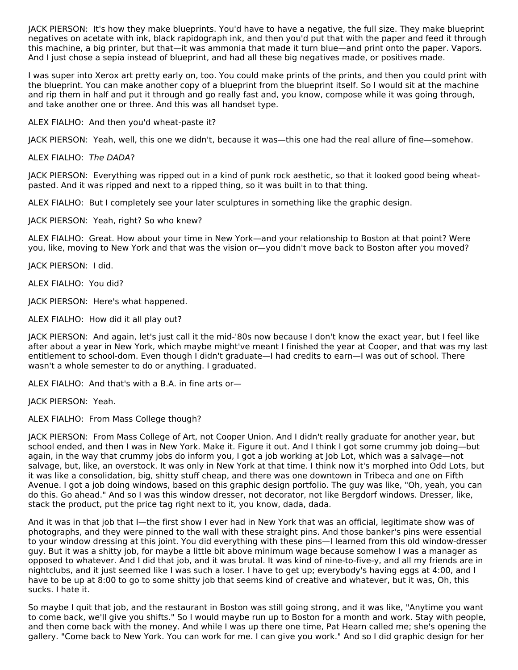JACK PIERSON: It's how they make blueprints. You'd have to have a negative, the full size. They make blueprint negatives on acetate with ink, black rapidograph ink, and then you'd put that with the paper and feed it through this machine, a big printer, but that—it was ammonia that made it turn blue—and print onto the paper. Vapors. And I just chose a sepia instead of blueprint, and had all these big negatives made, or positives made.

I was super into Xerox art pretty early on, too. You could make prints of the prints, and then you could print with the blueprint. You can make another copy of a blueprint from the blueprint itself. So I would sit at the machine and rip them in half and put it through and go really fast and, you know, compose while it was going through, and take another one or three. And this was all handset type.

ALEX FIALHO: And then you'd wheat-paste it?

JACK PIERSON: Yeah, well, this one we didn't, because it was—this one had the real allure of fine—somehow.

ALEX FIALHO: The DADA?

JACK PIERSON: Everything was ripped out in a kind of punk rock aesthetic, so that it looked good being wheatpasted. And it was ripped and next to a ripped thing, so it was built in to that thing.

ALEX FIALHO: But I completely see your later sculptures in something like the graphic design.

JACK PIERSON: Yeah, right? So who knew?

ALEX FIALHO: Great. How about your time in New York—and your relationship to Boston at that point? Were you, like, moving to New York and that was the vision or—you didn't move back to Boston after you moved?

JACK PIERSON: I did.

ALEX FIALHO: You did?

JACK PIERSON: Here's what happened.

ALEX FIALHO: How did it all play out?

JACK PIERSON: And again, let's just call it the mid-'80s now because I don't know the exact year, but I feel like after about a year in New York, which maybe might've meant I finished the year at Cooper, and that was my last entitlement to school-dom. Even though I didn't graduate—I had credits to earn—I was out of school. There wasn't a whole semester to do or anything. I graduated.

ALEX FIALHO: And that's with a B.A. in fine arts or—

JACK PIERSON: Yeah.

ALEX FIALHO: From Mass College though?

JACK PIERSON: From Mass College of Art, not Cooper Union. And I didn't really graduate for another year, but school ended, and then I was in New York. Make it. Figure it out. And I think I got some crummy job doing—but again, in the way that crummy jobs do inform you, I got a job working at Job Lot, which was a salvage—not salvage, but, like, an overstock. It was only in New York at that time. I think now it's morphed into Odd Lots, but it was like a consolidation, big, shitty stuff cheap, and there was one downtown in Tribeca and one on Fifth Avenue. I got a job doing windows, based on this graphic design portfolio. The guy was like, "Oh, yeah, you can do this. Go ahead." And so I was this window dresser, not decorator, not like Bergdorf windows. Dresser, like, stack the product, put the price tag right next to it, you know, dada, dada.

And it was in that job that I—the first show I ever had in New York that was an official, legitimate show was of photographs, and they were pinned to the wall with these straight pins. And those banker's pins were essential to your window dressing at this joint. You did everything with these pins—I learned from this old window-dresser guy. But it was a shitty job, for maybe a little bit above minimum wage because somehow I was a manager as opposed to whatever. And I did that job, and it was brutal. It was kind of nine-to-five-y, and all my friends are in nightclubs, and it just seemed like I was such a loser. I have to get up; everybody's having eggs at 4:00, and I have to be up at 8:00 to go to some shitty job that seems kind of creative and whatever, but it was, Oh, this sucks. I hate it.

So maybe I quit that job, and the restaurant in Boston was still going strong, and it was like, "Anytime you want to come back, we'll give you shifts." So I would maybe run up to Boston for a month and work. Stay with people, and then come back with the money. And while I was up there one time, Pat Hearn called me; she's opening the gallery. "Come back to New York. You can work for me. I can give you work." And so I did graphic design for her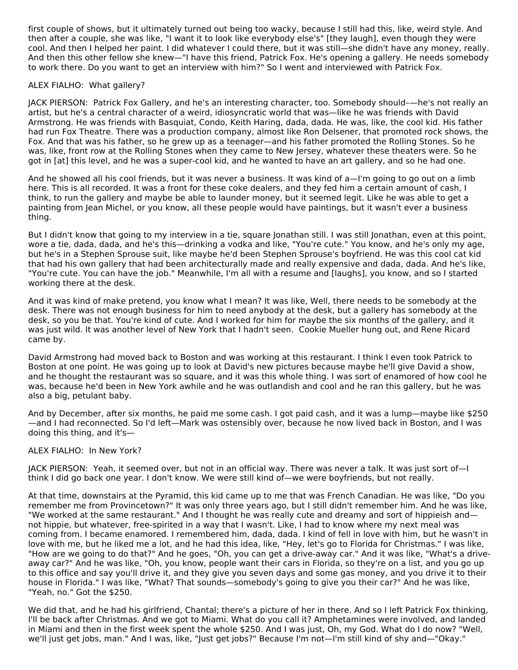first couple of shows, but it ultimately turned out being too wacky, because I still had this, like, weird style. And then after a couple, she was like, "I want it to look like everybody else's" [they laugh], even though they were cool. And then I helped her paint. I did whatever I could there, but it was still—she didn't have any money, really. And then this other fellow she knew—"I have this friend, Patrick Fox. He's opening a gallery. He needs somebody to work there. Do you want to get an interview with him?" So I went and interviewed with Patrick Fox.

## ALEX FIALHO: What gallery?

JACK PIERSON: Patrick Fox Gallery, and he's an interesting character, too. Somebody should–—he's not really an artist, but he's a central character of a weird, idiosyncratic world that was—like he was friends with David Armstrong. He was friends with Basquiat, Condo, Keith Haring, dada, dada. He was, like, the cool kid. His father had run Fox Theatre. There was a production company, almost like Ron Delsener, that promoted rock shows, the Fox. And that was his father, so he grew up as a teenager—and his father promoted the Rolling Stones. So he was, like, front row at the Rolling Stones when they came to New Jersey, whatever these theaters were. So he got in [at] this level, and he was a super-cool kid, and he wanted to have an art gallery, and so he had one.

And he showed all his cool friends, but it was never a business. It was kind of a—I'm going to go out on a limb here. This is all recorded. It was a front for these coke dealers, and they fed him a certain amount of cash, I think, to run the gallery and maybe be able to launder money, but it seemed legit. Like he was able to get a painting from Jean Michel, or you know, all these people would have paintings, but it wasn't ever a business thing.

But I didn't know that going to my interview in a tie, square Jonathan still. I was still Jonathan, even at this point, wore a tie, dada, dada, and he's this—drinking a vodka and like, "You're cute." You know, and he's only my age, but he's in a Stephen Sprouse suit, like maybe he'd been Stephen Sprouse's boyfriend. He was this cool cat kid that had his own gallery that had been architecturally made and really expensive and dada, dada. And he's like, "You're cute. You can have the job." Meanwhile, I'm all with a resume and [laughs], you know, and so I started working there at the desk.

And it was kind of make pretend, you know what I mean? It was like, Well, there needs to be somebody at the desk. There was not enough business for him to need anybody at the desk, but a gallery has somebody at the desk, so you be that. You're kind of cute. And I worked for him for maybe the six months of the gallery, and it was just wild. It was another level of New York that I hadn't seen. Cookie Mueller hung out, and Rene Ricard came by.

David Armstrong had moved back to Boston and was working at this restaurant. I think I even took Patrick to Boston at one point. He was going up to look at David's new pictures because maybe he'll give David a show, and he thought the restaurant was so square, and it was this whole thing. I was sort of enamored of how cool he was, because he'd been in New York awhile and he was outlandish and cool and he ran this gallery, but he was also a big, petulant baby.

And by December, after six months, he paid me some cash. I got paid cash, and it was a lump—maybe like \$250 —and I had reconnected. So I'd left—Mark was ostensibly over, because he now lived back in Boston, and I was doing this thing, and it's—

## ALEX FIALHO: In New York?

JACK PIERSON: Yeah, it seemed over, but not in an official way. There was never a talk. It was just sort of—I think I did go back one year. I don't know. We were still kind of—we were boyfriends, but not really.

At that time, downstairs at the Pyramid, this kid came up to me that was French Canadian. He was like, "Do you remember me from Provincetown?" It was only three years ago, but I still didn't remember him. And he was like, "We worked at the same restaurant." And I thought he was really cute and dreamy and sort of hippieish and not hippie, but whatever, free-spirited in a way that I wasn't. Like, I had to know where my next meal was coming from. I became enamored. I remembered him, dada, dada. I kind of fell in love with him, but he wasn't in love with me, but he liked me a lot, and he had this idea, like, "Hey, let's go to Florida for Christmas." I was like, "How are we going to do that?" And he goes, "Oh, you can get a drive-away car." And it was like, "What's a driveaway car?" And he was like, "Oh, you know, people want their cars in Florida, so they're on a list, and you go up to this office and say you'll drive it, and they give you seven days and some gas money, and you drive it to their house in Florida." I was like, "What? That sounds—somebody's going to give you their car?" And he was like, "Yeah, no." Got the \$250.

We did that, and he had his girlfriend, Chantal; there's a picture of her in there. And so I left Patrick Fox thinking, I'll be back after Christmas. And we got to Miami. What do you call it? Amphetamines were involved, and landed in Miami and then in the first week spent the whole \$250. And I was just, Oh, my God. What do I do now? "Well, we'll just get jobs, man." And I was, like, "Just get jobs?" Because I'm not—I'm still kind of shy and—"Okay."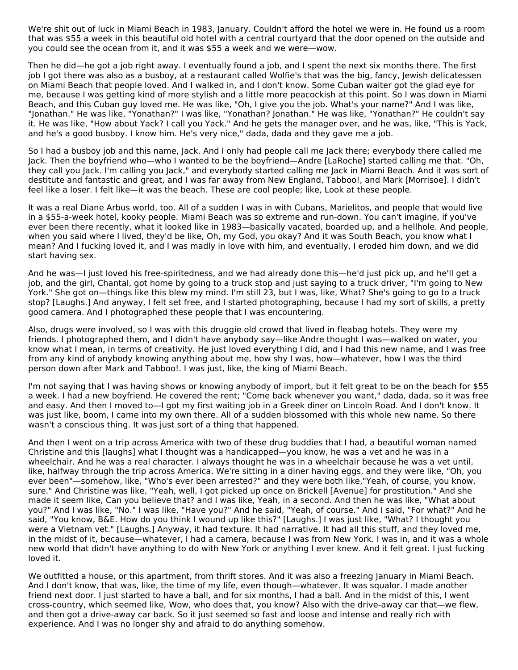We're shit out of luck in Miami Beach in 1983, January. Couldn't afford the hotel we were in. He found us a room that was \$55 a week in this beautiful old hotel with a central courtyard that the door opened on the outside and you could see the ocean from it, and it was \$55 a week and we were—wow.

Then he did—he got a job right away. I eventually found a job, and I spent the next six months there. The first job I got there was also as a busboy, at a restaurant called Wolfie's that was the big, fancy, Jewish delicatessen on Miami Beach that people loved. And I walked in, and I don't know. Some Cuban waiter got the glad eye for me, because I was getting kind of more stylish and a little more peacockish at this point. So I was down in Miami Beach, and this Cuban guy loved me. He was like, "Oh, I give you the job. What's your name?" And I was like, "Jonathan." He was like, "Yonathan?" I was like, "Yonathan? Jonathan." He was like, "Yonathan?" He couldn't say it. He was like, "How about Yack? I call you Yack." And he gets the manager over, and he was, like, "This is Yack, and he's a good busboy. I know him. He's very nice," dada, dada and they gave me a job.

So I had a busboy job and this name, Jack. And I only had people call me Jack there; everybody there called me Jack. Then the boyfriend who—who I wanted to be the boyfriend—Andre [LaRoche] started calling me that. "Oh, they call you Jack. I'm calling you Jack," and everybody started calling me Jack in Miami Beach. And it was sort of destitute and fantastic and great, and I was far away from New England, Tabboo!, and Mark [Morrisoe]. I didn't feel like a loser. I felt like—it was the beach. These are cool people; like, Look at these people.

It was a real Diane Arbus world, too. All of a sudden I was in with Cubans, Marielitos, and people that would live in a \$55-a-week hotel, kooky people. Miami Beach was so extreme and run-down. You can't imagine, if you've ever been there recently, what it looked like in 1983—basically vacated, boarded up, and a hellhole. And people, when you said where I lived, they'd be like, Oh, my God, you okay? And it was South Beach, you know what I mean? And I fucking loved it, and I was madly in love with him, and eventually, I eroded him down, and we did start having sex.

And he was—I just loved his free-spiritedness, and we had already done this—he'd just pick up, and he'll get a job, and the girl, Chantal, got home by going to a truck stop and just saying to a truck driver, "I'm going to New York." She got on—things like this blew my mind. I'm still 23, but I was, like, What? She's going to go to a truck stop? [Laughs.] And anyway, I felt set free, and I started photographing, because I had my sort of skills, a pretty good camera. And I photographed these people that I was encountering.

Also, drugs were involved, so I was with this druggie old crowd that lived in fleabag hotels. They were my friends. I photographed them, and I didn't have anybody say—like Andre thought I was—walked on water, you know what I mean, in terms of creativity. He just loved everything I did, and I had this new name, and I was free from any kind of anybody knowing anything about me, how shy I was, how—whatever, how I was the third person down after Mark and Tabboo!. I was just, like, the king of Miami Beach.

I'm not saying that I was having shows or knowing anybody of import, but it felt great to be on the beach for \$55 a week. I had a new boyfriend. He covered the rent; "Come back whenever you want," dada, dada, so it was free and easy. And then I moved to—I got my first waiting job in a Greek diner on Lincoln Road. And I don't know. It was just like, boom, I came into my own there. All of a sudden blossomed with this whole new name. So there wasn't a conscious thing. It was just sort of a thing that happened.

And then I went on a trip across America with two of these drug buddies that I had, a beautiful woman named Christine and this [laughs] what I thought was a handicapped—you know, he was a vet and he was in a wheelchair. And he was a real character. I always thought he was in a wheelchair because he was a vet until, like, halfway through the trip across America. We're sitting in a diner having eggs, and they were like, "Oh, you ever been"—somehow, like, "Who's ever been arrested?" and they were both like,"Yeah, of course, you know, sure." And Christine was like, "Yeah, well, I got picked up once on Brickell [Avenue] for prostitution." And she made it seem like, Can you believe that? and I was like, Yeah, in a second. And then he was like, "What about you?" And I was like, "No." I was like, "Have you?" And he said, "Yeah, of course." And I said, "For what?" And he said, "You know, B&E. How do you think I wound up like this?" [Laughs.] I was just like, "What? I thought you were a Vietnam vet." [Laughs.] Anyway, it had texture. It had narrative. It had all this stuff, and they loved me, in the midst of it, because—whatever, I had a camera, because I was from New York. I was in, and it was a whole new world that didn't have anything to do with New York or anything I ever knew. And it felt great. I just fucking loved it.

We outfitted a house, or this apartment, from thrift stores. And it was also a freezing January in Miami Beach. And I don't know, that was, like, the time of my life, even though—whatever. It was squalor. I made another friend next door. I just started to have a ball, and for six months, I had a ball. And in the midst of this, I went cross-country, which seemed like, Wow, who does that, you know? Also with the drive-away car that—we flew, and then got a drive-away car back. So it just seemed so fast and loose and intense and really rich with experience. And I was no longer shy and afraid to do anything somehow.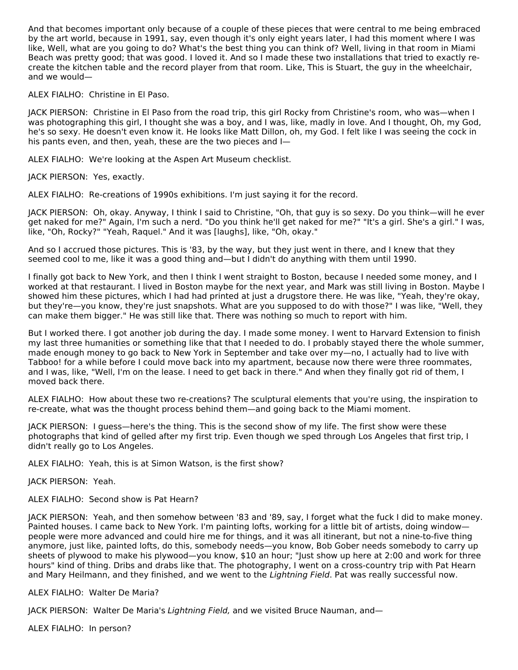And that becomes important only because of a couple of these pieces that were central to me being embraced by the art world, because in 1991, say, even though it's only eight years later, I had this moment where I was like, Well, what are you going to do? What's the best thing you can think of? Well, living in that room in Miami Beach was pretty good; that was good. I loved it. And so I made these two installations that tried to exactly recreate the kitchen table and the record player from that room. Like, This is Stuart, the guy in the wheelchair, and we would—

## ALEX FIALHO: Christine in El Paso.

JACK PIERSON: Christine in El Paso from the road trip, this girl Rocky from Christine's room, who was—when I was photographing this girl, I thought she was a boy, and I was, like, madly in love. And I thought, Oh, my God, he's so sexy. He doesn't even know it. He looks like Matt Dillon, oh, my God. I felt like I was seeing the cock in his pants even, and then, yeah, these are the two pieces and I—

ALEX FIALHO: We're looking at the Aspen Art Museum checklist.

JACK PIERSON: Yes, exactly.

ALEX FIALHO: Re-creations of 1990s exhibitions. I'm just saying it for the record.

JACK PIERSON: Oh, okay. Anyway, I think I said to Christine, "Oh, that guy is so sexy. Do you think—will he ever get naked for me?" Again, I'm such a nerd. "Do you think he'll get naked for me?" "It's a girl. She's a girl." I was, like, "Oh, Rocky?" "Yeah, Raquel." And it was [laughs], like, "Oh, okay."

And so I accrued those pictures. This is '83, by the way, but they just went in there, and I knew that they seemed cool to me, like it was a good thing and—but I didn't do anything with them until 1990.

I finally got back to New York, and then I think I went straight to Boston, because I needed some money, and I worked at that restaurant. I lived in Boston maybe for the next year, and Mark was still living in Boston. Maybe I showed him these pictures, which I had had printed at just a drugstore there. He was like, "Yeah, they're okay, but they're—you know, they're just snapshots. What are you supposed to do with those?" I was like, "Well, they can make them bigger." He was still like that. There was nothing so much to report with him.

But I worked there. I got another job during the day. I made some money. I went to Harvard Extension to finish my last three humanities or something like that that I needed to do. I probably stayed there the whole summer, made enough money to go back to New York in September and take over my—no, I actually had to live with Tabboo! for a while before I could move back into my apartment, because now there were three roommates, and I was, like, "Well, I'm on the lease. I need to get back in there." And when they finally got rid of them, I moved back there.

ALEX FIALHO: How about these two re-creations? The sculptural elements that you're using, the inspiration to re-create, what was the thought process behind them—and going back to the Miami moment.

JACK PIERSON: I guess—here's the thing. This is the second show of my life. The first show were these photographs that kind of gelled after my first trip. Even though we sped through Los Angeles that first trip, I didn't really go to Los Angeles.

ALEX FIALHO: Yeah, this is at Simon Watson, is the first show?

JACK PIERSON: Yeah.

ALEX FIALHO: Second show is Pat Hearn?

JACK PIERSON: Yeah, and then somehow between '83 and '89, say, I forget what the fuck I did to make money. Painted houses. I came back to New York. I'm painting lofts, working for a little bit of artists, doing window people were more advanced and could hire me for things, and it was all itinerant, but not a nine-to-five thing anymore, just like, painted lofts, do this, somebody needs—you know, Bob Gober needs somebody to carry up sheets of plywood to make his plywood—you know, \$10 an hour; "Just show up here at 2:00 and work for three hours" kind of thing. Dribs and drabs like that. The photography, I went on a cross-country trip with Pat Hearn and Mary Heilmann, and they finished, and we went to the Lightning Field. Pat was really successful now.

## ALEX FIALHO: Walter De Maria?

JACK PIERSON: Walter De Maria's Lightning Field, and we visited Bruce Nauman, and—

ALEX FIALHO: In person?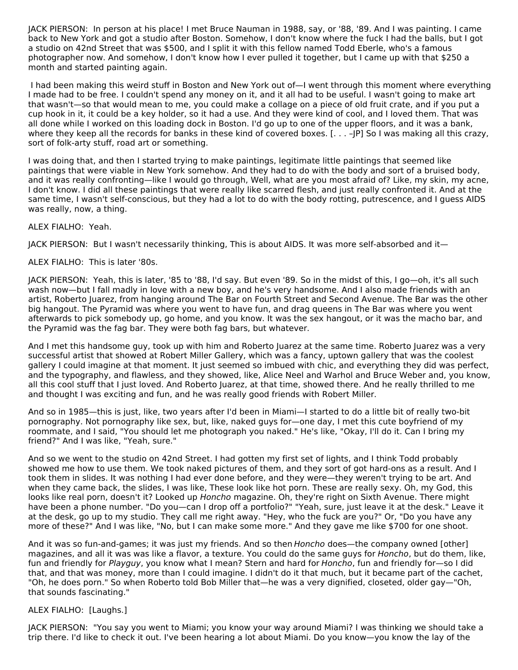JACK PIERSON: In person at his place! I met Bruce Nauman in 1988, say, or '88, '89. And I was painting. I came back to New York and got a studio after Boston. Somehow, I don't know where the fuck I had the balls, but I got a studio on 42nd Street that was \$500, and I split it with this fellow named Todd Eberle, who's a famous photographer now. And somehow, I don't know how I ever pulled it together, but I came up with that \$250 a month and started painting again.

I had been making this weird stuff in Boston and New York out of—I went through this moment where everything I made had to be free. I couldn't spend any money on it, and it all had to be useful. I wasn't going to make art that wasn't—so that would mean to me, you could make a collage on a piece of old fruit crate, and if you put a cup hook in it, it could be a key holder, so it had a use. And they were kind of cool, and I loved them. That was all done while I worked on this loading dock in Boston. I'd go up to one of the upper floors, and it was a bank, where they keep all the records for banks in these kind of covered boxes. [... - |P] So I was making all this crazy, sort of folk-arty stuff, road art or something.

I was doing that, and then I started trying to make paintings, legitimate little paintings that seemed like paintings that were viable in New York somehow. And they had to do with the body and sort of a bruised body, and it was really confronting—like I would go through, Well, what are you most afraid of? Like, my skin, my acne, I don't know. I did all these paintings that were really like scarred flesh, and just really confronted it. And at the same time, I wasn't self-conscious, but they had a lot to do with the body rotting, putrescence, and I guess AIDS was really, now, a thing.

## ALEX FIALHO: Yeah.

JACK PIERSON: But I wasn't necessarily thinking, This is about AIDS. It was more self-absorbed and it—

ALEX FIALHO: This is later '80s.

JACK PIERSON: Yeah, this is later, '85 to '88, I'd say. But even '89. So in the midst of this, I go—oh, it's all such wash now—but I fall madly in love with a new boy, and he's very handsome. And I also made friends with an artist, Roberto Juarez, from hanging around The Bar on Fourth Street and Second Avenue. The Bar was the other big hangout. The Pyramid was where you went to have fun, and drag queens in The Bar was where you went afterwards to pick somebody up, go home, and you know. It was the sex hangout, or it was the macho bar, and the Pyramid was the fag bar. They were both fag bars, but whatever.

And I met this handsome guy, took up with him and Roberto Juarez at the same time. Roberto Juarez was a very successful artist that showed at Robert Miller Gallery, which was a fancy, uptown gallery that was the coolest gallery I could imagine at that moment. It just seemed so imbued with chic, and everything they did was perfect, and the typography, and flawless, and they showed, like, Alice Neel and Warhol and Bruce Weber and, you know, all this cool stuff that I just loved. And Roberto Juarez, at that time, showed there. And he really thrilled to me and thought I was exciting and fun, and he was really good friends with Robert Miller.

And so in 1985—this is just, like, two years after I'd been in Miami—I started to do a little bit of really two-bit pornography. Not pornography like sex, but, like, naked guys for—one day, I met this cute boyfriend of my roommate, and I said, "You should let me photograph you naked." He's like, "Okay, I'll do it. Can I bring my friend?" And I was like, "Yeah, sure."

And so we went to the studio on 42nd Street. I had gotten my first set of lights, and I think Todd probably showed me how to use them. We took naked pictures of them, and they sort of got hard-ons as a result. And I took them in slides. It was nothing I had ever done before, and they were—they weren't trying to be art. And when they came back, the slides, I was like, These look like hot porn. These are really sexy. Oh, my God, this looks like real porn, doesn't it? Looked up Honcho magazine. Oh, they're right on Sixth Avenue. There might have been a phone number. "Do you—can I drop off a portfolio?" "Yeah, sure, just leave it at the desk." Leave it at the desk, go up to my studio. They call me right away. "Hey, who the fuck are you?" Or, "Do you have any more of these?" And I was like, "No, but I can make some more." And they gave me like \$700 for one shoot.

And it was so fun-and-games; it was just my friends. And so then Honcho does-the company owned [other] magazines, and all it was was like a flavor, a texture. You could do the same guys for Honcho, but do them, like, fun and friendly for Playguy, you know what I mean? Stern and hard for Honcho, fun and friendly for—so I did that, and that was money, more than I could imagine. I didn't do it that much, but it became part of the cachet, "Oh, he does porn." So when Roberto told Bob Miller that—he was a very dignified, closeted, older gay—"Oh, that sounds fascinating."

## ALEX FIALHO: [Laughs.]

JACK PIERSON: "You say you went to Miami; you know your way around Miami? I was thinking we should take a trip there. I'd like to check it out. I've been hearing a lot about Miami. Do you know—you know the lay of the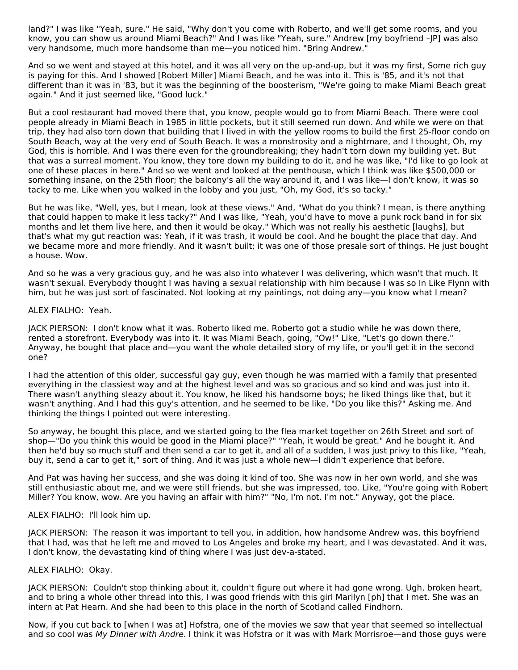land?" I was like "Yeah, sure." He said, "Why don't you come with Roberto, and we'll get some rooms, and you know, you can show us around Miami Beach?" And I was like "Yeah, sure." Andrew [my boyfriend –JP] was also very handsome, much more handsome than me—you noticed him. "Bring Andrew."

And so we went and stayed at this hotel, and it was all very on the up-and-up, but it was my first, Some rich guy is paying for this. And I showed [Robert Miller] Miami Beach, and he was into it. This is '85, and it's not that different than it was in '83, but it was the beginning of the boosterism, "We're going to make Miami Beach great again." And it just seemed like, "Good luck."

But a cool restaurant had moved there that, you know, people would go to from Miami Beach. There were cool people already in Miami Beach in 1985 in little pockets, but it still seemed run down. And while we were on that trip, they had also torn down that building that I lived in with the yellow rooms to build the first 25-floor condo on South Beach, way at the very end of South Beach. It was a monstrosity and a nightmare, and I thought, Oh, my God, this is horrible. And I was there even for the groundbreaking; they hadn't torn down my building yet. But that was a surreal moment. You know, they tore down my building to do it, and he was like, "I'd like to go look at one of these places in here." And so we went and looked at the penthouse, which I think was like \$500,000 or something insane, on the 25th floor; the balcony's all the way around it, and I was like—I don't know, it was so tacky to me. Like when you walked in the lobby and you just, "Oh, my God, it's so tacky."

But he was like, "Well, yes, but I mean, look at these views." And, "What do you think? I mean, is there anything that could happen to make it less tacky?" And I was like, "Yeah, you'd have to move a punk rock band in for six months and let them live here, and then it would be okay." Which was not really his aesthetic [laughs], but that's what my gut reaction was: Yeah, if it was trash, it would be cool. And he bought the place that day. And we became more and more friendly. And it wasn't built; it was one of those presale sort of things. He just bought a house. Wow.

And so he was a very gracious guy, and he was also into whatever I was delivering, which wasn't that much. It wasn't sexual. Everybody thought I was having a sexual relationship with him because I was so In Like Flynn with him, but he was just sort of fascinated. Not looking at my paintings, not doing any—you know what I mean?

#### ALEX FIALHO: Yeah.

JACK PIERSON: I don't know what it was. Roberto liked me. Roberto got a studio while he was down there, rented a storefront. Everybody was into it. It was Miami Beach, going, "Ow!" Like, "Let's go down there." Anyway, he bought that place and—you want the whole detailed story of my life, or you'll get it in the second one?

I had the attention of this older, successful gay guy, even though he was married with a family that presented everything in the classiest way and at the highest level and was so gracious and so kind and was just into it. There wasn't anything sleazy about it. You know, he liked his handsome boys; he liked things like that, but it wasn't anything. And I had this guy's attention, and he seemed to be like, "Do you like this?" Asking me. And thinking the things I pointed out were interesting.

So anyway, he bought this place, and we started going to the flea market together on 26th Street and sort of shop—"Do you think this would be good in the Miami place?" "Yeah, it would be great." And he bought it. And then he'd buy so much stuff and then send a car to get it, and all of a sudden, I was just privy to this like, "Yeah, buy it, send a car to get it," sort of thing. And it was just a whole new—I didn't experience that before.

And Pat was having her success, and she was doing it kind of too. She was now in her own world, and she was still enthusiastic about me, and we were still friends, but she was impressed, too. Like, "You're going with Robert Miller? You know, wow. Are you having an affair with him?" "No, I'm not. I'm not." Anyway, got the place.

## ALEX FIALHO: I'll look him up.

JACK PIERSON: The reason it was important to tell you, in addition, how handsome Andrew was, this boyfriend that I had, was that he left me and moved to Los Angeles and broke my heart, and I was devastated. And it was, I don't know, the devastating kind of thing where I was just dev-a-stated.

## ALEX FIALHO: Okay.

JACK PIERSON: Couldn't stop thinking about it, couldn't figure out where it had gone wrong. Ugh, broken heart, and to bring a whole other thread into this, I was good friends with this girl Marilyn [ph] that I met. She was an intern at Pat Hearn. And she had been to this place in the north of Scotland called Findhorn.

Now, if you cut back to [when I was at] Hofstra, one of the movies we saw that year that seemed so intellectual and so cool was My Dinner with Andre. I think it was Hofstra or it was with Mark Morrisroe—and those guys were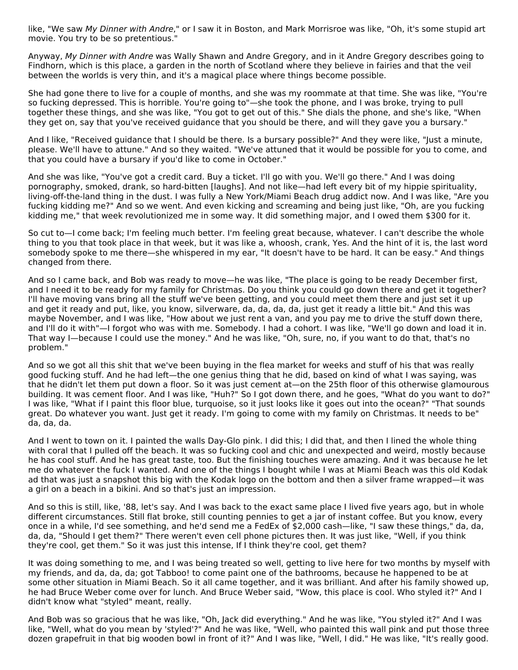like, "We saw My Dinner with Andre," or I saw it in Boston, and Mark Morrisroe was like, "Oh, it's some stupid art movie. You try to be so pretentious."

Anyway, My Dinner with Andre was Wally Shawn and Andre Gregory, and in it Andre Gregory describes going to Findhorn, which is this place, a garden in the north of Scotland where they believe in fairies and that the veil between the worlds is very thin, and it's a magical place where things become possible.

She had gone there to live for a couple of months, and she was my roommate at that time. She was like, "You're so fucking depressed. This is horrible. You're going to"—she took the phone, and I was broke, trying to pull together these things, and she was like, "You got to get out of this." She dials the phone, and she's like, "When they get on, say that you've received guidance that you should be there, and will they gave you a bursary."

And I like, "Received guidance that I should be there. Is a bursary possible?" And they were like, "Just a minute, please. We'll have to attune." And so they waited. "We've attuned that it would be possible for you to come, and that you could have a bursary if you'd like to come in October."

And she was like, "You've got a credit card. Buy a ticket. I'll go with you. We'll go there." And I was doing pornography, smoked, drank, so hard-bitten [laughs]. And not like—had left every bit of my hippie spirituality, living-off-the-land thing in the dust. I was fully a New York/Miami Beach drug addict now. And I was like, "Are you fucking kidding me?" And so we went. And even kicking and screaming and being just like, "Oh, are you fucking kidding me," that week revolutionized me in some way. It did something major, and I owed them \$300 for it.

So cut to—I come back; I'm feeling much better. I'm feeling great because, whatever. I can't describe the whole thing to you that took place in that week, but it was like a, whoosh, crank, Yes. And the hint of it is, the last word somebody spoke to me there—she whispered in my ear, "It doesn't have to be hard. It can be easy." And things changed from there.

And so I came back, and Bob was ready to move—he was like, "The place is going to be ready December first, and I need it to be ready for my family for Christmas. Do you think you could go down there and get it together? I'll have moving vans bring all the stuff we've been getting, and you could meet them there and just set it up and get it ready and put, like, you know, silverware, da, da, da, da, just get it ready a little bit." And this was maybe November, and I was like, "How about we just rent a van, and you pay me to drive the stuff down there, and I'll do it with"—I forgot who was with me. Somebody. I had a cohort. I was like, "We'll go down and load it in. That way I—because I could use the money." And he was like, "Oh, sure, no, if you want to do that, that's no problem."

And so we got all this shit that we've been buying in the flea market for weeks and stuff of his that was really good fucking stuff. And he had left—the one genius thing that he did, based on kind of what I was saying, was that he didn't let them put down a floor. So it was just cement at—on the 25th floor of this otherwise glamourous building. It was cement floor. And I was like, "Huh?" So I got down there, and he goes, "What do you want to do?" I was like, "What if I paint this floor blue, turquoise, so it just looks like it goes out into the ocean?" "That sounds great. Do whatever you want. Just get it ready. I'm going to come with my family on Christmas. It needs to be" da, da, da.

And I went to town on it. I painted the walls Day-Glo pink. I did this; I did that, and then I lined the whole thing with coral that I pulled off the beach. It was so fucking cool and chic and unexpected and weird, mostly because he has cool stuff. And he has great taste, too. But the finishing touches were amazing. And it was because he let me do whatever the fuck I wanted. And one of the things I bought while I was at Miami Beach was this old Kodak ad that was just a snapshot this big with the Kodak logo on the bottom and then a silver frame wrapped—it was a girl on a beach in a bikini. And so that's just an impression.

And so this is still, like, '88, let's say. And I was back to the exact same place I lived five years ago, but in whole different circumstances. Still flat broke, still counting pennies to get a jar of instant coffee. But you know, every once in a while, I'd see something, and he'd send me a FedEx of \$2,000 cash—like, "I saw these things," da, da, da, da, "Should I get them?" There weren't even cell phone pictures then. It was just like, "Well, if you think they're cool, get them." So it was just this intense, If I think they're cool, get them?

It was doing something to me, and I was being treated so well, getting to live here for two months by myself with my friends, and da, da, da; got Tabboo! to come paint one of the bathrooms, because he happened to be at some other situation in Miami Beach. So it all came together, and it was brilliant. And after his family showed up, he had Bruce Weber come over for lunch. And Bruce Weber said, "Wow, this place is cool. Who styled it?" And I didn't know what "styled" meant, really.

And Bob was so gracious that he was like, "Oh, Jack did everything." And he was like, "You styled it?" And I was like, "Well, what do you mean by 'styled'?" And he was like, "Well, who painted this wall pink and put those three dozen grapefruit in that big wooden bowl in front of it?" And I was like, "Well, I did." He was like, "It's really good.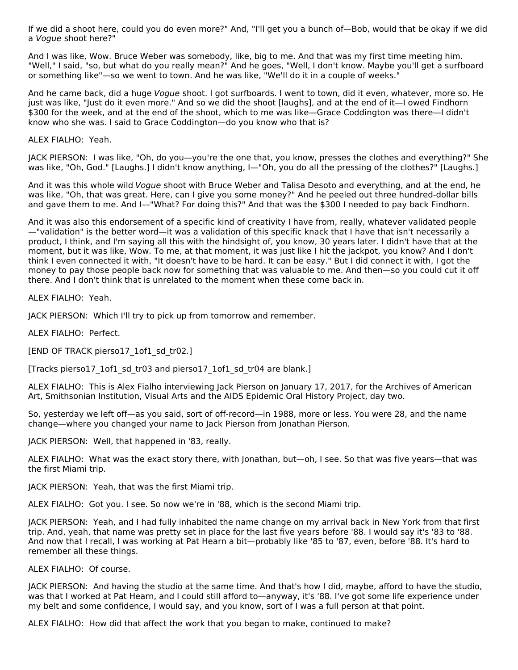If we did a shoot here, could you do even more?" And, "I'll get you a bunch of—Bob, would that be okay if we did a Vogue shoot here?"

And I was like, Wow. Bruce Weber was somebody, like, big to me. And that was my first time meeting him. "Well," I said, "so, but what do you really mean?" And he goes, "Well, I don't know. Maybe you'll get a surfboard or something like"—so we went to town. And he was like, "We'll do it in a couple of weeks."

And he came back, did a huge Vogue shoot. I got surfboards. I went to town, did it even, whatever, more so. He just was like, "Just do it even more." And so we did the shoot [laughs], and at the end of it—I owed Findhorn \$300 for the week, and at the end of the shoot, which to me was like—Grace Coddington was there—I didn't know who she was. I said to Grace Coddington—do you know who that is?

ALEX FIALHO: Yeah.

JACK PIERSON: I was like, "Oh, do you—you're the one that, you know, presses the clothes and everything?" She was like, "Oh, God." [Laughs.] I didn't know anything, I—"Oh, you do all the pressing of the clothes?" [Laughs.]

And it was this whole wild Vogue shoot with Bruce Weber and Talisa Desoto and everything, and at the end, he was like, "Oh, that was great. Here, can I give you some money?" And he peeled out three hundred-dollar bills and gave them to me. And I––"What? For doing this?" And that was the \$300 I needed to pay back Findhorn.

And it was also this endorsement of a specific kind of creativity I have from, really, whatever validated people —"validation" is the better word—it was a validation of this specific knack that I have that isn't necessarily a product, I think, and I'm saying all this with the hindsight of, you know, 30 years later. I didn't have that at the moment, but it was like, Wow. To me, at that moment, it was just like I hit the jackpot, you know? And I don't think I even connected it with, "It doesn't have to be hard. It can be easy." But I did connect it with, I got the money to pay those people back now for something that was valuable to me. And then—so you could cut it off there. And I don't think that is unrelated to the moment when these come back in.

ALEX FIALHO: Yeah.

JACK PIERSON: Which I'll try to pick up from tomorrow and remember.

ALEX FIALHO: Perfect.

[END OF TRACK pierso17\_1of1\_sd\_tr02.]

[Tracks pierso17\_1of1\_sd\_tr03 and pierso17\_1of1\_sd\_tr04 are blank.]

ALEX FIALHO: This is Alex Fialho interviewing Jack Pierson on January 17, 2017, for the Archives of American Art, Smithsonian Institution, Visual Arts and the AIDS Epidemic Oral History Project, day two.

So, yesterday we left off—as you said, sort of off-record—in 1988, more or less. You were 28, and the name change—where you changed your name to Jack Pierson from Jonathan Pierson.

JACK PIERSON: Well, that happened in '83, really.

ALEX FIALHO: What was the exact story there, with Jonathan, but—oh, I see. So that was five years—that was the first Miami trip.

JACK PIERSON: Yeah, that was the first Miami trip.

ALEX FIALHO: Got you. I see. So now we're in '88, which is the second Miami trip.

JACK PIERSON: Yeah, and I had fully inhabited the name change on my arrival back in New York from that first trip. And, yeah, that name was pretty set in place for the last five years before '88. I would say it's '83 to '88. And now that I recall, I was working at Pat Hearn a bit—probably like '85 to '87, even, before '88. It's hard to remember all these things.

ALEX FIALHO: Of course.

JACK PIERSON: And having the studio at the same time. And that's how I did, maybe, afford to have the studio, was that I worked at Pat Hearn, and I could still afford to—anyway, it's '88. I've got some life experience under my belt and some confidence, I would say, and you know, sort of I was a full person at that point.

ALEX FIALHO: How did that affect the work that you began to make, continued to make?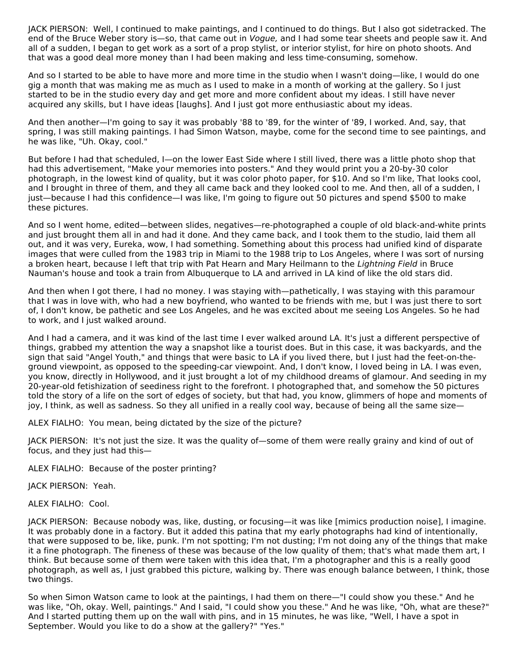JACK PIERSON: Well, I continued to make paintings, and I continued to do things. But I also got sidetracked. The end of the Bruce Weber story is—so, that came out in *Vogue*, and I had some tear sheets and people saw it. And all of a sudden, I began to get work as a sort of a prop stylist, or interior stylist, for hire on photo shoots. And that was a good deal more money than I had been making and less time-consuming, somehow.

And so I started to be able to have more and more time in the studio when I wasn't doing—like, I would do one gig a month that was making me as much as I used to make in a month of working at the gallery. So I just started to be in the studio every day and get more and more confident about my ideas. I still have never acquired any skills, but I have ideas [laughs]. And I just got more enthusiastic about my ideas.

And then another—I'm going to say it was probably '88 to '89, for the winter of '89, I worked. And, say, that spring, I was still making paintings. I had Simon Watson, maybe, come for the second time to see paintings, and he was like, "Uh. Okay, cool."

But before I had that scheduled, I—on the lower East Side where I still lived, there was a little photo shop that had this advertisement, "Make your memories into posters." And they would print you a 20-by-30 color photograph, in the lowest kind of quality, but it was color photo paper, for \$10. And so I'm like, That looks cool, and I brought in three of them, and they all came back and they looked cool to me. And then, all of a sudden, I just—because I had this confidence—I was like, I'm going to figure out 50 pictures and spend \$500 to make these pictures.

And so I went home, edited—between slides, negatives—re-photographed a couple of old black-and-white prints and just brought them all in and had it done. And they came back, and I took them to the studio, laid them all out, and it was very, Eureka, wow, I had something. Something about this process had unified kind of disparate images that were culled from the 1983 trip in Miami to the 1988 trip to Los Angeles, where I was sort of nursing a broken heart, because I left that trip with Pat Hearn and Mary Heilmann to the Lightning Field in Bruce Nauman's house and took a train from Albuquerque to LA and arrived in LA kind of like the old stars did.

And then when I got there, I had no money. I was staying with—pathetically, I was staying with this paramour that I was in love with, who had a new boyfriend, who wanted to be friends with me, but I was just there to sort of, I don't know, be pathetic and see Los Angeles, and he was excited about me seeing Los Angeles. So he had to work, and I just walked around.

And I had a camera, and it was kind of the last time I ever walked around LA. It's just a different perspective of things, grabbed my attention the way a snapshot like a tourist does. But in this case, it was backyards, and the sign that said "Angel Youth," and things that were basic to LA if you lived there, but I just had the feet-on-theground viewpoint, as opposed to the speeding-car viewpoint. And, I don't know, I loved being in LA. I was even, you know, directly in Hollywood, and it just brought a lot of my childhood dreams of glamour. And seeding in my 20-year-old fetishization of seediness right to the forefront. I photographed that, and somehow the 50 pictures told the story of a life on the sort of edges of society, but that had, you know, glimmers of hope and moments of joy, I think, as well as sadness. So they all unified in a really cool way, because of being all the same size—

ALEX FIALHO: You mean, being dictated by the size of the picture?

JACK PIERSON: It's not just the size. It was the quality of—some of them were really grainy and kind of out of focus, and they just had this—

ALEX FIALHO: Because of the poster printing?

JACK PIERSON: Yeah.

ALEX FIALHO: Cool.

JACK PIERSON: Because nobody was, like, dusting, or focusing—it was like [mimics production noise], I imagine. It was probably done in a factory. But it added this patina that my early photographs had kind of intentionally, that were supposed to be, like, punk. I'm not spotting; I'm not dusting; I'm not doing any of the things that make it a fine photograph. The fineness of these was because of the low quality of them; that's what made them art, I think. But because some of them were taken with this idea that, I'm a photographer and this is a really good photograph, as well as, I just grabbed this picture, walking by. There was enough balance between, I think, those two things.

So when Simon Watson came to look at the paintings, I had them on there—"I could show you these." And he was like, "Oh, okay. Well, paintings." And I said, "I could show you these." And he was like, "Oh, what are these?" And I started putting them up on the wall with pins, and in 15 minutes, he was like, "Well, I have a spot in September. Would you like to do a show at the gallery?" "Yes."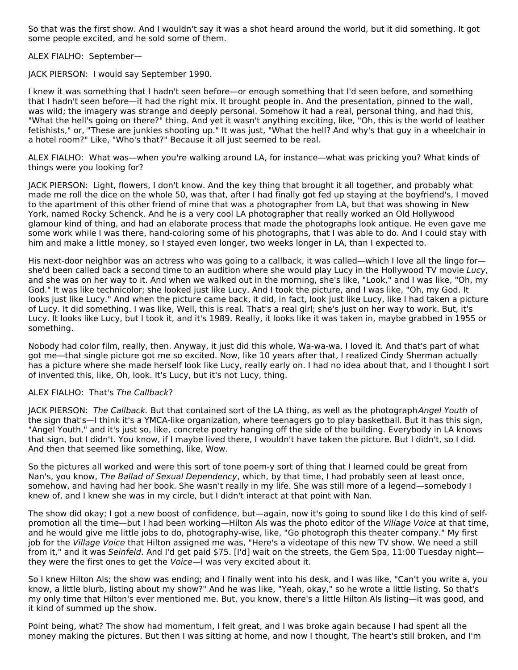So that was the first show. And I wouldn't say it was a shot heard around the world, but it did something. It got some people excited, and he sold some of them.

ALEX FIALHO: September—

JACK PIERSON: I would say September 1990.

I knew it was something that I hadn't seen before—or enough something that I'd seen before, and something that I hadn't seen before—it had the right mix. It brought people in. And the presentation, pinned to the wall, was wild; the imagery was strange and deeply personal. Somehow it had a real, personal thing, and had this, "What the hell's going on there?" thing. And yet it wasn't anything exciting, like, "Oh, this is the world of leather fetishists," or, "These are junkies shooting up." It was just, "What the hell? And why's that guy in a wheelchair in a hotel room?" Like, "Who's that?" Because it all just seemed to be real.

ALEX FIALHO: What was—when you're walking around LA, for instance—what was pricking you? What kinds of things were you looking for?

JACK PIERSON: Light, flowers, I don't know. And the key thing that brought it all together, and probably what made me roll the dice on the whole 50, was that, after I had finally got fed up staying at the boyfriend's, I moved to the apartment of this other friend of mine that was a photographer from LA, but that was showing in New York, named Rocky Schenck. And he is a very cool LA photographer that really worked an Old Hollywood glamour kind of thing, and had an elaborate process that made the photographs look antique. He even gave me some work while I was there, hand-coloring some of his photographs, that I was able to do. And I could stay with him and make a little money, so I stayed even longer, two weeks longer in LA, than I expected to.

His next-door neighbor was an actress who was going to a callback, it was called—which I love all the lingo for she'd been called back a second time to an audition where she would play Lucy in the Hollywood TV movie Lucy, and she was on her way to it. And when we walked out in the morning, she's like, "Look," and I was like, "Oh, my God." It was like technicolor; she looked just like Lucy. And I took the picture, and I was like, "Oh, my God. It looks just like Lucy." And when the picture came back, it did, in fact, look just like Lucy, like I had taken a picture of Lucy. It did something. I was like, Well, this is real. That's a real girl; she's just on her way to work. But, it's Lucy. It looks like Lucy, but I took it, and it's 1989. Really, it looks like it was taken in, maybe grabbed in 1955 or something.

Nobody had color film, really, then. Anyway, it just did this whole, Wa-wa-wa. I loved it. And that's part of what got me—that single picture got me so excited. Now, like 10 years after that, I realized Cindy Sherman actually has a picture where she made herself look like Lucy, really early on. I had no idea about that, and I thought I sort of invented this, like, Oh, look. It's Lucy, but it's not Lucy, thing.

## ALEX FIALHO: That's The Callback?

JACK PIERSON: The Callback. But that contained sort of the LA thing, as well as the photographAngel Youth of the sign that's—I think it's a YMCA-like organization, where teenagers go to play basketball. But it has this sign, "Angel Youth," and it's just so, like, concrete poetry hanging off the side of the building. Everybody in LA knows that sign, but I didn't. You know, if I maybe lived there, I wouldn't have taken the picture. But I didn't, so I did. And then that seemed like something, like, Wow.

So the pictures all worked and were this sort of tone poem-y sort of thing that I learned could be great from Nan's, you know, The Ballad of Sexual Dependency, which, by that time, I had probably seen at least once, somehow, and having had her book. She wasn't really in my life. She was still more of a legend—somebody I knew of, and I knew she was in my circle, but I didn't interact at that point with Nan.

The show did okay; I got a new boost of confidence, but—again, now it's going to sound like I do this kind of selfpromotion all the time—but I had been working—Hilton Als was the photo editor of the Village Voice at that time, and he would give me little jobs to do, photography-wise, like, "Go photograph this theater company." My first job for the Village Voice that Hilton assigned me was, "Here's a videotape of this new TV show. We need a still from it," and it was Seinfeld. And I'd get paid \$75. [I'd] wait on the streets, the Gem Spa, 11:00 Tuesday nightthey were the first ones to get the Voice—I was very excited about it.

So I knew Hilton Als; the show was ending; and I finally went into his desk, and I was like, "Can't you write a, you know, a little blurb, listing about my show?" And he was like, "Yeah, okay," so he wrote a little listing. So that's my only time that Hilton's ever mentioned me. But, you know, there's a little Hilton Als listing—it was good, and it kind of summed up the show.

Point being, what? The show had momentum, I felt great, and I was broke again because I had spent all the money making the pictures. But then I was sitting at home, and now I thought, The heart's still broken, and I'm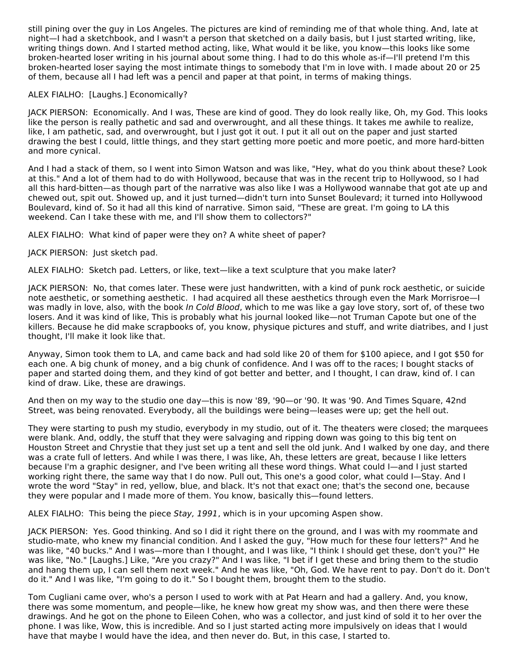still pining over the guy in Los Angeles. The pictures are kind of reminding me of that whole thing. And, late at night—I had a sketchbook, and I wasn't a person that sketched on a daily basis, but I just started writing, like, writing things down. And I started method acting, like, What would it be like, you know—this looks like some broken-hearted loser writing in his journal about some thing. I had to do this whole as-if—I'll pretend I'm this broken-hearted loser saying the most intimate things to somebody that I'm in love with. I made about 20 or 25 of them, because all I had left was a pencil and paper at that point, in terms of making things.

## ALEX FIALHO: [Laughs.] Economically?

JACK PIERSON: Economically. And I was, These are kind of good. They do look really like, Oh, my God. This looks like the person is really pathetic and sad and overwrought, and all these things. It takes me awhile to realize, like, I am pathetic, sad, and overwrought, but I just got it out. I put it all out on the paper and just started drawing the best I could, little things, and they start getting more poetic and more poetic, and more hard-bitten and more cynical.

And I had a stack of them, so I went into Simon Watson and was like, "Hey, what do you think about these? Look at this." And a lot of them had to do with Hollywood, because that was in the recent trip to Hollywood, so I had all this hard-bitten—as though part of the narrative was also like I was a Hollywood wannabe that got ate up and chewed out, spit out. Showed up, and it just turned—didn't turn into Sunset Boulevard; it turned into Hollywood Boulevard, kind of. So it had all this kind of narrative. Simon said, "These are great. I'm going to LA this weekend. Can I take these with me, and I'll show them to collectors?"

ALEX FIALHO: What kind of paper were they on? A white sheet of paper?

JACK PIERSON: Just sketch pad.

ALEX FIALHO: Sketch pad. Letters, or like, text—like a text sculpture that you make later?

JACK PIERSON: No, that comes later. These were just handwritten, with a kind of punk rock aesthetic, or suicide note aesthetic, or something aesthetic. I had acquired all these aesthetics through even the Mark Morrisroe—I was madly in love, also, with the book In Cold Blood, which to me was like a gay love story, sort of, of these two losers. And it was kind of like, This is probably what his journal looked like—not Truman Capote but one of the killers. Because he did make scrapbooks of, you know, physique pictures and stuff, and write diatribes, and I just thought, I'll make it look like that.

Anyway, Simon took them to LA, and came back and had sold like 20 of them for \$100 apiece, and I got \$50 for each one. A big chunk of money, and a big chunk of confidence. And I was off to the races; I bought stacks of paper and started doing them, and they kind of got better and better, and I thought, I can draw, kind of. I can kind of draw. Like, these are drawings.

And then on my way to the studio one day—this is now '89, '90—or '90. It was '90. And Times Square, 42nd Street, was being renovated. Everybody, all the buildings were being—leases were up; get the hell out.

They were starting to push my studio, everybody in my studio, out of it. The theaters were closed; the marquees were blank. And, oddly, the stuff that they were salvaging and ripping down was going to this big tent on Houston Street and Chrystie that they just set up a tent and sell the old junk. And I walked by one day, and there was a crate full of letters. And while I was there, I was like, Ah, these letters are great, because I like letters because I'm a graphic designer, and I've been writing all these word things. What could I—and I just started working right there, the same way that I do now. Pull out, This one's a good color, what could I—Stay. And I wrote the word "Stay" in red, yellow, blue, and black. It's not that exact one; that's the second one, because they were popular and I made more of them. You know, basically this—found letters.

ALEX FIALHO: This being the piece Stay, 1991, which is in your upcoming Aspen show.

JACK PIERSON: Yes. Good thinking. And so I did it right there on the ground, and I was with my roommate and studio-mate, who knew my financial condition. And I asked the guy, "How much for these four letters?" And he was like, "40 bucks." And I was—more than I thought, and I was like, "I think I should get these, don't you?" He was like, "No." [Laughs.] Like, "Are you crazy?" And I was like, "I bet if I get these and bring them to the studio and hang them up, I can sell them next week." And he was like, "Oh, God. We have rent to pay. Don't do it. Don't do it." And I was like, "I'm going to do it." So I bought them, brought them to the studio.

Tom Cugliani came over, who's a person I used to work with at Pat Hearn and had a gallery. And, you know, there was some momentum, and people—like, he knew how great my show was, and then there were these drawings. And he got on the phone to Eileen Cohen, who was a collector, and just kind of sold it to her over the phone. I was like, Wow, this is incredible. And so I just started acting more impulsively on ideas that I would have that maybe I would have the idea, and then never do. But, in this case, I started to.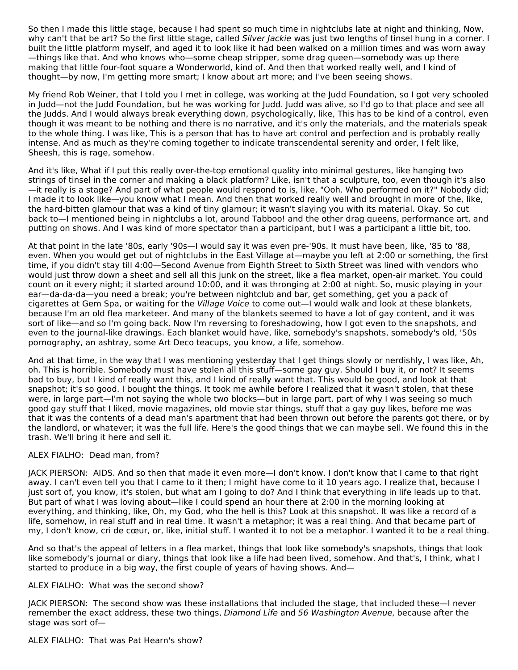So then I made this little stage, because I had spent so much time in nightclubs late at night and thinking, Now, why can't that be art? So the first little stage, called Silver Jackie was just two lengths of tinsel hung in a corner. I built the little platform myself, and aged it to look like it had been walked on a million times and was worn away —things like that. And who knows who—some cheap stripper, some drag queen—somebody was up there making that little four-foot square a Wonderworld, kind of. And then that worked really well, and I kind of thought—by now, I'm getting more smart; I know about art more; and I've been seeing shows.

My friend Rob Weiner, that I told you I met in college, was working at the Judd Foundation, so I got very schooled in Judd—not the Judd Foundation, but he was working for Judd. Judd was alive, so I'd go to that place and see all the Judds. And I would always break everything down, psychologically, like, This has to be kind of a control, even though it was meant to be nothing and there is no narrative, and it's only the materials, and the materials speak to the whole thing. I was like, This is a person that has to have art control and perfection and is probably really intense. And as much as they're coming together to indicate transcendental serenity and order, I felt like, Sheesh, this is rage, somehow.

And it's like, What if I put this really over-the-top emotional quality into minimal gestures, like hanging two strings of tinsel in the corner and making a black platform? Like, isn't that a sculpture, too, even though it's also —it really is a stage? And part of what people would respond to is, like, "Ooh. Who performed on it?" Nobody did; I made it to look like—you know what I mean. And then that worked really well and brought in more of the, like, the hard-bitten glamour that was a kind of tiny glamour; it wasn't slaying you with its material. Okay. So cut back to—I mentioned being in nightclubs a lot, around Tabboo! and the other drag queens, performance art, and putting on shows. And I was kind of more spectator than a participant, but I was a participant a little bit, too.

At that point in the late '80s, early '90s—I would say it was even pre-'90s. It must have been, like, '85 to '88, even. When you would get out of nightclubs in the East Village at—maybe you left at 2:00 or something, the first time, if you didn't stay till 4:00—Second Avenue from Eighth Street to Sixth Street was lined with vendors who would just throw down a sheet and sell all this junk on the street, like a flea market, open-air market. You could count on it every night; it started around 10:00, and it was thronging at 2:00 at night. So, music playing in your ear—da-da-da—you need a break; you're between nightclub and bar, get something, get you a pack of cigarettes at Gem Spa, or waiting for the Village Voice to come out—I would walk and look at these blankets, because I'm an old flea marketeer. And many of the blankets seemed to have a lot of gay content, and it was sort of like—and so I'm going back. Now I'm reversing to foreshadowing, how I got even to the snapshots, and even to the journal-like drawings. Each blanket would have, like, somebody's snapshots, somebody's old, '50s pornography, an ashtray, some Art Deco teacups, you know, a life, somehow.

And at that time, in the way that I was mentioning yesterday that I get things slowly or nerdishly, I was like, Ah, oh. This is horrible. Somebody must have stolen all this stuff—some gay guy. Should I buy it, or not? It seems bad to buy, but I kind of really want this, and I kind of really want that. This would be good, and look at that snapshot; it's so good. I bought the things. It took me awhile before I realized that it wasn't stolen, that these were, in large part—I'm not saying the whole two blocks—but in large part, part of why I was seeing so much good gay stuff that I liked, movie magazines, old movie star things, stuff that a gay guy likes, before me was that it was the contents of a dead man's apartment that had been thrown out before the parents got there, or by the landlord, or whatever; it was the full life. Here's the good things that we can maybe sell. We found this in the trash. We'll bring it here and sell it.

## ALEX FIALHO: Dead man, from?

JACK PIERSON: AIDS. And so then that made it even more—I don't know. I don't know that I came to that right away. I can't even tell you that I came to it then; I might have come to it 10 years ago. I realize that, because I just sort of, you know, it's stolen, but what am I going to do? And I think that everything in life leads up to that. But part of what I was loving about—like I could spend an hour there at 2:00 in the morning looking at everything, and thinking, like, Oh, my God, who the hell is this? Look at this snapshot. It was like a record of a life, somehow, in real stuff and in real time. It wasn't a metaphor; it was a real thing. And that became part of my, I don't know, cri de cœur, or, like, initial stuff. I wanted it to not be a metaphor. I wanted it to be a real thing.

And so that's the appeal of letters in a flea market, things that look like somebody's snapshots, things that look like somebody's journal or diary, things that look like a life had been lived, somehow. And that's, I think, what I started to produce in a big way, the first couple of years of having shows. And—

## ALEX FIALHO: What was the second show?

JACK PIERSON: The second show was these installations that included the stage, that included these—I never remember the exact address, these two things, Diamond Life and 56 Washington Avenue, because after the stage was sort of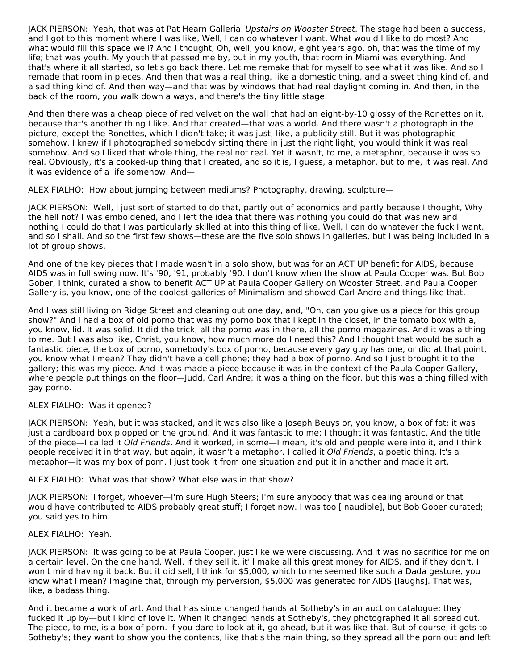JACK PIERSON: Yeah, that was at Pat Hearn Galleria. Upstairs on Wooster Street. The stage had been a success, and I got to this moment where I was like, Well, I can do whatever I want. What would I like to do most? And what would fill this space well? And I thought, Oh, well, you know, eight years ago, oh, that was the time of my life; that was youth. My youth that passed me by, but in my youth, that room in Miami was everything. And that's where it all started, so let's go back there. Let me remake that for myself to see what it was like. And so I remade that room in pieces. And then that was a real thing, like a domestic thing, and a sweet thing kind of, and a sad thing kind of. And then way—and that was by windows that had real daylight coming in. And then, in the back of the room, you walk down a ways, and there's the tiny little stage.

And then there was a cheap piece of red velvet on the wall that had an eight-by-10 glossy of the Ronettes on it, because that's another thing I like. And that created—that was a world. And there wasn't a photograph in the picture, except the Ronettes, which I didn't take; it was just, like, a publicity still. But it was photographic somehow. I knew if I photographed somebody sitting there in just the right light, you would think it was real somehow. And so I liked that whole thing, the real not real. Yet it wasn't, to me, a metaphor, because it was so real. Obviously, it's a cooked-up thing that I created, and so it is, I guess, a metaphor, but to me, it was real. And it was evidence of a life somehow. And—

ALEX FIALHO: How about jumping between mediums? Photography, drawing, sculpture—

JACK PIERSON: Well, I just sort of started to do that, partly out of economics and partly because I thought, Why the hell not? I was emboldened, and I left the idea that there was nothing you could do that was new and nothing I could do that I was particularly skilled at into this thing of like, Well, I can do whatever the fuck I want, and so I shall. And so the first few shows—these are the five solo shows in galleries, but I was being included in a lot of group shows.

And one of the key pieces that I made wasn't in a solo show, but was for an ACT UP benefit for AIDS, because AIDS was in full swing now. It's '90, '91, probably '90. I don't know when the show at Paula Cooper was. But Bob Gober, I think, curated a show to benefit ACT UP at Paula Cooper Gallery on Wooster Street, and Paula Cooper Gallery is, you know, one of the coolest galleries of Minimalism and showed Carl Andre and things like that.

And I was still living on Ridge Street and cleaning out one day, and, "Oh, can you give us a piece for this group show?" And I had a box of old porno that was my porno box that I kept in the closet, in the tomato box with a, you know, lid. It was solid. It did the trick; all the porno was in there, all the porno magazines. And it was a thing to me. But I was also like, Christ, you know, how much more do I need this? And I thought that would be such a fantastic piece, the box of porno, somebody's box of porno, because every gay guy has one, or did at that point, you know what I mean? They didn't have a cell phone; they had a box of porno. And so I just brought it to the gallery; this was my piece. And it was made a piece because it was in the context of the Paula Cooper Gallery, where people put things on the floor—Judd, Carl Andre; it was a thing on the floor, but this was a thing filled with gay porno.

## ALEX FIALHO: Was it opened?

JACK PIERSON: Yeah, but it was stacked, and it was also like a Joseph Beuys or, you know, a box of fat; it was just a cardboard box plopped on the ground. And it was fantastic to me; I thought it was fantastic. And the title of the piece—I called it Old Friends. And it worked, in some—I mean, it's old and people were into it, and I think people received it in that way, but again, it wasn't a metaphor. I called it Old Friends, a poetic thing. It's a metaphor—it was my box of porn. I just took it from one situation and put it in another and made it art.

ALEX FIALHO: What was that show? What else was in that show?

JACK PIERSON: I forget, whoever—I'm sure Hugh Steers; I'm sure anybody that was dealing around or that would have contributed to AIDS probably great stuff; I forget now. I was too [inaudible], but Bob Gober curated; you said yes to him.

## ALEX FIALHO: Yeah.

JACK PIERSON: It was going to be at Paula Cooper, just like we were discussing. And it was no sacrifice for me on a certain level. On the one hand, Well, if they sell it, it'll make all this great money for AIDS, and if they don't, I won't mind having it back. But it did sell, I think for \$5,000, which to me seemed like such a Dada gesture, you know what I mean? Imagine that, through my perversion, \$5,000 was generated for AIDS [laughs]. That was, like, a badass thing.

And it became a work of art. And that has since changed hands at Sotheby's in an auction catalogue; they fucked it up by—but I kind of love it. When it changed hands at Sotheby's, they photographed it all spread out. The piece, to me, is a box of porn. If you dare to look at it, go ahead, but it was like that. But of course, it gets to Sotheby's; they want to show you the contents, like that's the main thing, so they spread all the porn out and left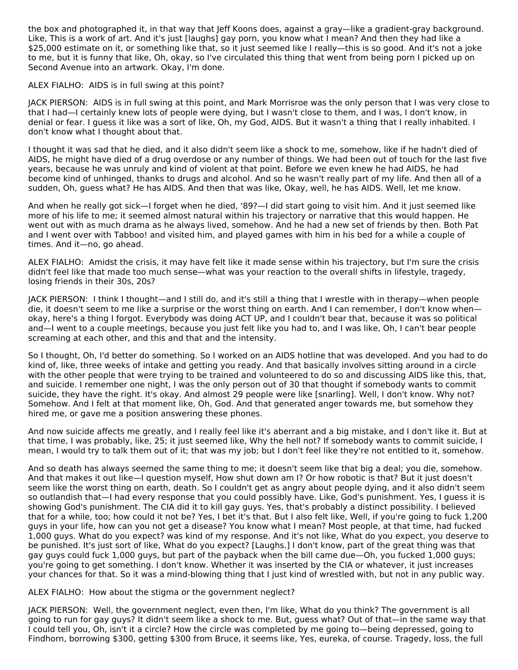the box and photographed it, in that way that Jeff Koons does, against a gray—like a gradient-gray background. Like, This is a work of art. And it's just [laughs] gay porn, you know what I mean? And then they had like a \$25,000 estimate on it, or something like that, so it just seemed like I really—this is so good. And it's not a joke to me, but it is funny that like, Oh, okay, so I've circulated this thing that went from being porn I picked up on Second Avenue into an artwork. Okay, I'm done.

ALEX FIALHO: AIDS is in full swing at this point?

JACK PIERSON: AIDS is in full swing at this point, and Mark Morrisroe was the only person that I was very close to that I had—I certainly knew lots of people were dying, but I wasn't close to them, and I was, I don't know, in denial or fear. I guess it like was a sort of like, Oh, my God, AIDS. But it wasn't a thing that I really inhabited. I don't know what I thought about that.

I thought it was sad that he died, and it also didn't seem like a shock to me, somehow, like if he hadn't died of AIDS, he might have died of a drug overdose or any number of things. We had been out of touch for the last five years, because he was unruly and kind of violent at that point. Before we even knew he had AIDS, he had become kind of unhinged, thanks to drugs and alcohol. And so he wasn't really part of my life. And then all of a sudden, Oh, guess what? He has AIDS. And then that was like, Okay, well, he has AIDS. Well, let me know.

And when he really got sick—I forget when he died, '89?—I did start going to visit him. And it just seemed like more of his life to me; it seemed almost natural within his trajectory or narrative that this would happen. He went out with as much drama as he always lived, somehow. And he had a new set of friends by then. Both Pat and I went over with Tabboo! and visited him, and played games with him in his bed for a while a couple of times. And it—no, go ahead.

ALEX FIALHO: Amidst the crisis, it may have felt like it made sense within his trajectory, but I'm sure the crisis didn't feel like that made too much sense—what was your reaction to the overall shifts in lifestyle, tragedy, losing friends in their 30s, 20s?

JACK PIERSON: I think I thought—and I still do, and it's still a thing that I wrestle with in therapy—when people die, it doesn't seem to me like a surprise or the worst thing on earth. And I can remember, I don't know when okay, here's a thing I forgot. Everybody was doing ACT UP, and I couldn't bear that, because it was so political and—I went to a couple meetings, because you just felt like you had to, and I was like, Oh, I can't bear people screaming at each other, and this and that and the intensity.

So I thought, Oh, I'd better do something. So I worked on an AIDS hotline that was developed. And you had to do kind of, like, three weeks of intake and getting you ready. And that basically involves sitting around in a circle with the other people that were trying to be trained and volunteered to do so and discussing AIDS like this, that, and suicide. I remember one night, I was the only person out of 30 that thought if somebody wants to commit suicide, they have the right. It's okay. And almost 29 people were like [snarling]. Well, I don't know. Why not? Somehow. And I felt at that moment like, Oh, God. And that generated anger towards me, but somehow they hired me, or gave me a position answering these phones.

And now suicide affects me greatly, and I really feel like it's aberrant and a big mistake, and I don't like it. But at that time, I was probably, like, 25; it just seemed like, Why the hell not? If somebody wants to commit suicide, I mean, I would try to talk them out of it; that was my job; but I don't feel like they're not entitled to it, somehow.

And so death has always seemed the same thing to me; it doesn't seem like that big a deal; you die, somehow. And that makes it out like—I question myself, How shut down am I? Or how robotic is that? But it just doesn't seem like the worst thing on earth, death. So I couldn't get as angry about people dying, and it also didn't seem so outlandish that—I had every response that you could possibly have. Like, God's punishment. Yes, I guess it is showing God's punishment. The CIA did it to kill gay guys. Yes, that's probably a distinct possibility. I believed that for a while, too; how could it not be? Yes, I bet it's that. But I also felt like, Well, if you're going to fuck 1,200 guys in your life, how can you not get a disease? You know what I mean? Most people, at that time, had fucked 1,000 guys. What do you expect? was kind of my response. And it's not like, What do you expect, you deserve to be punished. It's just sort of like, What do you expect? [Laughs.] I don't know, part of the great thing was that gay guys could fuck 1,000 guys, but part of the payback when the bill came due—Oh, you fucked 1,000 guys; you're going to get something. I don't know. Whether it was inserted by the CIA or whatever, it just increases your chances for that. So it was a mind-blowing thing that I just kind of wrestled with, but not in any public way.

## ALEX FIALHO: How about the stigma or the government neglect?

JACK PIERSON: Well, the government neglect, even then, I'm like, What do you think? The government is all going to run for gay guys? It didn't seem like a shock to me. But, guess what? Out of that—in the same way that I could tell you, Oh, isn't it a circle? How the circle was completed by me going to—being depressed, going to Findhorn, borrowing \$300, getting \$300 from Bruce, it seems like, Yes, eureka, of course. Tragedy, loss, the full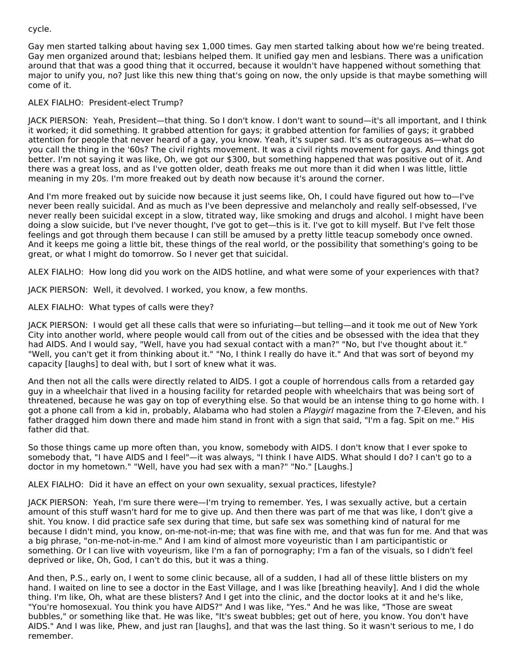## cycle.

Gay men started talking about having sex 1,000 times. Gay men started talking about how we're being treated. Gay men organized around that; lesbians helped them. It unified gay men and lesbians. There was a unification around that that was a good thing that it occurred, because it wouldn't have happened without something that major to unify you, no? Just like this new thing that's going on now, the only upside is that maybe something will come of it.

## ALEX FIALHO: President-elect Trump?

JACK PIERSON: Yeah, President—that thing. So I don't know. I don't want to sound—it's all important, and I think it worked; it did something. It grabbed attention for gays; it grabbed attention for families of gays; it grabbed attention for people that never heard of a gay, you know. Yeah, it's super sad. It's as outrageous as—what do you call the thing in the '60s? The civil rights movement. It was a civil rights movement for gays. And things got better. I'm not saying it was like, Oh, we got our \$300, but something happened that was positive out of it. And there was a great loss, and as I've gotten older, death freaks me out more than it did when I was little, little meaning in my 20s. I'm more freaked out by death now because it's around the corner.

And I'm more freaked out by suicide now because it just seems like, Oh, I could have figured out how to—I've never been really suicidal. And as much as I've been depressive and melancholy and really self-obsessed, I've never really been suicidal except in a slow, titrated way, like smoking and drugs and alcohol. I might have been doing a slow suicide, but I've never thought, I've got to get—this is it. I've got to kill myself. But I've felt those feelings and got through them because I can still be amused by a pretty little teacup somebody once owned. And it keeps me going a little bit, these things of the real world, or the possibility that something's going to be great, or what I might do tomorrow. So I never get that suicidal.

ALEX FIALHO: How long did you work on the AIDS hotline, and what were some of your experiences with that?

JACK PIERSON: Well, it devolved. I worked, you know, a few months.

## ALEX FIALHO: What types of calls were they?

JACK PIERSON: I would get all these calls that were so infuriating—but telling—and it took me out of New York City into another world, where people would call from out of the cities and be obsessed with the idea that they had AIDS. And I would say, "Well, have you had sexual contact with a man?" "No, but I've thought about it." "Well, you can't get it from thinking about it." "No, I think I really do have it." And that was sort of beyond my capacity [laughs] to deal with, but I sort of knew what it was.

And then not all the calls were directly related to AIDS. I got a couple of horrendous calls from a retarded gay guy in a wheelchair that lived in a housing facility for retarded people with wheelchairs that was being sort of threatened, because he was gay on top of everything else. So that would be an intense thing to go home with. I got a phone call from a kid in, probably, Alabama who had stolen a *Playgirl* magazine from the 7-Eleven, and his father dragged him down there and made him stand in front with a sign that said, "I'm a fag. Spit on me." His father did that.

So those things came up more often than, you know, somebody with AIDS. I don't know that I ever spoke to somebody that, "I have AIDS and I feel"—it was always, "I think I have AIDS. What should I do? I can't go to a doctor in my hometown." "Well, have you had sex with a man?" "No." [Laughs.]

ALEX FIALHO: Did it have an effect on your own sexuality, sexual practices, lifestyle?

JACK PIERSON: Yeah, I'm sure there were—I'm trying to remember. Yes, I was sexually active, but a certain amount of this stuff wasn't hard for me to give up. And then there was part of me that was like, I don't give a shit. You know. I did practice safe sex during that time, but safe sex was something kind of natural for me because I didn't mind, you know, on-me-not-in-me; that was fine with me, and that was fun for me. And that was a big phrase, "on-me-not-in-me." And I am kind of almost more voyeuristic than I am participantistic or something. Or I can live with voyeurism, like I'm a fan of pornography; I'm a fan of the visuals, so I didn't feel deprived or like, Oh, God, I can't do this, but it was a thing.

And then, P.S., early on, I went to some clinic because, all of a sudden, I had all of these little blisters on my hand. I waited on line to see a doctor in the East Village, and I was like [breathing heavily]. And I did the whole thing. I'm like, Oh, what are these blisters? And I get into the clinic, and the doctor looks at it and he's like, "You're homosexual. You think you have AIDS?" And I was like, "Yes." And he was like, "Those are sweat bubbles," or something like that. He was like, "It's sweat bubbles; get out of here, you know. You don't have AIDS." And I was like, Phew, and just ran [laughs], and that was the last thing. So it wasn't serious to me, I do remember.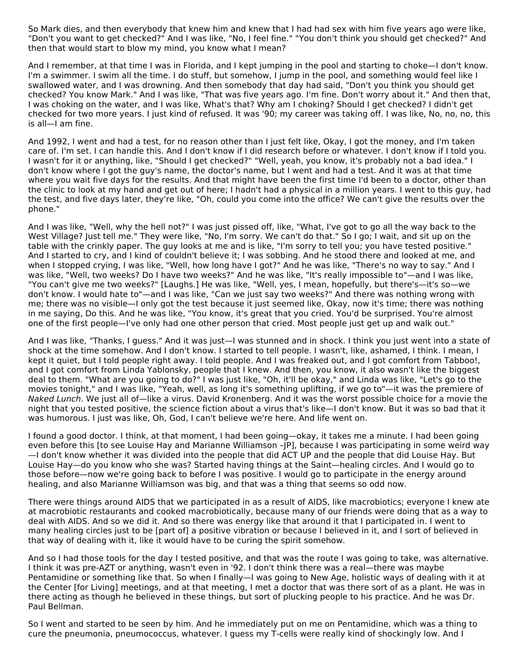So Mark dies, and then everybody that knew him and knew that I had had sex with him five years ago were like, "Don't you want to get checked?" And I was like, "No, I feel fine." "You don't think you should get checked?" And then that would start to blow my mind, you know what I mean?

And I remember, at that time I was in Florida, and I kept jumping in the pool and starting to choke—I don't know. I'm a swimmer. I swim all the time. I do stuff, but somehow, I jump in the pool, and something would feel like I swallowed water, and I was drowning. And then somebody that day had said, "Don't you think you should get checked? You know Mark." And I was like, "That was five years ago. I'm fine. Don't worry about it." And then that, I was choking on the water, and I was like, What's that? Why am I choking? Should I get checked? I didn't get checked for two more years. I just kind of refused. It was '90; my career was taking off. I was like, No, no, no, this is all—I am fine.

And 1992, I went and had a test, for no reason other than I just felt like, Okay, I got the money, and I'm taken care of. I'm set. I can handle this. And I don't know if I did research before or whatever. I don't know if I told you. I wasn't for it or anything, like, "Should I get checked?" "Well, yeah, you know, it's probably not a bad idea." I don't know where I got the guy's name, the doctor's name, but I went and had a test. And it was at that time where you wait five days for the results. And that might have been the first time I'd been to a doctor, other than the clinic to look at my hand and get out of here; I hadn't had a physical in a million years. I went to this guy, had the test, and five days later, they're like, "Oh, could you come into the office? We can't give the results over the phone."

And I was like, "Well, why the hell not?" I was just pissed off, like, "What, I've got to go all the way back to the West Village? Just tell me." They were like, "No, I'm sorry. We can't do that." So I go; I wait, and sit up on the table with the crinkly paper. The guy looks at me and is like, "I'm sorry to tell you; you have tested positive." And I started to cry, and I kind of couldn't believe it; I was sobbing. And he stood there and looked at me, and when I stopped crying, I was like, "Well, how long have I got?" And he was like, "There's no way to say." And I was like, "Well, two weeks? Do I have two weeks?" And he was like, "It's really impossible to"—and I was like, "You can't give me two weeks?" [Laughs.] He was like, "Well, yes, I mean, hopefully, but there's—it's so—we don't know. I would hate to"—and I was like, "Can we just say two weeks?" And there was nothing wrong with me; there was no visible—I only got the test because it just seemed like, Okay, now it's time; there was nothing in me saying, Do this. And he was like, "You know, it's great that you cried. You'd be surprised. You're almost one of the first people—I've only had one other person that cried. Most people just get up and walk out."

And I was like, "Thanks, I guess." And it was just—I was stunned and in shock. I think you just went into a state of shock at the time somehow. And I don't know. I started to tell people. I wasn't, like, ashamed, I think. I mean, I kept it quiet, but I told people right away. I told people. And I was freaked out, and I got comfort from Tabboo!, and I got comfort from Linda Yablonsky, people that I knew. And then, you know, it also wasn't like the biggest deal to them. "What are you going to do?" I was just like, "Oh, it'll be okay," and Linda was like, "Let's go to the movies tonight," and I was like, "Yeah, well, as long it's something uplifting, if we go to"—it was the premiere of Naked Lunch. We just all of—like a virus. David Kronenberg. And it was the worst possible choice for a movie the night that you tested positive, the science fiction about a virus that's like—I don't know. But it was so bad that it was humorous. I just was like, Oh, God, I can't believe we're here. And life went on.

I found a good doctor. I think, at that moment, I had been going—okay, it takes me a minute. I had been going even before this [to see Louise Hay and Marianne Williamson –JP], because I was participating in some weird way —I don't know whether it was divided into the people that did ACT UP and the people that did Louise Hay. But Louise Hay—do you know who she was? Started having things at the Saint—healing circles. And I would go to those before—now we're going back to before I was positive. I would go to participate in the energy around healing, and also Marianne Williamson was big, and that was a thing that seems so odd now.

There were things around AIDS that we participated in as a result of AIDS, like macrobiotics; everyone I knew ate at macrobiotic restaurants and cooked macrobiotically, because many of our friends were doing that as a way to deal with AIDS. And so we did it. And so there was energy like that around it that I participated in. I went to many healing circles just to be [part of] a positive vibration or because I believed in it, and I sort of believed in that way of dealing with it, like it would have to be curing the spirit somehow.

And so I had those tools for the day I tested positive, and that was the route I was going to take, was alternative. I think it was pre-AZT or anything, wasn't even in '92. I don't think there was a real—there was maybe Pentamidine or something like that. So when I finally—I was going to New Age, holistic ways of dealing with it at the Center [for Living] meetings, and at that meeting, I met a doctor that was there sort of as a plant. He was in there acting as though he believed in these things, but sort of plucking people to his practice. And he was Dr. Paul Bellman.

So I went and started to be seen by him. And he immediately put on me on Pentamidine, which was a thing to cure the pneumonia, pneumococcus, whatever. I guess my T-cells were really kind of shockingly low. And I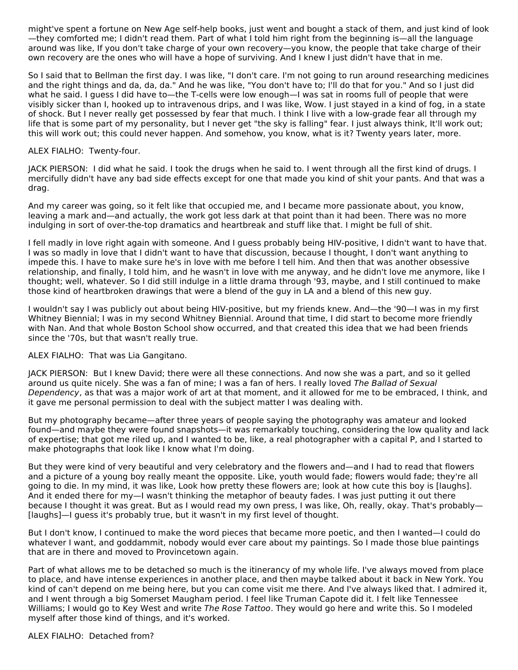might've spent a fortune on New Age self-help books, just went and bought a stack of them, and just kind of look —they comforted me; I didn't read them. Part of what I told him right from the beginning is—all the language around was like, If you don't take charge of your own recovery—you know, the people that take charge of their own recovery are the ones who will have a hope of surviving. And I knew I just didn't have that in me.

So I said that to Bellman the first day. I was like, "I don't care. I'm not going to run around researching medicines and the right things and da, da, da." And he was like, "You don't have to; I'll do that for you." And so I just did what he said. I guess I did have to—the T-cells were low enough—I was sat in rooms full of people that were visibly sicker than I, hooked up to intravenous drips, and I was like, Wow. I just stayed in a kind of fog, in a state of shock. But I never really get possessed by fear that much. I think I live with a low-grade fear all through my life that is some part of my personality, but I never get "the sky is falling" fear. I just always think, It'll work out; this will work out; this could never happen. And somehow, you know, what is it? Twenty years later, more.

## ALEX FIALHO: Twenty-four.

JACK PIERSON: I did what he said. I took the drugs when he said to. I went through all the first kind of drugs. I mercifully didn't have any bad side effects except for one that made you kind of shit your pants. And that was a drag.

And my career was going, so it felt like that occupied me, and I became more passionate about, you know, leaving a mark and—and actually, the work got less dark at that point than it had been. There was no more indulging in sort of over-the-top dramatics and heartbreak and stuff like that. I might be full of shit.

I fell madly in love right again with someone. And I guess probably being HIV-positive, I didn't want to have that. I was so madly in love that I didn't want to have that discussion, because I thought, I don't want anything to impede this. I have to make sure he's in love with me before I tell him. And then that was another obsessive relationship, and finally, I told him, and he wasn't in love with me anyway, and he didn't love me anymore, like I thought; well, whatever. So I did still indulge in a little drama through '93, maybe, and I still continued to make those kind of heartbroken drawings that were a blend of the guy in LA and a blend of this new guy.

I wouldn't say I was publicly out about being HIV-positive, but my friends knew. And—the '90—I was in my first Whitney Biennial; I was in my second Whitney Biennial. Around that time, I did start to become more friendly with Nan. And that whole Boston School show occurred, and that created this idea that we had been friends since the '70s, but that wasn't really true.

## ALEX FIALHO: That was Lia Gangitano.

JACK PIERSON: But I knew David; there were all these connections. And now she was a part, and so it gelled around us quite nicely. She was a fan of mine; I was a fan of hers. I really loved The Ballad of Sexual Dependency, as that was a major work of art at that moment, and it allowed for me to be embraced, I think, and it gave me personal permission to deal with the subject matter I was dealing with.

But my photography became—after three years of people saying the photography was amateur and looked found—and maybe they were found snapshots—it was remarkably touching, considering the low quality and lack of expertise; that got me riled up, and I wanted to be, like, a real photographer with a capital P, and I started to make photographs that look like I know what I'm doing.

But they were kind of very beautiful and very celebratory and the flowers and—and I had to read that flowers and a picture of a young boy really meant the opposite. Like, youth would fade; flowers would fade; they're all going to die. In my mind, it was like, Look how pretty these flowers are; look at how cute this boy is [laughs]. And it ended there for my—I wasn't thinking the metaphor of beauty fades. I was just putting it out there because I thought it was great. But as I would read my own press, I was like, Oh, really, okay. That's probably— [laughs]—I guess it's probably true, but it wasn't in my first level of thought.

But I don't know, I continued to make the word pieces that became more poetic, and then I wanted—I could do whatever I want, and goddammit, nobody would ever care about my paintings. So I made those blue paintings that are in there and moved to Provincetown again.

Part of what allows me to be detached so much is the itinerancy of my whole life. I've always moved from place to place, and have intense experiences in another place, and then maybe talked about it back in New York. You kind of can't depend on me being here, but you can come visit me there. And I've always liked that. I admired it, and I went through a big Somerset Maugham period. I feel like Truman Capote did it. I felt like Tennessee Williams; I would go to Key West and write The Rose Tattoo. They would go here and write this. So I modeled myself after those kind of things, and it's worked.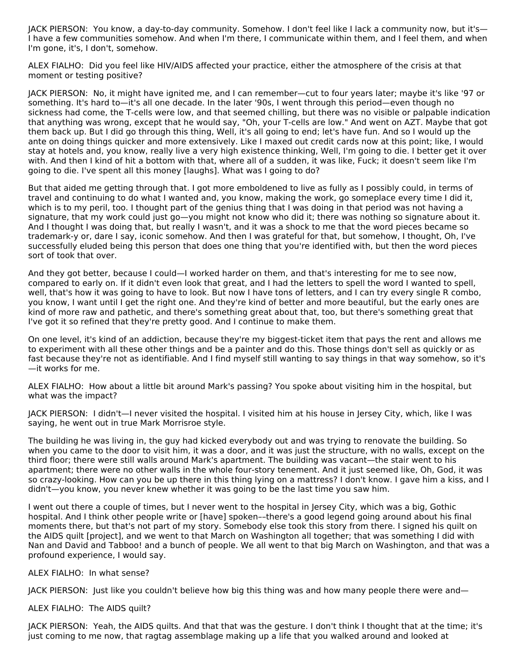JACK PIERSON: You know, a day-to-day community. Somehow. I don't feel like I lack a community now, but it's— I have a few communities somehow. And when I'm there, I communicate within them, and I feel them, and when I'm gone, it's, I don't, somehow.

ALEX FIALHO: Did you feel like HIV/AIDS affected your practice, either the atmosphere of the crisis at that moment or testing positive?

JACK PIERSON: No, it might have ignited me, and I can remember—cut to four years later; maybe it's like '97 or something. It's hard to—it's all one decade. In the later '90s, I went through this period—even though no sickness had come, the T-cells were low, and that seemed chilling, but there was no visible or palpable indication that anything was wrong, except that he would say, "Oh, your T-cells are low." And went on AZT. Maybe that got them back up. But I did go through this thing, Well, it's all going to end; let's have fun. And so I would up the ante on doing things quicker and more extensively. Like I maxed out credit cards now at this point; like, I would stay at hotels and, you know, really live a very high existence thinking, Well, I'm going to die. I better get it over with. And then I kind of hit a bottom with that, where all of a sudden, it was like, Fuck; it doesn't seem like I'm going to die. I've spent all this money [laughs]. What was I going to do?

But that aided me getting through that. I got more emboldened to live as fully as I possibly could, in terms of travel and continuing to do what I wanted and, you know, making the work, go someplace every time I did it, which is to my peril, too. I thought part of the genius thing that I was doing in that period was not having a signature, that my work could just go—you might not know who did it; there was nothing so signature about it. And I thought I was doing that, but really I wasn't, and it was a shock to me that the word pieces became so trademark-y or, dare I say, iconic somehow. And then I was grateful for that, but somehow, I thought, Oh, I've successfully eluded being this person that does one thing that you're identified with, but then the word pieces sort of took that over.

And they got better, because I could—I worked harder on them, and that's interesting for me to see now, compared to early on. If it didn't even look that great, and I had the letters to spell the word I wanted to spell, well, that's how it was going to have to look. But now I have tons of letters, and I can try every single R combo, you know, I want until I get the right one. And they're kind of better and more beautiful, but the early ones are kind of more raw and pathetic, and there's something great about that, too, but there's something great that I've got it so refined that they're pretty good. And I continue to make them.

On one level, it's kind of an addiction, because they're my biggest-ticket item that pays the rent and allows me to experiment with all these other things and be a painter and do this. Those things don't sell as quickly or as fast because they're not as identifiable. And I find myself still wanting to say things in that way somehow, so it's —it works for me.

ALEX FIALHO: How about a little bit around Mark's passing? You spoke about visiting him in the hospital, but what was the impact?

JACK PIERSON: I didn't—I never visited the hospital. I visited him at his house in Jersey City, which, like I was saying, he went out in true Mark Morrisroe style.

The building he was living in, the guy had kicked everybody out and was trying to renovate the building. So when you came to the door to visit him, it was a door, and it was just the structure, with no walls, except on the third floor; there were still walls around Mark's apartment. The building was vacant—the stair went to his apartment; there were no other walls in the whole four-story tenement. And it just seemed like, Oh, God, it was so crazy-looking. How can you be up there in this thing lying on a mattress? I don't know. I gave him a kiss, and I didn't—you know, you never knew whether it was going to be the last time you saw him.

I went out there a couple of times, but I never went to the hospital in Jersey City, which was a big, Gothic hospital. And I think other people write or [have] spoken––there's a good legend going around about his final moments there, but that's not part of my story. Somebody else took this story from there. I signed his quilt on the AIDS quilt [project], and we went to that March on Washington all together; that was something I did with Nan and David and Tabboo! and a bunch of people. We all went to that big March on Washington, and that was a profound experience, I would say.

ALEX FIALHO: In what sense?

JACK PIERSON: Just like you couldn't believe how big this thing was and how many people there were and—

ALEX FIALHO: The AIDS quilt?

JACK PIERSON: Yeah, the AIDS quilts. And that that was the gesture. I don't think I thought that at the time; it's just coming to me now, that ragtag assemblage making up a life that you walked around and looked at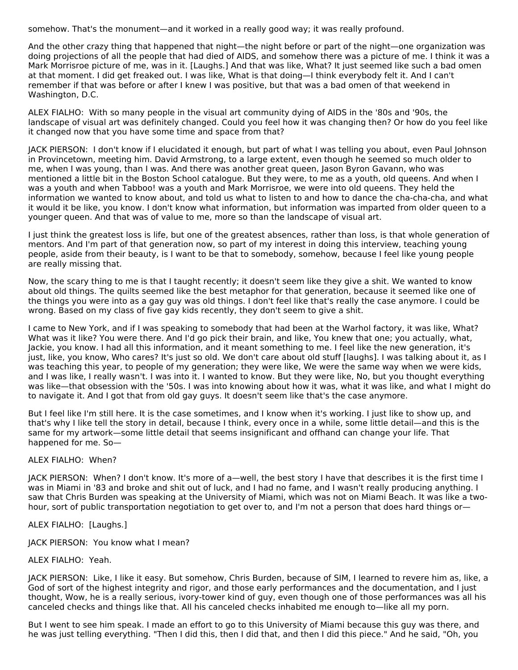somehow. That's the monument—and it worked in a really good way; it was really profound.

And the other crazy thing that happened that night—the night before or part of the night—one organization was doing projections of all the people that had died of AIDS, and somehow there was a picture of me. I think it was a Mark Morrisroe picture of me, was in it. [Laughs.] And that was like, What? It just seemed like such a bad omen at that moment. I did get freaked out. I was like, What is that doing—I think everybody felt it. And I can't remember if that was before or after I knew I was positive, but that was a bad omen of that weekend in Washington, D.C.

ALEX FIALHO: With so many people in the visual art community dying of AIDS in the '80s and '90s, the landscape of visual art was definitely changed. Could you feel how it was changing then? Or how do you feel like it changed now that you have some time and space from that?

JACK PIERSON: I don't know if I elucidated it enough, but part of what I was telling you about, even Paul Johnson in Provincetown, meeting him. David Armstrong, to a large extent, even though he seemed so much older to me, when I was young, than I was. And there was another great queen, Jason Byron Gavann, who was mentioned a little bit in the Boston School catalogue. But they were, to me as a youth, old queens. And when I was a youth and when Tabboo! was a youth and Mark Morrisroe, we were into old queens. They held the information we wanted to know about, and told us what to listen to and how to dance the cha-cha-cha, and what it would it be like, you know. I don't know what information, but information was imparted from older queen to a younger queen. And that was of value to me, more so than the landscape of visual art.

I just think the greatest loss is life, but one of the greatest absences, rather than loss, is that whole generation of mentors. And I'm part of that generation now, so part of my interest in doing this interview, teaching young people, aside from their beauty, is I want to be that to somebody, somehow, because I feel like young people are really missing that.

Now, the scary thing to me is that I taught recently; it doesn't seem like they give a shit. We wanted to know about old things. The quilts seemed like the best metaphor for that generation, because it seemed like one of the things you were into as a gay guy was old things. I don't feel like that's really the case anymore. I could be wrong. Based on my class of five gay kids recently, they don't seem to give a shit.

I came to New York, and if I was speaking to somebody that had been at the Warhol factory, it was like, What? What was it like? You were there. And I'd go pick their brain, and like, You knew that one; you actually, what, Jackie, you know. I had all this information, and it meant something to me. I feel like the new generation, it's just, like, you know, Who cares? It's just so old. We don't care about old stuff [laughs]. I was talking about it, as I was teaching this year, to people of my generation; they were like, We were the same way when we were kids, and I was like, I really wasn't. I was into it. I wanted to know. But they were like, No, but you thought everything was like—that obsession with the '50s. I was into knowing about how it was, what it was like, and what I might do to navigate it. And I got that from old gay guys. It doesn't seem like that's the case anymore.

But I feel like I'm still here. It is the case sometimes, and I know when it's working. I just like to show up, and that's why I like tell the story in detail, because I think, every once in a while, some little detail—and this is the same for my artwork—some little detail that seems insignificant and offhand can change your life. That happened for me. So—

## ALEX FIALHO: When?

JACK PIERSON: When? I don't know. It's more of a—well, the best story I have that describes it is the first time I was in Miami in '83 and broke and shit out of luck, and I had no fame, and I wasn't really producing anything. I saw that Chris Burden was speaking at the University of Miami, which was not on Miami Beach. It was like a twohour, sort of public transportation negotiation to get over to, and I'm not a person that does hard things or—

ALEX FIALHO: [Laughs.]

JACK PIERSON: You know what I mean?

## ALEX FIALHO: Yeah.

JACK PIERSON: Like, I like it easy. But somehow, Chris Burden, because of SIM, I learned to revere him as, like, a God of sort of the highest integrity and rigor, and those early performances and the documentation, and I just thought, Wow, he is a really serious, ivory-tower kind of guy, even though one of those performances was all his canceled checks and things like that. All his canceled checks inhabited me enough to—like all my porn.

But I went to see him speak. I made an effort to go to this University of Miami because this guy was there, and he was just telling everything. "Then I did this, then I did that, and then I did this piece." And he said, "Oh, you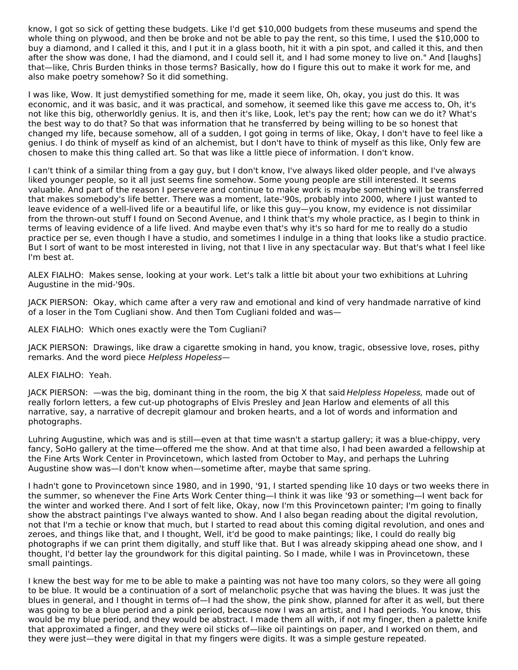know, I got so sick of getting these budgets. Like I'd get \$10,000 budgets from these museums and spend the whole thing on plywood, and then be broke and not be able to pay the rent, so this time, I used the \$10,000 to buy a diamond, and I called it this, and I put it in a glass booth, hit it with a pin spot, and called it this, and then after the show was done, I had the diamond, and I could sell it, and I had some money to live on." And [laughs] that—like, Chris Burden thinks in those terms? Basically, how do I figure this out to make it work for me, and also make poetry somehow? So it did something.

I was like, Wow. It just demystified something for me, made it seem like, Oh, okay, you just do this. It was economic, and it was basic, and it was practical, and somehow, it seemed like this gave me access to, Oh, it's not like this big, otherworldly genius. It is, and then it's like, Look, let's pay the rent; how can we do it? What's the best way to do that? So that was information that he transferred by being willing to be so honest that changed my life, because somehow, all of a sudden, I got going in terms of like, Okay, I don't have to feel like a genius. I do think of myself as kind of an alchemist, but I don't have to think of myself as this like, Only few are chosen to make this thing called art. So that was like a little piece of information. I don't know.

I can't think of a similar thing from a gay guy, but I don't know, I've always liked older people, and I've always liked younger people, so it all just seems fine somehow. Some young people are still interested. It seems valuable. And part of the reason I persevere and continue to make work is maybe something will be transferred that makes somebody's life better. There was a moment, late-'90s, probably into 2000, where I just wanted to leave evidence of a well-lived life or a beautiful life, or like this guy—you know, my evidence is not dissimilar from the thrown-out stuff I found on Second Avenue, and I think that's my whole practice, as I begin to think in terms of leaving evidence of a life lived. And maybe even that's why it's so hard for me to really do a studio practice per se, even though I have a studio, and sometimes I indulge in a thing that looks like a studio practice. But I sort of want to be most interested in living, not that I live in any spectacular way. But that's what I feel like I'm best at.

ALEX FIALHO: Makes sense, looking at your work. Let's talk a little bit about your two exhibitions at Luhring Augustine in the mid-'90s.

JACK PIERSON: Okay, which came after a very raw and emotional and kind of very handmade narrative of kind of a loser in the Tom Cugliani show. And then Tom Cugliani folded and was—

ALEX FIALHO: Which ones exactly were the Tom Cugliani?

JACK PIERSON: Drawings, like draw a cigarette smoking in hand, you know, tragic, obsessive love, roses, pithy remarks. And the word piece Helpless Hopeless—

## ALEX FIALHO: Yeah.

JACK PIERSON: —was the big, dominant thing in the room, the big X that said Helpless Hopeless, made out of really forlorn letters, a few cut-up photographs of Elvis Presley and Jean Harlow and elements of all this narrative, say, a narrative of decrepit glamour and broken hearts, and a lot of words and information and photographs.

Luhring Augustine, which was and is still—even at that time wasn't a startup gallery; it was a blue-chippy, very fancy, SoHo gallery at the time—offered me the show. And at that time also, I had been awarded a fellowship at the Fine Arts Work Center in Provincetown, which lasted from October to May, and perhaps the Luhring Augustine show was—I don't know when—sometime after, maybe that same spring.

I hadn't gone to Provincetown since 1980, and in 1990, '91, I started spending like 10 days or two weeks there in the summer, so whenever the Fine Arts Work Center thing—I think it was like '93 or something—I went back for the winter and worked there. And I sort of felt like, Okay, now I'm this Provincetown painter; I'm going to finally show the abstract paintings I've always wanted to show. And I also began reading about the digital revolution, not that I'm a techie or know that much, but I started to read about this coming digital revolution, and ones and zeroes, and things like that, and I thought, Well, it'd be good to make paintings; like, I could do really big photographs if we can print them digitally, and stuff like that. But I was already skipping ahead one show, and I thought, I'd better lay the groundwork for this digital painting. So I made, while I was in Provincetown, these small paintings.

I knew the best way for me to be able to make a painting was not have too many colors, so they were all going to be blue. It would be a continuation of a sort of melancholic psyche that was having the blues. It was just the blues in general, and I thought in terms of—I had the show, the pink show, planned for after it as well, but there was going to be a blue period and a pink period, because now I was an artist, and I had periods. You know, this would be my blue period, and they would be abstract. I made them all with, if not my finger, then a palette knife that approximated a finger, and they were oil sticks of—like oil paintings on paper, and I worked on them, and they were just—they were digital in that my fingers were digits. It was a simple gesture repeated.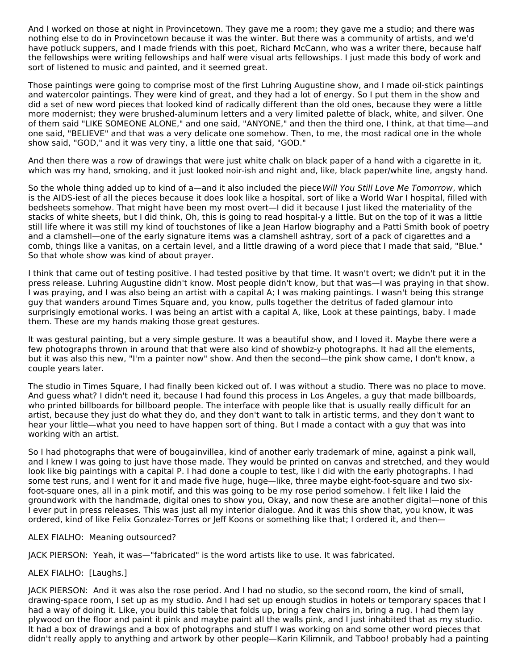And I worked on those at night in Provincetown. They gave me a room; they gave me a studio; and there was nothing else to do in Provincetown because it was the winter. But there was a community of artists, and we'd have potluck suppers, and I made friends with this poet, Richard McCann, who was a writer there, because half the fellowships were writing fellowships and half were visual arts fellowships. I just made this body of work and sort of listened to music and painted, and it seemed great.

Those paintings were going to comprise most of the first Luhring Augustine show, and I made oil-stick paintings and watercolor paintings. They were kind of great, and they had a lot of energy. So I put them in the show and did a set of new word pieces that looked kind of radically different than the old ones, because they were a little more modernist; they were brushed-aluminum letters and a very limited palette of black, white, and silver. One of them said "LIKE SOMEONE ALONE," and one said, "ANYONE," and then the third one, I think, at that time—and one said, "BELIEVE" and that was a very delicate one somehow. Then, to me, the most radical one in the whole show said, "GOD," and it was very tiny, a little one that said, "GOD."

And then there was a row of drawings that were just white chalk on black paper of a hand with a cigarette in it, which was my hand, smoking, and it just looked noir-ish and night and, like, black paper/white line, angsty hand.

So the whole thing added up to kind of a—and it also included the piece Will You Still Love Me Tomorrow, which is the AIDS-iest of all the pieces because it does look like a hospital, sort of like a World War I hospital, filled with bedsheets somehow. That might have been my most overt—I did it because I just liked the materiality of the stacks of white sheets, but I did think, Oh, this is going to read hospital-y a little. But on the top of it was a little still life where it was still my kind of touchstones of like a Jean Harlow biography and a Patti Smith book of poetry and a clamshell—one of the early signature items was a clamshell ashtray, sort of a pack of cigarettes and a comb, things like a vanitas, on a certain level, and a little drawing of a word piece that I made that said, "Blue." So that whole show was kind of about prayer.

I think that came out of testing positive. I had tested positive by that time. It wasn't overt; we didn't put it in the press release. Luhring Augustine didn't know. Most people didn't know, but that was—I was praying in that show. I was praying, and I was also being an artist with a capital A; I was making paintings. I wasn't being this strange guy that wanders around Times Square and, you know, pulls together the detritus of faded glamour into surprisingly emotional works. I was being an artist with a capital A, like, Look at these paintings, baby. I made them. These are my hands making those great gestures.

It was gestural painting, but a very simple gesture. It was a beautiful show, and I loved it. Maybe there were a few photographs thrown in around that that were also kind of showbiz-y photographs. It had all the elements, but it was also this new, "I'm a painter now" show. And then the second—the pink show came, I don't know, a couple years later.

The studio in Times Square, I had finally been kicked out of. I was without a studio. There was no place to move. And guess what? I didn't need it, because I had found this process in Los Angeles, a guy that made billboards, who printed billboards for billboard people. The interface with people like that is usually really difficult for an artist, because they just do what they do, and they don't want to talk in artistic terms, and they don't want to hear your little—what you need to have happen sort of thing. But I made a contact with a guy that was into working with an artist.

So I had photographs that were of bougainvillea, kind of another early trademark of mine, against a pink wall, and I knew I was going to just have those made. They would be printed on canvas and stretched, and they would look like big paintings with a capital P. I had done a couple to test, like I did with the early photographs. I had some test runs, and I went for it and made five huge, huge—like, three maybe eight-foot-square and two sixfoot-square ones, all in a pink motif, and this was going to be my rose period somehow. I felt like I laid the groundwork with the handmade, digital ones to show you, Okay, and now these are another digital—none of this I ever put in press releases. This was just all my interior dialogue. And it was this show that, you know, it was ordered, kind of like Felix Gonzalez-Torres or Jeff Koons or something like that; I ordered it, and then—

ALEX FIALHO: Meaning outsourced?

JACK PIERSON: Yeah, it was—"fabricated" is the word artists like to use. It was fabricated.

ALEX FIALHO: [Laughs.]

JACK PIERSON: And it was also the rose period. And I had no studio, so the second room, the kind of small, drawing-space room, I set up as my studio. And I had set up enough studios in hotels or temporary spaces that I had a way of doing it. Like, you build this table that folds up, bring a few chairs in, bring a rug. I had them lay plywood on the floor and paint it pink and maybe paint all the walls pink, and I just inhabited that as my studio. It had a box of drawings and a box of photographs and stuff I was working on and some other word pieces that didn't really apply to anything and artwork by other people—Karin Kilimnik, and Tabboo! probably had a painting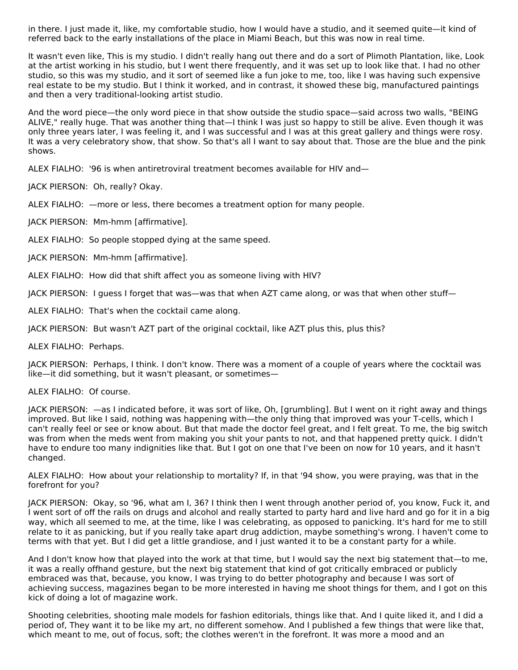in there. I just made it, like, my comfortable studio, how I would have a studio, and it seemed quite—it kind of referred back to the early installations of the place in Miami Beach, but this was now in real time.

It wasn't even like, This is my studio. I didn't really hang out there and do a sort of Plimoth Plantation, like, Look at the artist working in his studio, but I went there frequently, and it was set up to look like that. I had no other studio, so this was my studio, and it sort of seemed like a fun joke to me, too, like I was having such expensive real estate to be my studio. But I think it worked, and in contrast, it showed these big, manufactured paintings and then a very traditional-looking artist studio.

And the word piece—the only word piece in that show outside the studio space—said across two walls, "BEING ALIVE," really huge. That was another thing that—I think I was just so happy to still be alive. Even though it was only three years later, I was feeling it, and I was successful and I was at this great gallery and things were rosy. It was a very celebratory show, that show. So that's all I want to say about that. Those are the blue and the pink shows.

ALEX FIALHO: '96 is when antiretroviral treatment becomes available for HIV and—

JACK PIERSON: Oh, really? Okay.

ALEX FIALHO: —more or less, there becomes a treatment option for many people.

JACK PIERSON: Mm-hmm [affirmative].

ALEX FIALHO: So people stopped dying at the same speed.

JACK PIERSON: Mm-hmm [affirmative].

ALEX FIALHO: How did that shift affect you as someone living with HIV?

JACK PIERSON: I guess I forget that was—was that when AZT came along, or was that when other stuff—

ALEX FIALHO: That's when the cocktail came along.

JACK PIERSON: But wasn't AZT part of the original cocktail, like AZT plus this, plus this?

ALEX FIALHO: Perhaps.

JACK PIERSON: Perhaps, I think. I don't know. There was a moment of a couple of years where the cocktail was like—it did something, but it wasn't pleasant, or sometimes—

#### ALEX FIALHO: Of course.

JACK PIERSON: —as I indicated before, it was sort of like, Oh, [grumbling]. But I went on it right away and things improved. But like I said, nothing was happening with—the only thing that improved was your T-cells, which I can't really feel or see or know about. But that made the doctor feel great, and I felt great. To me, the big switch was from when the meds went from making you shit your pants to not, and that happened pretty quick. I didn't have to endure too many indignities like that. But I got on one that I've been on now for 10 years, and it hasn't changed.

ALEX FIALHO: How about your relationship to mortality? If, in that '94 show, you were praying, was that in the forefront for you?

JACK PIERSON: Okay, so '96, what am I, 36? I think then I went through another period of, you know, Fuck it, and I went sort of off the rails on drugs and alcohol and really started to party hard and live hard and go for it in a big way, which all seemed to me, at the time, like I was celebrating, as opposed to panicking. It's hard for me to still relate to it as panicking, but if you really take apart drug addiction, maybe something's wrong. I haven't come to terms with that yet. But I did get a little grandiose, and I just wanted it to be a constant party for a while.

And I don't know how that played into the work at that time, but I would say the next big statement that—to me, it was a really offhand gesture, but the next big statement that kind of got critically embraced or publicly embraced was that, because, you know, I was trying to do better photography and because I was sort of achieving success, magazines began to be more interested in having me shoot things for them, and I got on this kick of doing a lot of magazine work.

Shooting celebrities, shooting male models for fashion editorials, things like that. And I quite liked it, and I did a period of, They want it to be like my art, no different somehow. And I published a few things that were like that, which meant to me, out of focus, soft; the clothes weren't in the forefront. It was more a mood and an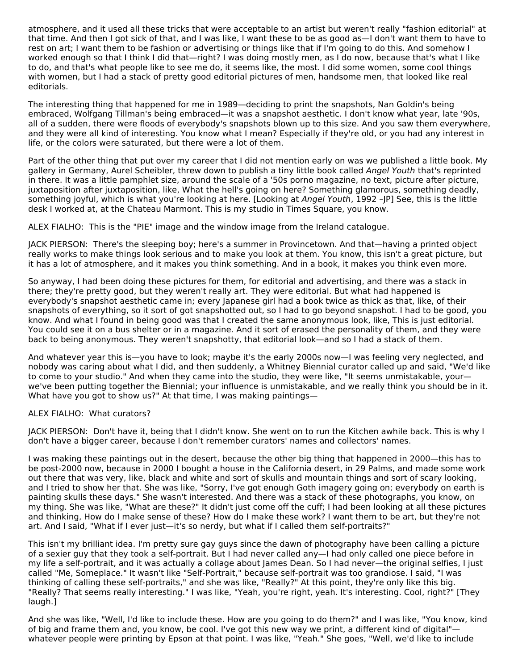atmosphere, and it used all these tricks that were acceptable to an artist but weren't really "fashion editorial" at that time. And then I got sick of that, and I was like, I want these to be as good as—I don't want them to have to rest on art; I want them to be fashion or advertising or things like that if I'm going to do this. And somehow I worked enough so that I think I did that—right? I was doing mostly men, as I do now, because that's what I like to do, and that's what people like to see me do, it seems like, the most. I did some women, some cool things with women, but I had a stack of pretty good editorial pictures of men, handsome men, that looked like real editorials.

The interesting thing that happened for me in 1989—deciding to print the snapshots, Nan Goldin's being embraced, Wolfgang Tillman's being embraced—it was a snapshot aesthetic. I don't know what year, late '90s, all of a sudden, there were floods of everybody's snapshots blown up to this size. And you saw them everywhere, and they were all kind of interesting. You know what I mean? Especially if they're old, or you had any interest in life, or the colors were saturated, but there were a lot of them.

Part of the other thing that put over my career that I did not mention early on was we published a little book. My gallery in Germany, Aurel Scheibler, threw down to publish a tiny little book called Angel Youth that's reprinted in there. It was a little pamphlet size, around the scale of a '50s porno magazine, no text, picture after picture, juxtaposition after juxtaposition, like, What the hell's going on here? Something glamorous, something deadly, something joyful, which is what you're looking at here. [Looking at Angel Youth, 1992 -JP] See, this is the little desk I worked at, at the Chateau Marmont. This is my studio in Times Square, you know.

ALEX FIALHO: This is the "PIE" image and the window image from the Ireland catalogue.

JACK PIERSON: There's the sleeping boy; here's a summer in Provincetown. And that—having a printed object really works to make things look serious and to make you look at them. You know, this isn't a great picture, but it has a lot of atmosphere, and it makes you think something. And in a book, it makes you think even more.

So anyway, I had been doing these pictures for them, for editorial and advertising, and there was a stack in there; they're pretty good, but they weren't really art. They were editorial. But what had happened is everybody's snapshot aesthetic came in; every Japanese girl had a book twice as thick as that, like, of their snapshots of everything, so it sort of got snapshotted out, so I had to go beyond snapshot. I had to be good, you know. And what I found in being good was that I created the same anonymous look, like, This is just editorial. You could see it on a bus shelter or in a magazine. And it sort of erased the personality of them, and they were back to being anonymous. They weren't snapshotty, that editorial look—and so I had a stack of them.

And whatever year this is—you have to look; maybe it's the early 2000s now—I was feeling very neglected, and nobody was caring about what I did, and then suddenly, a Whitney Biennial curator called up and said, "We'd like to come to your studio." And when they came into the studio, they were like, "It seems unmistakable, your we've been putting together the Biennial; your influence is unmistakable, and we really think you should be in it. What have you got to show us?" At that time, I was making paintings—

ALEX FIALHO: What curators?

JACK PIERSON: Don't have it, being that I didn't know. She went on to run the Kitchen awhile back. This is why I don't have a bigger career, because I don't remember curators' names and collectors' names.

I was making these paintings out in the desert, because the other big thing that happened in 2000—this has to be post-2000 now, because in 2000 I bought a house in the California desert, in 29 Palms, and made some work out there that was very, like, black and white and sort of skulls and mountain things and sort of scary looking, and I tried to show her that. She was like, "Sorry, I've got enough Goth imagery going on; everybody on earth is painting skulls these days." She wasn't interested. And there was a stack of these photographs, you know, on my thing. She was like, "What are these?" It didn't just come off the cuff; I had been looking at all these pictures and thinking, How do I make sense of these? How do I make these work? I want them to be art, but they're not art. And I said, "What if I ever just—it's so nerdy, but what if I called them self-portraits?"

This isn't my brilliant idea. I'm pretty sure gay guys since the dawn of photography have been calling a picture of a sexier guy that they took a self-portrait. But I had never called any—I had only called one piece before in my life a self-portrait, and it was actually a collage about James Dean. So I had never—the original selfies, I just called "Me, Someplace." It wasn't like "Self-Portrait," because self-portrait was too grandiose. I said, "I was thinking of calling these self-portraits," and she was like, "Really?" At this point, they're only like this big. "Really? That seems really interesting." I was like, "Yeah, you're right, yeah. It's interesting. Cool, right?" [They laugh.]

And she was like, "Well, I'd like to include these. How are you going to do them?" and I was like, "You know, kind of big and frame them and, you know, be cool. I've got this new way we print, a different kind of digital" whatever people were printing by Epson at that point. I was like, "Yeah." She goes, "Well, we'd like to include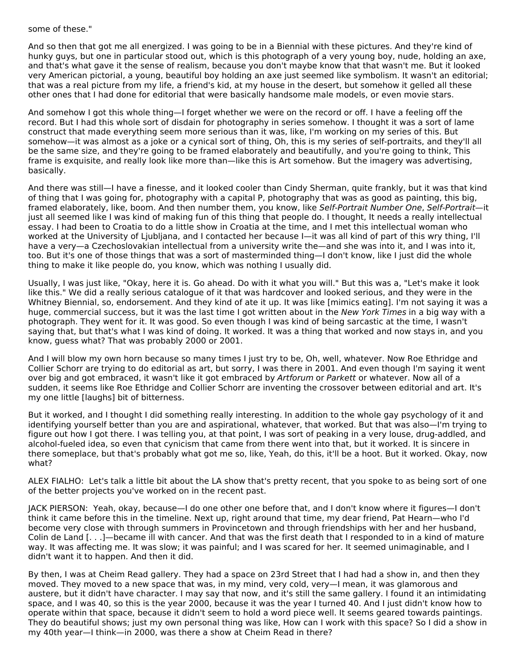## some of these."

And so then that got me all energized. I was going to be in a Biennial with these pictures. And they're kind of hunky guys, but one in particular stood out, which is this photograph of a very young boy, nude, holding an axe, and that's what gave it the sense of realism, because you don't maybe know that that wasn't me. But it looked very American pictorial, a young, beautiful boy holding an axe just seemed like symbolism. It wasn't an editorial; that was a real picture from my life, a friend's kid, at my house in the desert, but somehow it gelled all these other ones that I had done for editorial that were basically handsome male models, or even movie stars.

And somehow I got this whole thing—I forget whether we were on the record or off. I have a feeling off the record. But I had this whole sort of disdain for photography in series somehow. I thought it was a sort of lame construct that made everything seem more serious than it was, like, I'm working on my series of this. But somehow—it was almost as a joke or a cynical sort of thing, Oh, this is my series of self-portraits, and they'll all be the same size, and they're going to be framed elaborately and beautifully, and you're going to think, This frame is exquisite, and really look like more than—like this is Art somehow. But the imagery was advertising, basically.

And there was still—I have a finesse, and it looked cooler than Cindy Sherman, quite frankly, but it was that kind of thing that I was going for, photography with a capital P, photography that was as good as painting, this big, framed elaborately, like, boom. And then number them, you know, like Self-Portrait Number One, Self-Portrait—it just all seemed like I was kind of making fun of this thing that people do. I thought, It needs a really intellectual essay. I had been to Croatia to do a little show in Croatia at the time, and I met this intellectual woman who worked at the University of Ljubljana, and I contacted her because I—it was all kind of part of this wry thing, I'll have a very—a Czechoslovakian intellectual from a university write the—and she was into it, and I was into it, too. But it's one of those things that was a sort of masterminded thing—I don't know, like I just did the whole thing to make it like people do, you know, which was nothing I usually did.

Usually, I was just like, "Okay, here it is. Go ahead. Do with it what you will." But this was a, "Let's make it look like this." We did a really serious catalogue of it that was hardcover and looked serious, and they were in the Whitney Biennial, so, endorsement. And they kind of ate it up. It was like [mimics eating]. I'm not saying it was a huge, commercial success, but it was the last time I got written about in the New York Times in a big way with a photograph. They went for it. It was good. So even though I was kind of being sarcastic at the time, I wasn't saying that, but that's what I was kind of doing. It worked. It was a thing that worked and now stays in, and you know, guess what? That was probably 2000 or 2001.

And I will blow my own horn because so many times I just try to be, Oh, well, whatever. Now Roe Ethridge and Collier Schorr are trying to do editorial as art, but sorry, I was there in 2001. And even though I'm saying it went over big and got embraced, it wasn't like it got embraced by Artforum or Parkett or whatever. Now all of a sudden, it seems like Roe Ethridge and Collier Schorr are inventing the crossover between editorial and art. It's my one little [laughs] bit of bitterness.

But it worked, and I thought I did something really interesting. In addition to the whole gay psychology of it and identifying yourself better than you are and aspirational, whatever, that worked. But that was also—I'm trying to figure out how I got there. I was telling you, at that point, I was sort of peaking in a very louse, drug-addled, and alcohol-fueled idea, so even that cynicism that came from there went into that, but it worked. It is sincere in there someplace, but that's probably what got me so, like, Yeah, do this, it'll be a hoot. But it worked. Okay, now what?

ALEX FIALHO: Let's talk a little bit about the LA show that's pretty recent, that you spoke to as being sort of one of the better projects you've worked on in the recent past.

JACK PIERSON: Yeah, okay, because—I do one other one before that, and I don't know where it figures—I don't think it came before this in the timeline. Next up, right around that time, my dear friend, Pat Hearn—who I'd become very close with through summers in Provincetown and through friendships with her and her husband, Colin de Land [. . .]—became ill with cancer. And that was the first death that I responded to in a kind of mature way. It was affecting me. It was slow; it was painful; and I was scared for her. It seemed unimaginable, and I didn't want it to happen. And then it did.

By then, I was at Cheim Read gallery. They had a space on 23rd Street that I had had a show in, and then they moved. They moved to a new space that was, in my mind, very cold, very—I mean, it was glamorous and austere, but it didn't have character. I may say that now, and it's still the same gallery. I found it an intimidating space, and I was 40, so this is the year 2000, because it was the year I turned 40. And I just didn't know how to operate within that space, because it didn't seem to hold a word piece well. It seems geared towards paintings. They do beautiful shows; just my own personal thing was like, How can I work with this space? So I did a show in my 40th year—I think—in 2000, was there a show at Cheim Read in there?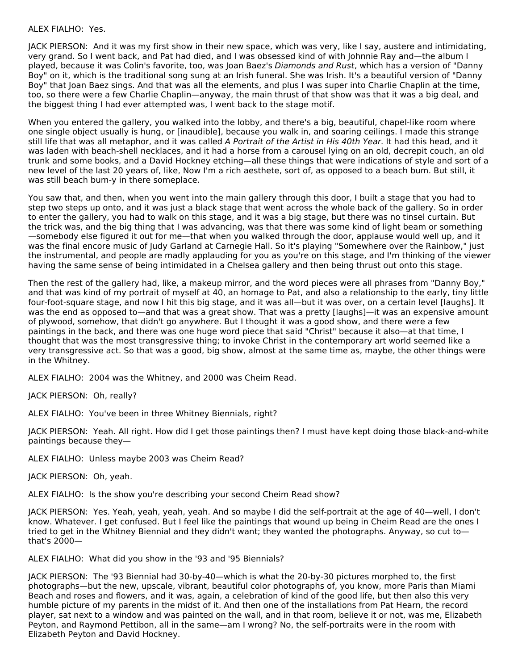#### ALEX FIALHO: Yes.

JACK PIERSON: And it was my first show in their new space, which was very, like I say, austere and intimidating, very grand. So I went back, and Pat had died, and I was obsessed kind of with Johnnie Ray and—the album I played, because it was Colin's favorite, too, was Joan Baez's Diamonds and Rust, which has a version of "Danny Boy" on it, which is the traditional song sung at an Irish funeral. She was Irish. It's a beautiful version of "Danny Boy" that Joan Baez sings. And that was all the elements, and plus I was super into Charlie Chaplin at the time, too, so there were a few Charlie Chaplin—anyway, the main thrust of that show was that it was a big deal, and the biggest thing I had ever attempted was, I went back to the stage motif.

When you entered the gallery, you walked into the lobby, and there's a big, beautiful, chapel-like room where one single object usually is hung, or [inaudible], because you walk in, and soaring ceilings. I made this strange still life that was all metaphor, and it was called A Portrait of the Artist in His 40th Year. It had this head, and it was laden with beach-shell necklaces, and it had a horse from a carousel lying on an old, decrepit couch, an old trunk and some books, and a David Hockney etching—all these things that were indications of style and sort of a new level of the last 20 years of, like, Now I'm a rich aesthete, sort of, as opposed to a beach bum. But still, it was still beach bum-y in there someplace.

You saw that, and then, when you went into the main gallery through this door, I built a stage that you had to step two steps up onto, and it was just a black stage that went across the whole back of the gallery. So in order to enter the gallery, you had to walk on this stage, and it was a big stage, but there was no tinsel curtain. But the trick was, and the big thing that I was advancing, was that there was some kind of light beam or something —somebody else figured it out for me—that when you walked through the door, applause would well up, and it was the final encore music of Judy Garland at Carnegie Hall. So it's playing "Somewhere over the Rainbow," just the instrumental, and people are madly applauding for you as you're on this stage, and I'm thinking of the viewer having the same sense of being intimidated in a Chelsea gallery and then being thrust out onto this stage.

Then the rest of the gallery had, like, a makeup mirror, and the word pieces were all phrases from "Danny Boy," and that was kind of my portrait of myself at 40, an homage to Pat, and also a relationship to the early, tiny little four-foot-square stage, and now I hit this big stage, and it was all—but it was over, on a certain level [laughs]. It was the end as opposed to—and that was a great show. That was a pretty [laughs]—it was an expensive amount of plywood, somehow, that didn't go anywhere. But I thought it was a good show, and there were a few paintings in the back, and there was one huge word piece that said "Christ" because it also—at that time, I thought that was the most transgressive thing; to invoke Christ in the contemporary art world seemed like a very transgressive act. So that was a good, big show, almost at the same time as, maybe, the other things were in the Whitney.

ALEX FIALHO: 2004 was the Whitney, and 2000 was Cheim Read.

JACK PIERSON: Oh, really?

ALEX FIALHO: You've been in three Whitney Biennials, right?

JACK PIERSON: Yeah. All right. How did I get those paintings then? I must have kept doing those black-and-white paintings because they—

ALEX FIALHO: Unless maybe 2003 was Cheim Read?

JACK PIERSON: Oh, yeah.

ALEX FIALHO: Is the show you're describing your second Cheim Read show?

JACK PIERSON: Yes. Yeah, yeah, yeah, yeah. And so maybe I did the self-portrait at the age of 40—well, I don't know. Whatever. I get confused. But I feel like the paintings that wound up being in Cheim Read are the ones I tried to get in the Whitney Biennial and they didn't want; they wanted the photographs. Anyway, so cut to that's 2000—

ALEX FIALHO: What did you show in the '93 and '95 Biennials?

JACK PIERSON: The '93 Biennial had 30-by-40—which is what the 20-by-30 pictures morphed to, the first photographs—but the new, upscale, vibrant, beautiful color photographs of, you know, more Paris than Miami Beach and roses and flowers, and it was, again, a celebration of kind of the good life, but then also this very humble picture of my parents in the midst of it. And then one of the installations from Pat Hearn, the record player, sat next to a window and was painted on the wall, and in that room, believe it or not, was me, Elizabeth Peyton, and Raymond Pettibon, all in the same—am I wrong? No, the self-portraits were in the room with Elizabeth Peyton and David Hockney.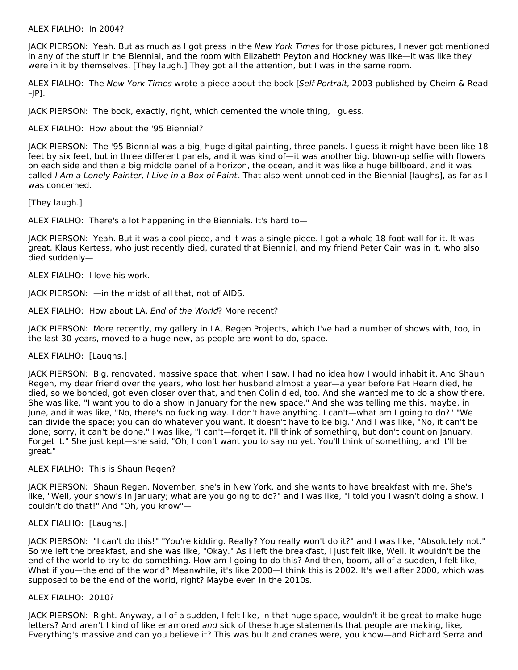#### ALEX FIALHO: In 2004?

JACK PIERSON: Yeah. But as much as I got press in the New York Times for those pictures, I never got mentioned in any of the stuff in the Biennial, and the room with Elizabeth Peyton and Hockney was like—it was like they were in it by themselves. [They laugh.] They got all the attention, but I was in the same room.

ALEX FIALHO: The New York Times wrote a piece about the book [Self Portrait, 2003 published by Cheim & Read –JP].

JACK PIERSON: The book, exactly, right, which cemented the whole thing, I guess.

ALEX FIALHO: How about the '95 Biennial?

JACK PIERSON: The '95 Biennial was a big, huge digital painting, three panels. I guess it might have been like 18 feet by six feet, but in three different panels, and it was kind of—it was another big, blown-up selfie with flowers on each side and then a big middle panel of a horizon, the ocean, and it was like a huge billboard, and it was called I Am a Lonely Painter, I Live in a Box of Paint. That also went unnoticed in the Biennial [laughs], as far as I was concerned.

[They laugh.]

ALEX FIALHO: There's a lot happening in the Biennials. It's hard to—

JACK PIERSON: Yeah. But it was a cool piece, and it was a single piece. I got a whole 18-foot wall for it. It was great. Klaus Kertess, who just recently died, curated that Biennial, and my friend Peter Cain was in it, who also died suddenly—

ALEX FIALHO: I love his work.

JACK PIERSON: —in the midst of all that, not of AIDS.

ALEX FIALHO: How about LA, End of the World? More recent?

JACK PIERSON: More recently, my gallery in LA, Regen Projects, which I've had a number of shows with, too, in the last 30 years, moved to a huge new, as people are wont to do, space.

ALEX FIALHO: [Laughs.]

JACK PIERSON: Big, renovated, massive space that, when I saw, I had no idea how I would inhabit it. And Shaun Regen, my dear friend over the years, who lost her husband almost a year—a year before Pat Hearn died, he died, so we bonded, got even closer over that, and then Colin died, too. And she wanted me to do a show there. She was like, "I want you to do a show in January for the new space." And she was telling me this, maybe, in June, and it was like, "No, there's no fucking way. I don't have anything. I can't—what am I going to do?" "We can divide the space; you can do whatever you want. It doesn't have to be big." And I was like, "No, it can't be done; sorry, it can't be done." I was like, "I can't—forget it. I'll think of something, but don't count on January. Forget it." She just kept—she said, "Oh, I don't want you to say no yet. You'll think of something, and it'll be great."

ALEX FIALHO: This is Shaun Regen?

JACK PIERSON: Shaun Regen. November, she's in New York, and she wants to have breakfast with me. She's like, "Well, your show's in January; what are you going to do?" and I was like, "I told you I wasn't doing a show. I couldn't do that!" And "Oh, you know"—

## ALEX FIALHO: [Laughs.]

JACK PIERSON: "I can't do this!" "You're kidding. Really? You really won't do it?" and I was like, "Absolutely not." So we left the breakfast, and she was like, "Okay." As I left the breakfast, I just felt like, Well, it wouldn't be the end of the world to try to do something. How am I going to do this? And then, boom, all of a sudden, I felt like, What if you—the end of the world? Meanwhile, it's like 2000—I think this is 2002. It's well after 2000, which was supposed to be the end of the world, right? Maybe even in the 2010s.

#### ALEX FIALHO: 2010?

JACK PIERSON: Right. Anyway, all of a sudden, I felt like, in that huge space, wouldn't it be great to make huge letters? And aren't I kind of like enamored and sick of these huge statements that people are making, like, Everything's massive and can you believe it? This was built and cranes were, you know—and Richard Serra and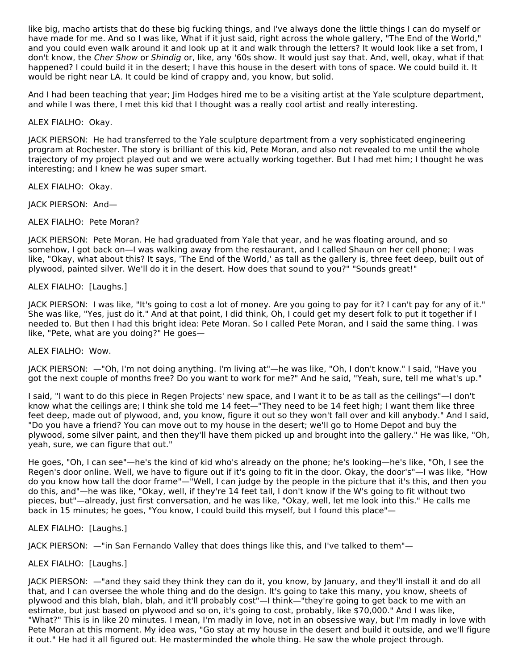like big, macho artists that do these big fucking things, and I've always done the little things I can do myself or have made for me. And so I was like, What if it just said, right across the whole gallery, "The End of the World," and you could even walk around it and look up at it and walk through the letters? It would look like a set from, I don't know, the Cher Show or Shindig or, like, any '60s show. It would just say that. And, well, okay, what if that happened? I could build it in the desert; I have this house in the desert with tons of space. We could build it. It would be right near LA. It could be kind of crappy and, you know, but solid.

And I had been teaching that year; Jim Hodges hired me to be a visiting artist at the Yale sculpture department, and while I was there, I met this kid that I thought was a really cool artist and really interesting.

ALEX FIALHO: Okay.

JACK PIERSON: He had transferred to the Yale sculpture department from a very sophisticated engineering program at Rochester. The story is brilliant of this kid, Pete Moran, and also not revealed to me until the whole trajectory of my project played out and we were actually working together. But I had met him; I thought he was interesting; and I knew he was super smart.

ALEX FIALHO: Okay.

JACK PIERSON: And—

ALEX FIALHO: Pete Moran?

JACK PIERSON: Pete Moran. He had graduated from Yale that year, and he was floating around, and so somehow, I got back on—I was walking away from the restaurant, and I called Shaun on her cell phone; I was like, "Okay, what about this? It says, 'The End of the World,' as tall as the gallery is, three feet deep, built out of plywood, painted silver. We'll do it in the desert. How does that sound to you?" "Sounds great!"

ALEX FIALHO: [Laughs.]

JACK PIERSON: I was like, "It's going to cost a lot of money. Are you going to pay for it? I can't pay for any of it." She was like, "Yes, just do it." And at that point, I did think, Oh, I could get my desert folk to put it together if I needed to. But then I had this bright idea: Pete Moran. So I called Pete Moran, and I said the same thing. I was like, "Pete, what are you doing?" He goes—

ALEX FIALHO: Wow.

JACK PIERSON: —"Oh, I'm not doing anything. I'm living at"—he was like, "Oh, I don't know." I said, "Have you got the next couple of months free? Do you want to work for me?" And he said, "Yeah, sure, tell me what's up."

I said, "I want to do this piece in Regen Projects' new space, and I want it to be as tall as the ceilings"—I don't know what the ceilings are; I think she told me 14 feet—"They need to be 14 feet high; I want them like three feet deep, made out of plywood, and, you know, figure it out so they won't fall over and kill anybody." And I said, "Do you have a friend? You can move out to my house in the desert; we'll go to Home Depot and buy the plywood, some silver paint, and then they'll have them picked up and brought into the gallery." He was like, "Oh, yeah, sure, we can figure that out."

He goes, "Oh, I can see"—he's the kind of kid who's already on the phone; he's looking—he's like, "Oh, I see the Regen's door online. Well, we have to figure out if it's going to fit in the door. Okay, the door's"—I was like, "How do you know how tall the door frame"—"Well, I can judge by the people in the picture that it's this, and then you do this, and"—he was like, "Okay, well, if they're 14 feet tall, I don't know if the W's going to fit without two pieces, but"—already, just first conversation, and he was like, "Okay, well, let me look into this." He calls me back in 15 minutes; he goes, "You know, I could build this myself, but I found this place"—

ALEX FIALHO: [Laughs.]

JACK PIERSON: —"in San Fernando Valley that does things like this, and I've talked to them"—

## ALEX FIALHO: [Laughs.]

JACK PIERSON: —"and they said they think they can do it, you know, by January, and they'll install it and do all that, and I can oversee the whole thing and do the design. It's going to take this many, you know, sheets of plywood and this blah, blah, blah, and it'll probably cost"—I think—"they're going to get back to me with an estimate, but just based on plywood and so on, it's going to cost, probably, like \$70,000." And I was like, "What?" This is in like 20 minutes. I mean, I'm madly in love, not in an obsessive way, but I'm madly in love with Pete Moran at this moment. My idea was, "Go stay at my house in the desert and build it outside, and we'll figure it out." He had it all figured out. He masterminded the whole thing. He saw the whole project through.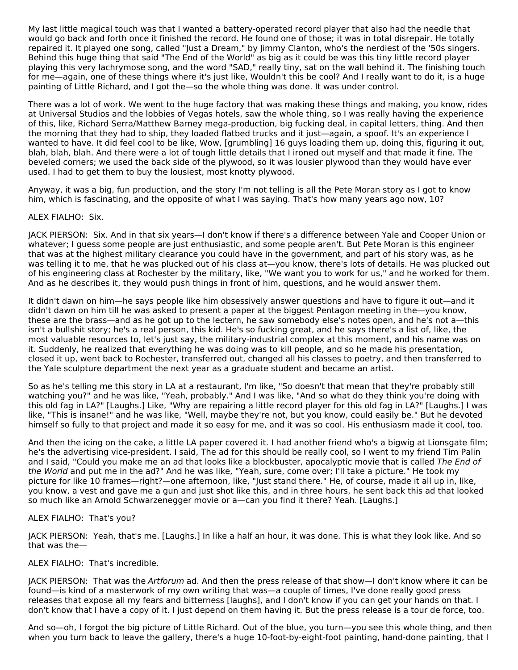My last little magical touch was that I wanted a battery-operated record player that also had the needle that would go back and forth once it finished the record. He found one of those; it was in total disrepair. He totally repaired it. It played one song, called "Just a Dream," by Jimmy Clanton, who's the nerdiest of the '50s singers. Behind this huge thing that said "The End of the World" as big as it could be was this tiny little record player playing this very lachrymose song, and the word "SAD," really tiny, sat on the wall behind it. The finishing touch for me—again, one of these things where it's just like, Wouldn't this be cool? And I really want to do it, is a huge painting of Little Richard, and I got the—so the whole thing was done. It was under control.

There was a lot of work. We went to the huge factory that was making these things and making, you know, rides at Universal Studios and the lobbies of Vegas hotels, saw the whole thing, so I was really having the experience of this, like, Richard Serra/Matthew Barney mega-production, big fucking deal, in capital letters, thing. And then the morning that they had to ship, they loaded flatbed trucks and it just—again, a spoof. It's an experience I wanted to have. It did feel cool to be like, Wow, [grumbling] 16 guys loading them up, doing this, figuring it out, blah, blah, blah. And there were a lot of tough little details that I ironed out myself and that made it fine. The beveled corners; we used the back side of the plywood, so it was lousier plywood than they would have ever used. I had to get them to buy the lousiest, most knotty plywood.

Anyway, it was a big, fun production, and the story I'm not telling is all the Pete Moran story as I got to know him, which is fascinating, and the opposite of what I was saying. That's how many years ago now, 10?

## ALEX FIALHO: Six.

JACK PIERSON: Six. And in that six years—I don't know if there's a difference between Yale and Cooper Union or whatever; I guess some people are just enthusiastic, and some people aren't. But Pete Moran is this engineer that was at the highest military clearance you could have in the government, and part of his story was, as he was telling it to me, that he was plucked out of his class at—you know, there's lots of details. He was plucked out of his engineering class at Rochester by the military, like, "We want you to work for us," and he worked for them. And as he describes it, they would push things in front of him, questions, and he would answer them.

It didn't dawn on him—he says people like him obsessively answer questions and have to figure it out—and it didn't dawn on him till he was asked to present a paper at the biggest Pentagon meeting in the—you know, these are the brass—and as he got up to the lectern, he saw somebody else's notes open, and he's not a—this isn't a bullshit story; he's a real person, this kid. He's so fucking great, and he says there's a list of, like, the most valuable resources to, let's just say, the military-industrial complex at this moment, and his name was on it. Suddenly, he realized that everything he was doing was to kill people, and so he made his presentation, closed it up, went back to Rochester, transferred out, changed all his classes to poetry, and then transferred to the Yale sculpture department the next year as a graduate student and became an artist.

So as he's telling me this story in LA at a restaurant, I'm like, "So doesn't that mean that they're probably still watching you?" and he was like, "Yeah, probably." And I was like, "And so what do they think you're doing with this old fag in LA?" [Laughs.] Like, "Why are repairing a little record player for this old fag in LA?" [Laughs.] I was like, "This is insane!" and he was like, "Well, maybe they're not, but you know, could easily be." But he devoted himself so fully to that project and made it so easy for me, and it was so cool. His enthusiasm made it cool, too.

And then the icing on the cake, a little LA paper covered it. I had another friend who's a bigwig at Lionsgate film; he's the advertising vice-president. I said, The ad for this should be really cool, so I went to my friend Tim Palin and I said, "Could you make me an ad that looks like a blockbuster, apocalyptic movie that is called The End of the World and put me in the ad?" And he was like, "Yeah, sure, come over; I'll take a picture." He took my picture for like 10 frames—right?—one afternoon, like, "Just stand there." He, of course, made it all up in, like, you know, a vest and gave me a gun and just shot like this, and in three hours, he sent back this ad that looked so much like an Arnold Schwarzenegger movie or a—can you find it there? Yeah. [Laughs.]

## ALEX FIALHO: That's you?

JACK PIERSON: Yeah, that's me. [Laughs.] In like a half an hour, it was done. This is what they look like. And so that was the—

## ALEX FIALHO: That's incredible.

JACK PIERSON: That was the Artforum ad. And then the press release of that show-I don't know where it can be found—is kind of a masterwork of my own writing that was—a couple of times, I've done really good press releases that expose all my fears and bitterness [laughs], and I don't know if you can get your hands on that. I don't know that I have a copy of it. I just depend on them having it. But the press release is a tour de force, too.

And so—oh, I forgot the big picture of Little Richard. Out of the blue, you turn—you see this whole thing, and then when you turn back to leave the gallery, there's a huge 10-foot-by-eight-foot painting, hand-done painting, that I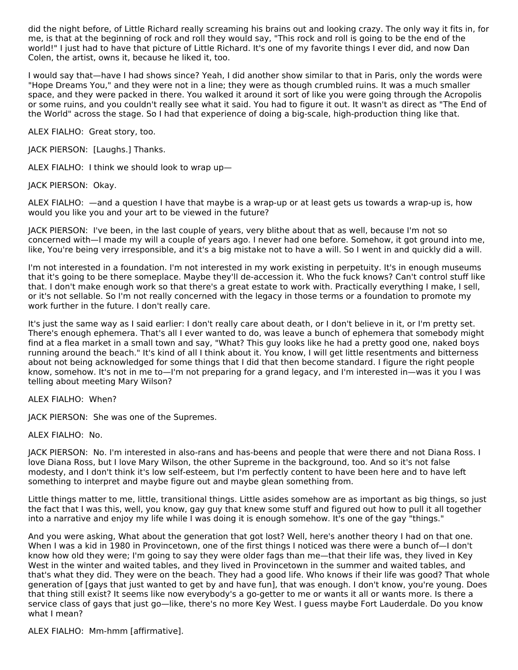did the night before, of Little Richard really screaming his brains out and looking crazy. The only way it fits in, for me, is that at the beginning of rock and roll they would say, "This rock and roll is going to be the end of the world!" I just had to have that picture of Little Richard. It's one of my favorite things I ever did, and now Dan Colen, the artist, owns it, because he liked it, too.

I would say that—have I had shows since? Yeah, I did another show similar to that in Paris, only the words were "Hope Dreams You," and they were not in a line; they were as though crumbled ruins. It was a much smaller space, and they were packed in there. You walked it around it sort of like you were going through the Acropolis or some ruins, and you couldn't really see what it said. You had to figure it out. It wasn't as direct as "The End of the World" across the stage. So I had that experience of doing a big-scale, high-production thing like that.

ALEX FIALHO: Great story, too.

JACK PIERSON: [Laughs.] Thanks.

ALEX FIALHO: I think we should look to wrap up—

JACK PIERSON: Okay.

ALEX FIALHO: —and a question I have that maybe is a wrap-up or at least gets us towards a wrap-up is, how would you like you and your art to be viewed in the future?

JACK PIERSON: I've been, in the last couple of years, very blithe about that as well, because I'm not so concerned with—I made my will a couple of years ago. I never had one before. Somehow, it got ground into me, like, You're being very irresponsible, and it's a big mistake not to have a will. So I went in and quickly did a will.

I'm not interested in a foundation. I'm not interested in my work existing in perpetuity. It's in enough museums that it's going to be there someplace. Maybe they'll de-accession it. Who the fuck knows? Can't control stuff like that. I don't make enough work so that there's a great estate to work with. Practically everything I make, I sell, or it's not sellable. So I'm not really concerned with the legacy in those terms or a foundation to promote my work further in the future. I don't really care.

It's just the same way as I said earlier: I don't really care about death, or I don't believe in it, or I'm pretty set. There's enough ephemera. That's all I ever wanted to do, was leave a bunch of ephemera that somebody might find at a flea market in a small town and say, "What? This guy looks like he had a pretty good one, naked boys running around the beach." It's kind of all I think about it. You know, I will get little resentments and bitterness about not being acknowledged for some things that I did that then become standard. I figure the right people know, somehow. It's not in me to—I'm not preparing for a grand legacy, and I'm interested in—was it you I was telling about meeting Mary Wilson?

ALEX FIALHO: When?

JACK PIERSON: She was one of the Supremes.

ALEX FIALHO: No.

JACK PIERSON: No. I'm interested in also-rans and has-beens and people that were there and not Diana Ross. I love Diana Ross, but I love Mary Wilson, the other Supreme in the background, too. And so it's not false modesty, and I don't think it's low self-esteem, but I'm perfectly content to have been here and to have left something to interpret and maybe figure out and maybe glean something from.

Little things matter to me, little, transitional things. Little asides somehow are as important as big things, so just the fact that I was this, well, you know, gay guy that knew some stuff and figured out how to pull it all together into a narrative and enjoy my life while I was doing it is enough somehow. It's one of the gay "things."

And you were asking, What about the generation that got lost? Well, here's another theory I had on that one. When I was a kid in 1980 in Provincetown, one of the first things I noticed was there were a bunch of—I don't know how old they were; I'm going to say they were older fags than me—that their life was, they lived in Key West in the winter and waited tables, and they lived in Provincetown in the summer and waited tables, and that's what they did. They were on the beach. They had a good life. Who knows if their life was good? That whole generation of [gays that just wanted to get by and have fun], that was enough. I don't know, you're young. Does that thing still exist? It seems like now everybody's a go-getter to me or wants it all or wants more. Is there a service class of gays that just go—like, there's no more Key West. I guess maybe Fort Lauderdale. Do you know what I mean?

ALEX FIALHO: Mm-hmm [affirmative].